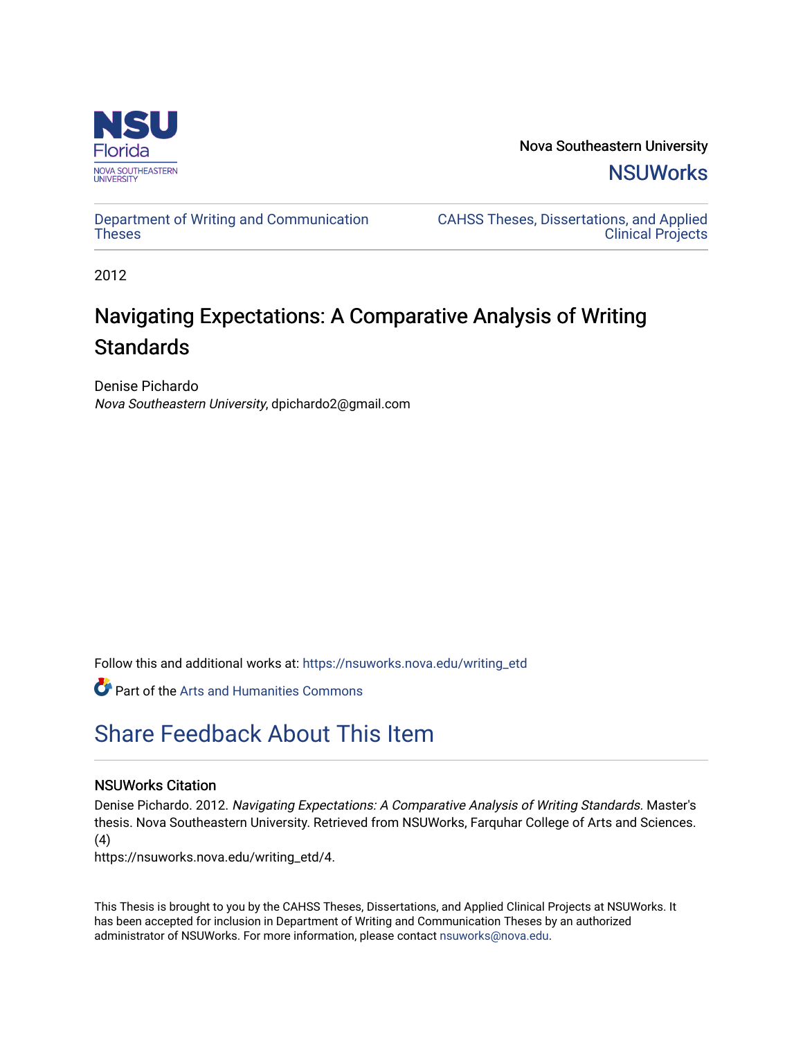

Nova Southeastern University **NSUWorks** 

[Department of Writing and Communication](https://nsuworks.nova.edu/writing_etd)  **Theses** 

[CAHSS Theses, Dissertations, and Applied](https://nsuworks.nova.edu/cahss_etd)  [Clinical Projects](https://nsuworks.nova.edu/cahss_etd) 

2012

# Navigating Expectations: A Comparative Analysis of Writing **Standards**

Denise Pichardo Nova Southeastern University, dpichardo2@gmail.com

Follow this and additional works at: [https://nsuworks.nova.edu/writing\\_etd](https://nsuworks.nova.edu/writing_etd?utm_source=nsuworks.nova.edu%2Fwriting_etd%2F4&utm_medium=PDF&utm_campaign=PDFCoverPages)

**Part of the Arts and Humanities Commons** 

# [Share Feedback About This Item](http://nsuworks.nova.edu/user_survey.html)

#### NSUWorks Citation

Denise Pichardo. 2012. Navigating Expectations: A Comparative Analysis of Writing Standards. Master's thesis. Nova Southeastern University. Retrieved from NSUWorks, Farquhar College of Arts and Sciences. (4)

https://nsuworks.nova.edu/writing\_etd/4.

This Thesis is brought to you by the CAHSS Theses, Dissertations, and Applied Clinical Projects at NSUWorks. It has been accepted for inclusion in Department of Writing and Communication Theses by an authorized administrator of NSUWorks. For more information, please contact [nsuworks@nova.edu.](mailto:nsuworks@nova.edu)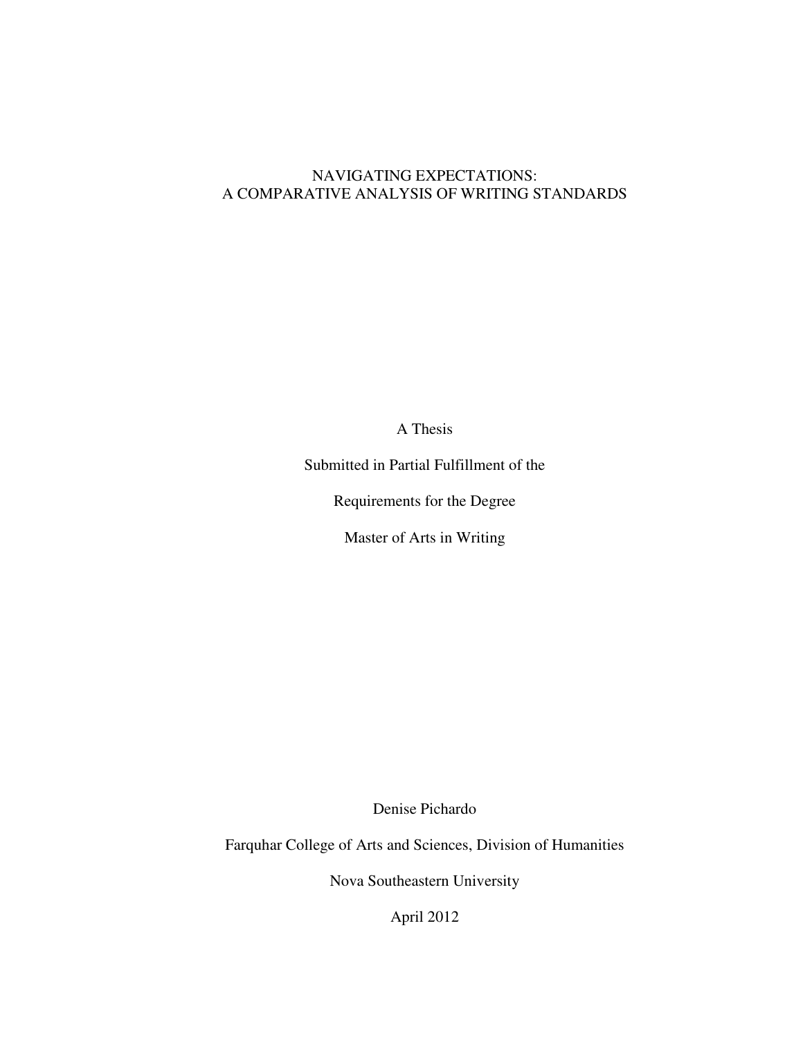### NAVIGATING EXPECTATIONS: A COMPARATIVE ANALYSIS OF WRITING STANDARDS

A Thesis

Submitted in Partial Fulfillment of the

Requirements for the Degree

Master of Arts in Writing

Denise Pichardo

Farquhar College of Arts and Sciences, Division of Humanities

Nova Southeastern University

April 2012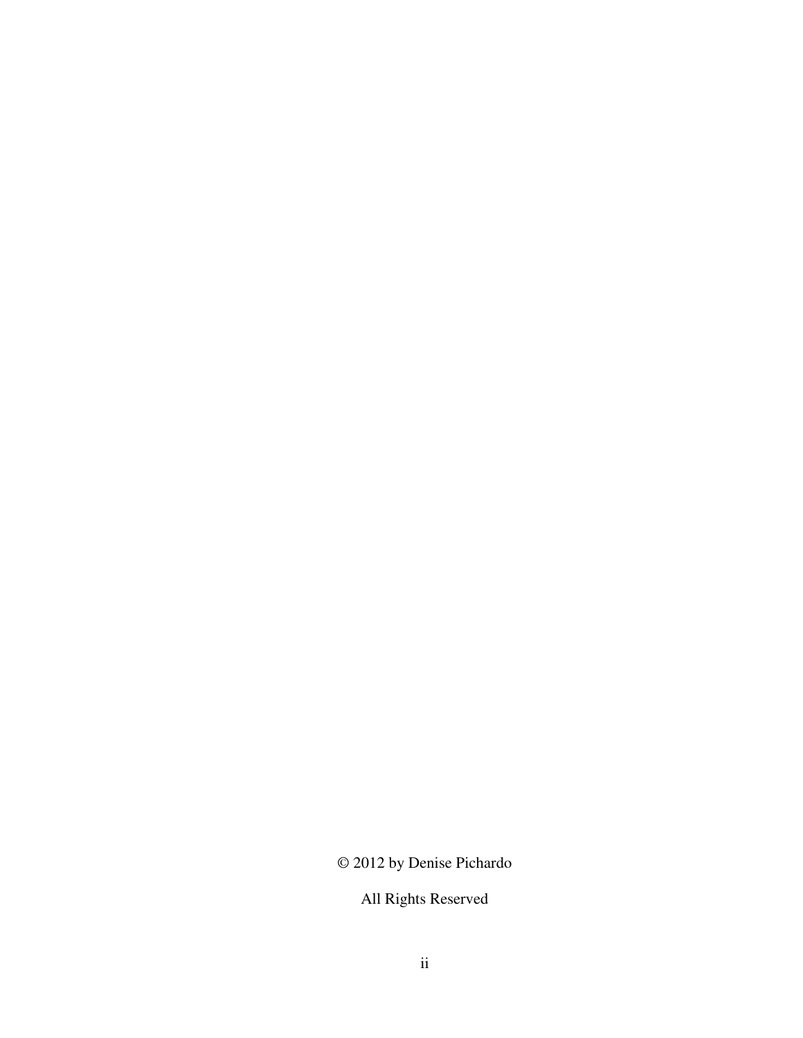## © 2012 by Denise Pichardo

## All Rights Reserved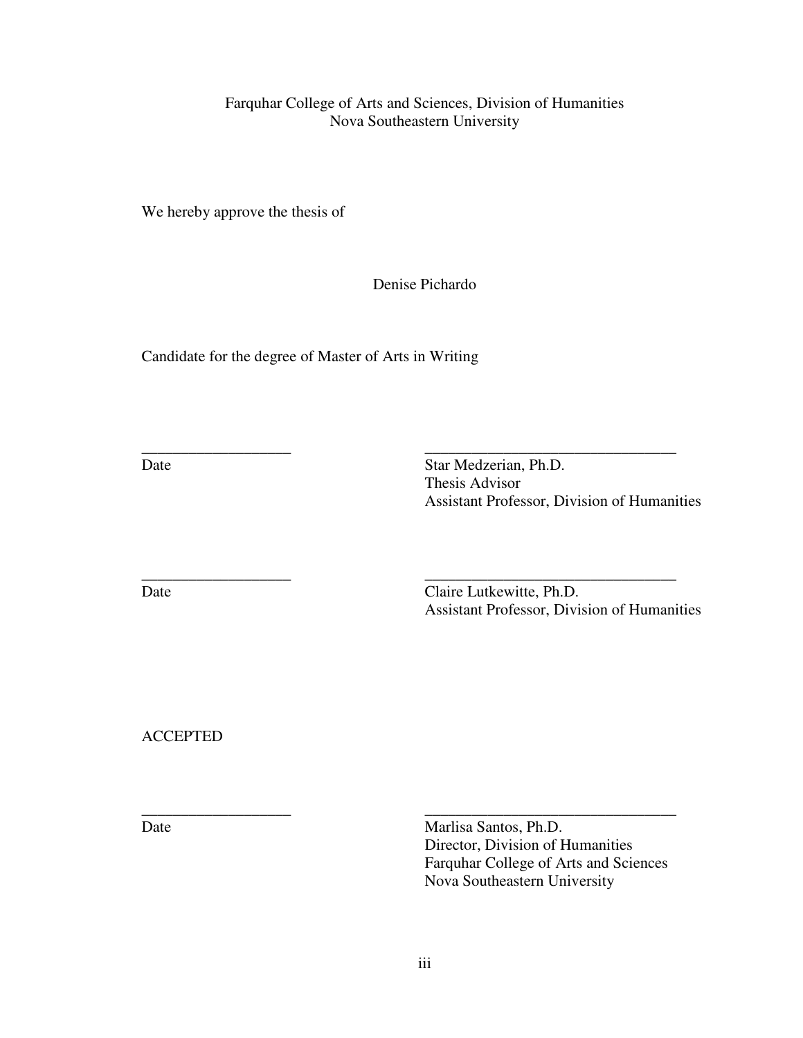Farquhar College of Arts and Sciences, Division of Humanities Nova Southeastern University

We hereby approve the thesis of

Denise Pichardo

\_\_\_\_\_\_\_\_\_\_\_\_\_\_\_\_\_\_\_ \_\_\_\_\_\_\_\_\_\_\_\_\_\_\_\_\_\_\_\_\_\_\_\_\_\_\_\_\_\_\_\_

Candidate for the degree of Master of Arts in Writing

Date Star Medzerian, Ph.D. Thesis Advisor Assistant Professor, Division of Humanities

\_\_\_\_\_\_\_\_\_\_\_\_\_\_\_\_\_\_\_ \_\_\_\_\_\_\_\_\_\_\_\_\_\_\_\_\_\_\_\_\_\_\_\_\_\_\_\_\_\_\_\_

Date Claire Lutkewitte, Ph.D. Assistant Professor, Division of Humanities

ACCEPTED

\_\_\_\_\_\_\_\_\_\_\_\_\_\_\_\_\_\_\_ \_\_\_\_\_\_\_\_\_\_\_\_\_\_\_\_\_\_\_\_\_\_\_\_\_\_\_\_\_\_\_\_ Date Marlisa Santos, Ph.D. Director, Division of Humanities Farquhar College of Arts and Sciences Nova Southeastern University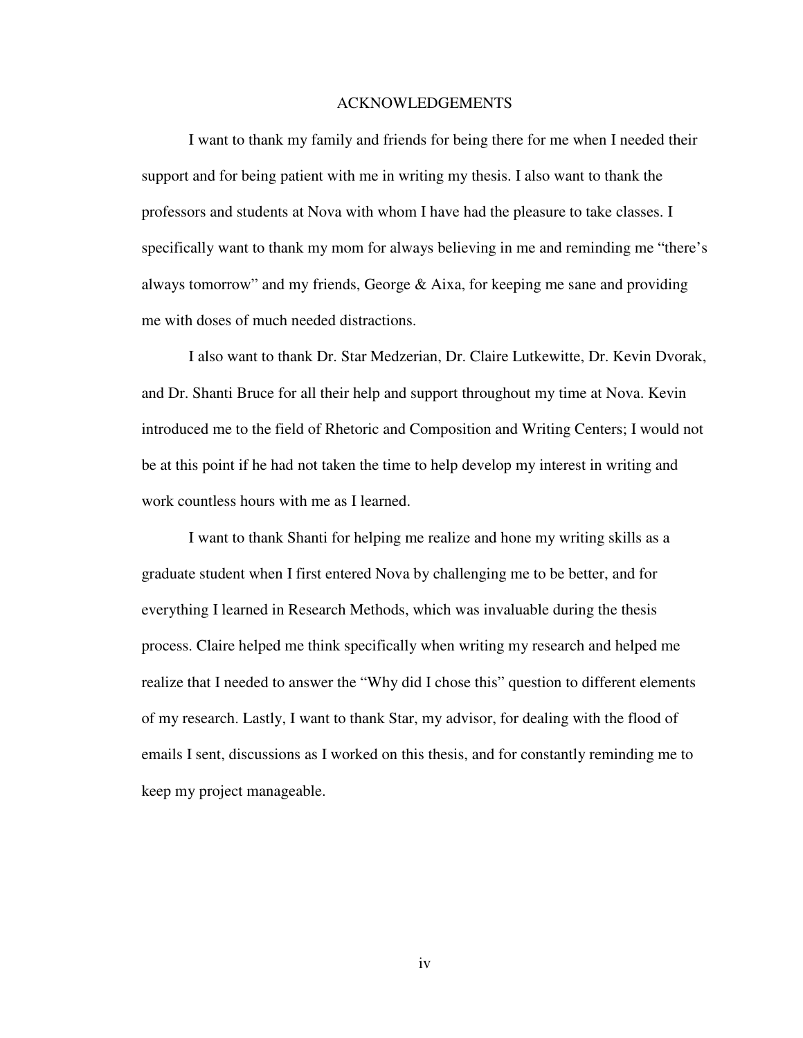#### ACKNOWLEDGEMENTS

 I want to thank my family and friends for being there for me when I needed their support and for being patient with me in writing my thesis. I also want to thank the professors and students at Nova with whom I have had the pleasure to take classes. I specifically want to thank my mom for always believing in me and reminding me "there's always tomorrow" and my friends, George & Aixa, for keeping me sane and providing me with doses of much needed distractions.

 I also want to thank Dr. Star Medzerian, Dr. Claire Lutkewitte, Dr. Kevin Dvorak, and Dr. Shanti Bruce for all their help and support throughout my time at Nova. Kevin introduced me to the field of Rhetoric and Composition and Writing Centers; I would not be at this point if he had not taken the time to help develop my interest in writing and work countless hours with me as I learned.

I want to thank Shanti for helping me realize and hone my writing skills as a graduate student when I first entered Nova by challenging me to be better, and for everything I learned in Research Methods, which was invaluable during the thesis process. Claire helped me think specifically when writing my research and helped me realize that I needed to answer the "Why did I chose this" question to different elements of my research. Lastly, I want to thank Star, my advisor, for dealing with the flood of emails I sent, discussions as I worked on this thesis, and for constantly reminding me to keep my project manageable.

iv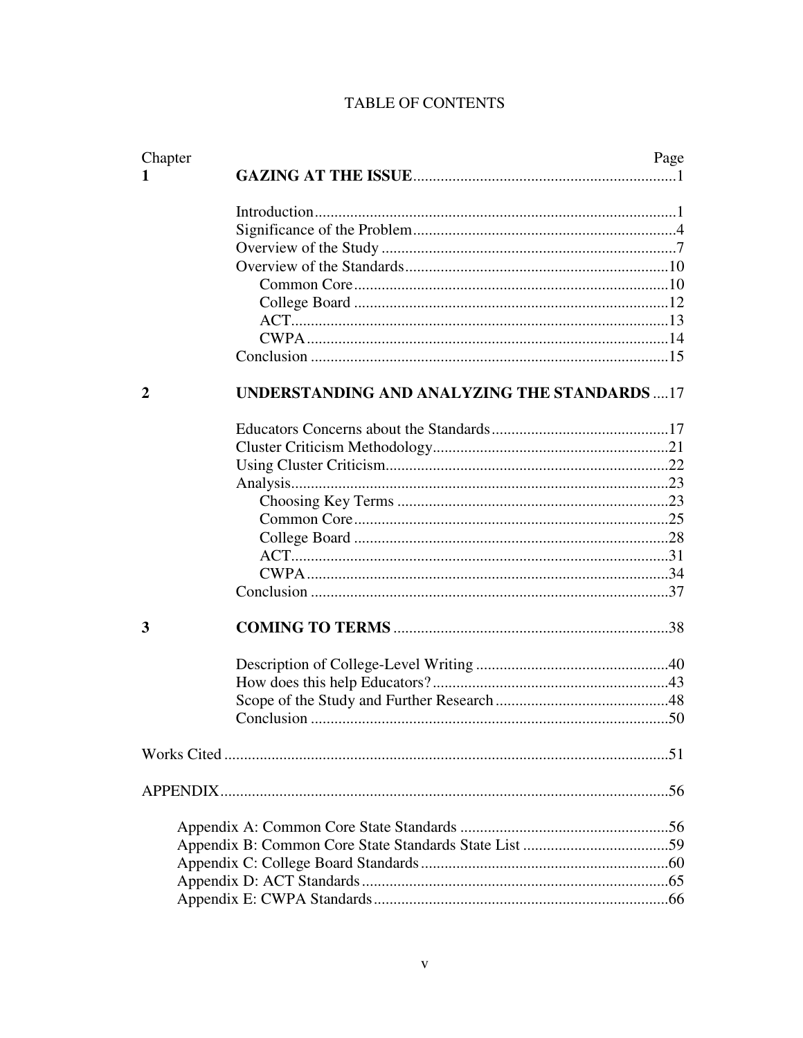## **TABLE OF CONTENTS**

| Chapter |                                               | Page |
|---------|-----------------------------------------------|------|
| 1       |                                               |      |
|         |                                               |      |
|         |                                               |      |
|         |                                               |      |
|         |                                               |      |
|         |                                               |      |
|         |                                               |      |
|         |                                               |      |
|         |                                               |      |
|         |                                               |      |
| 2       | UNDERSTANDING AND ANALYZING THE STANDARDS  17 |      |
|         |                                               |      |
|         |                                               |      |
|         |                                               |      |
|         |                                               |      |
|         |                                               |      |
|         |                                               |      |
|         |                                               |      |
|         |                                               |      |
|         |                                               |      |
|         |                                               |      |
| 3       |                                               |      |
|         |                                               |      |
|         |                                               |      |
|         |                                               |      |
|         |                                               |      |
|         |                                               |      |
|         |                                               |      |
|         |                                               |      |
|         |                                               |      |
|         |                                               |      |
|         |                                               |      |
|         |                                               |      |
|         |                                               |      |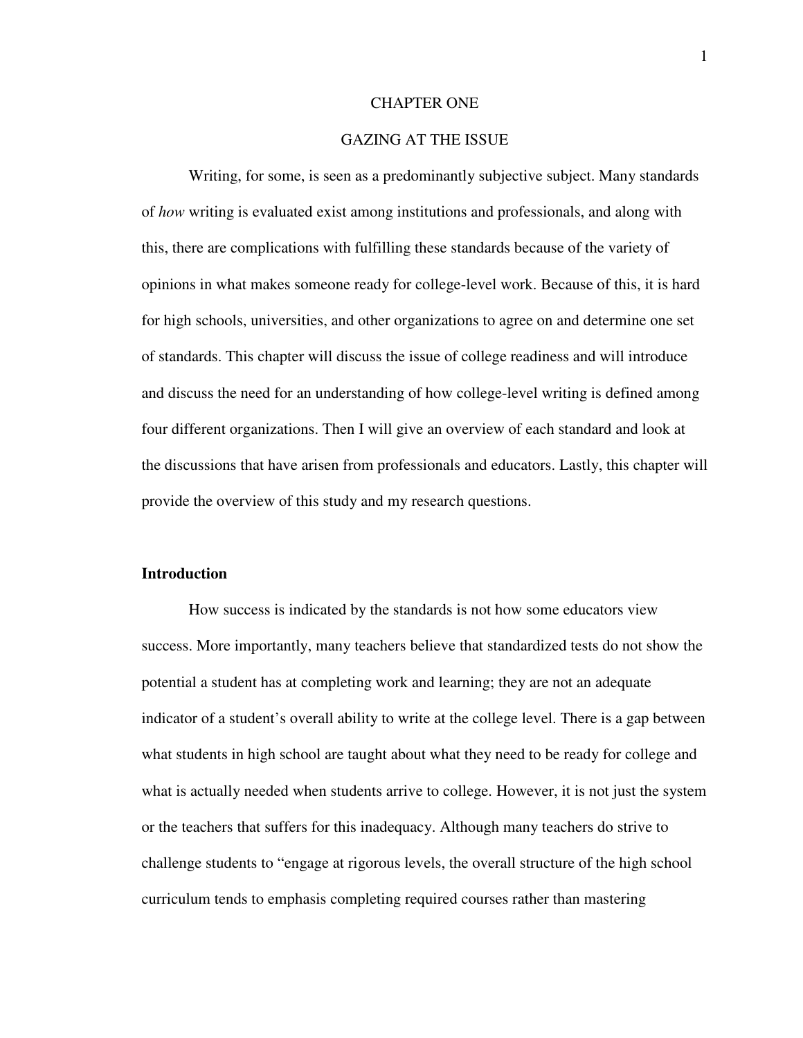#### CHAPTER ONE

#### GAZING AT THE ISSUE

Writing, for some, is seen as a predominantly subjective subject. Many standards of *how* writing is evaluated exist among institutions and professionals, and along with this, there are complications with fulfilling these standards because of the variety of opinions in what makes someone ready for college-level work. Because of this, it is hard for high schools, universities, and other organizations to agree on and determine one set of standards. This chapter will discuss the issue of college readiness and will introduce and discuss the need for an understanding of how college-level writing is defined among four different organizations. Then I will give an overview of each standard and look at the discussions that have arisen from professionals and educators. Lastly, this chapter will provide the overview of this study and my research questions.

#### **Introduction**

How success is indicated by the standards is not how some educators view success. More importantly, many teachers believe that standardized tests do not show the potential a student has at completing work and learning; they are not an adequate indicator of a student's overall ability to write at the college level. There is a gap between what students in high school are taught about what they need to be ready for college and what is actually needed when students arrive to college. However, it is not just the system or the teachers that suffers for this inadequacy. Although many teachers do strive to challenge students to "engage at rigorous levels, the overall structure of the high school curriculum tends to emphasis completing required courses rather than mastering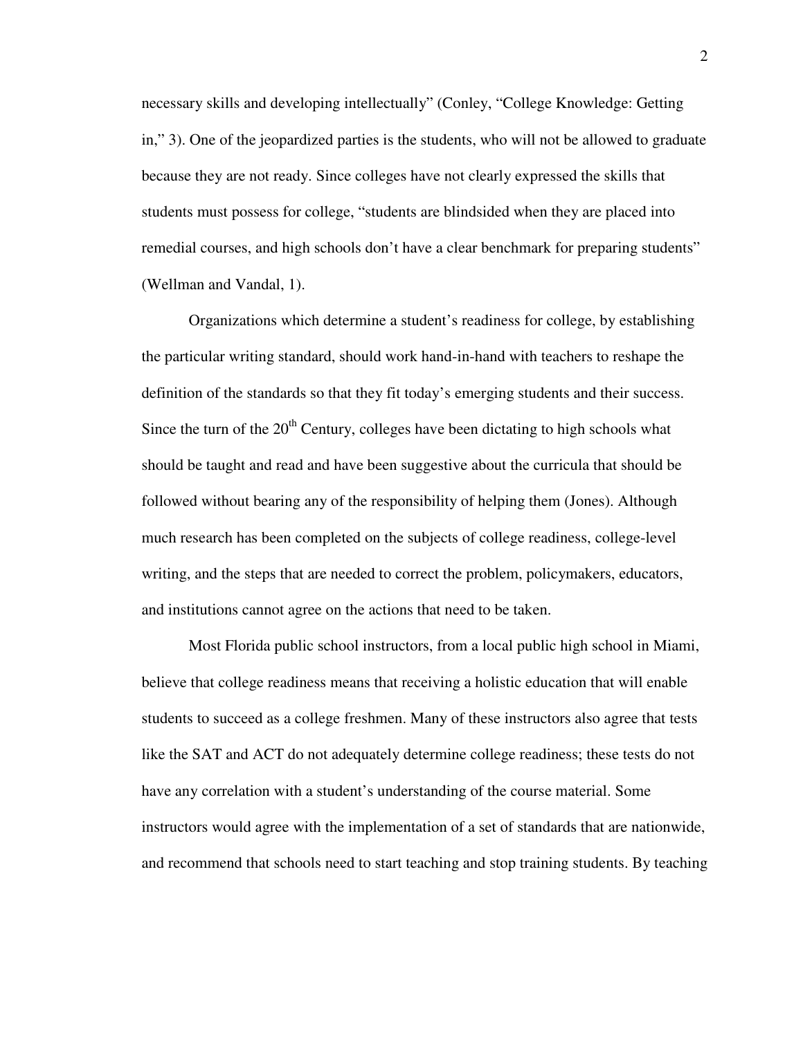necessary skills and developing intellectually" (Conley, "College Knowledge: Getting in," 3). One of the jeopardized parties is the students, who will not be allowed to graduate because they are not ready. Since colleges have not clearly expressed the skills that students must possess for college, "students are blindsided when they are placed into remedial courses, and high schools don't have a clear benchmark for preparing students" (Wellman and Vandal, 1).

Organizations which determine a student's readiness for college, by establishing the particular writing standard, should work hand-in-hand with teachers to reshape the definition of the standards so that they fit today's emerging students and their success. Since the turn of the  $20<sup>th</sup>$  Century, colleges have been dictating to high schools what should be taught and read and have been suggestive about the curricula that should be followed without bearing any of the responsibility of helping them (Jones). Although much research has been completed on the subjects of college readiness, college-level writing, and the steps that are needed to correct the problem, policymakers, educators, and institutions cannot agree on the actions that need to be taken.

Most Florida public school instructors, from a local public high school in Miami, believe that college readiness means that receiving a holistic education that will enable students to succeed as a college freshmen. Many of these instructors also agree that tests like the SAT and ACT do not adequately determine college readiness; these tests do not have any correlation with a student's understanding of the course material. Some instructors would agree with the implementation of a set of standards that are nationwide, and recommend that schools need to start teaching and stop training students. By teaching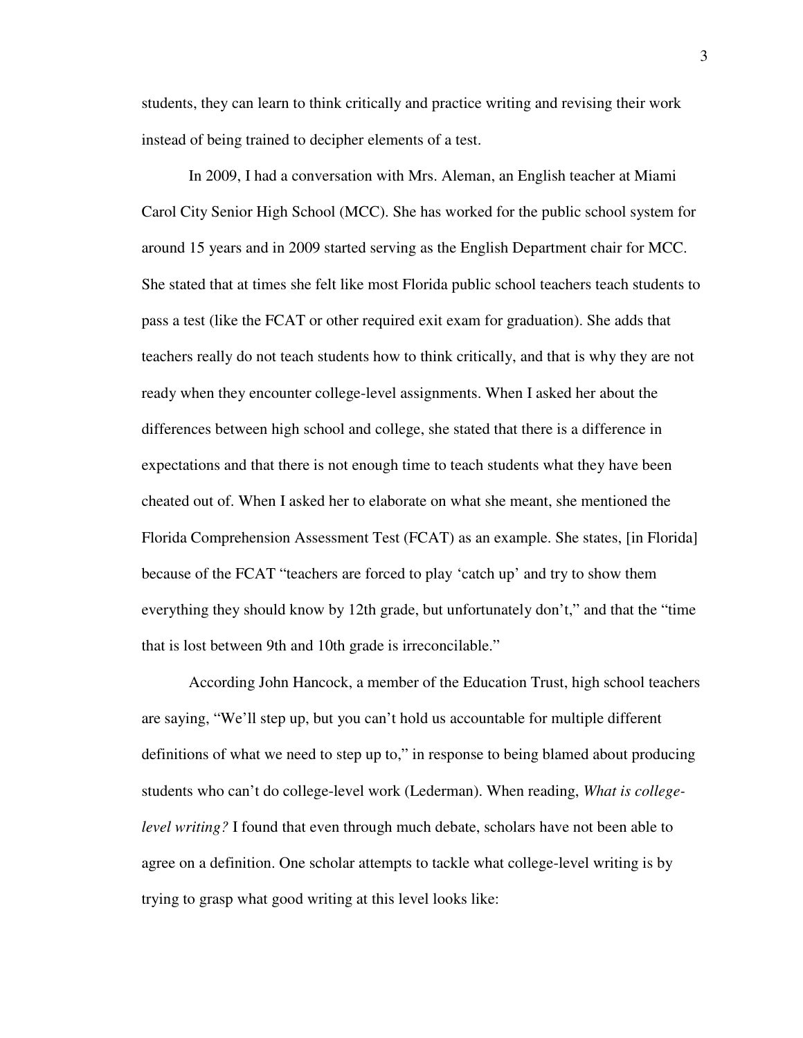students, they can learn to think critically and practice writing and revising their work instead of being trained to decipher elements of a test.

In 2009, I had a conversation with Mrs. Aleman, an English teacher at Miami Carol City Senior High School (MCC). She has worked for the public school system for around 15 years and in 2009 started serving as the English Department chair for MCC. She stated that at times she felt like most Florida public school teachers teach students to pass a test (like the FCAT or other required exit exam for graduation). She adds that teachers really do not teach students how to think critically, and that is why they are not ready when they encounter college-level assignments. When I asked her about the differences between high school and college, she stated that there is a difference in expectations and that there is not enough time to teach students what they have been cheated out of. When I asked her to elaborate on what she meant, she mentioned the Florida Comprehension Assessment Test (FCAT) as an example. She states, [in Florida] because of the FCAT "teachers are forced to play 'catch up' and try to show them everything they should know by 12th grade, but unfortunately don't," and that the "time that is lost between 9th and 10th grade is irreconcilable."

According John Hancock, a member of the Education Trust, high school teachers are saying, "We'll step up, but you can't hold us accountable for multiple different definitions of what we need to step up to," in response to being blamed about producing students who can't do college-level work (Lederman). When reading, *What is collegelevel writing?* I found that even through much debate, scholars have not been able to agree on a definition. One scholar attempts to tackle what college-level writing is by trying to grasp what good writing at this level looks like: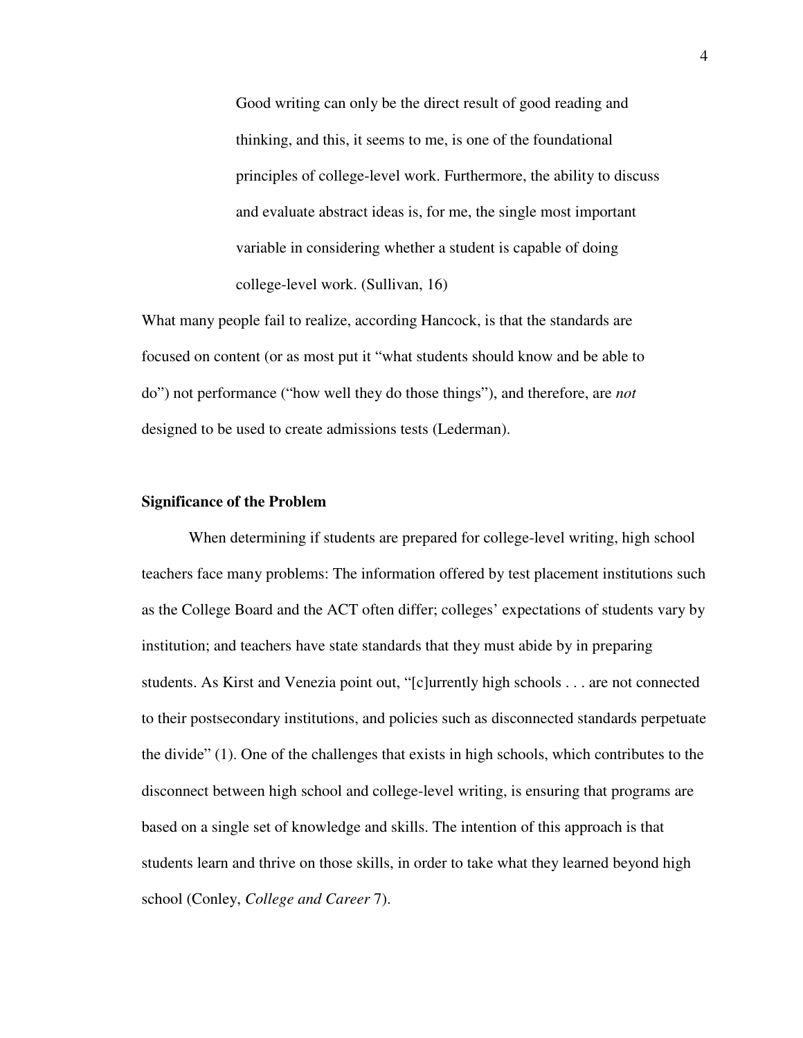Good writing can only be the direct result of good reading and thinking, and this, it seems to me, is one of the foundational principles of college-level work. Furthermore, the ability to discuss and evaluate abstract ideas is, for me, the single most important variable in considering whether a student is capable of doing college-level work. (Sullivan, 16)

What many people fail to realize, according Hancock, is that the standards are focused on content (or as most put it "what students should know and be able to do") not performance ("how well they do those things"), and therefore, are *not*  designed to be used to create admissions tests (Lederman).

#### **Significance of the Problem**

When determining if students are prepared for college-level writing, high school teachers face many problems: The information offered by test placement institutions such as the College Board and the ACT often differ; colleges' expectations of students vary by institution; and teachers have state standards that they must abide by in preparing students. As Kirst and Venezia point out, "[c]urrently high schools . . . are not connected to their postsecondary institutions, and policies such as disconnected standards perpetuate the divide" (1). One of the challenges that exists in high schools, which contributes to the disconnect between high school and college-level writing, is ensuring that programs are based on a single set of knowledge and skills. The intention of this approach is that students learn and thrive on those skills, in order to take what they learned beyond high school (Conley, *College and Career* 7).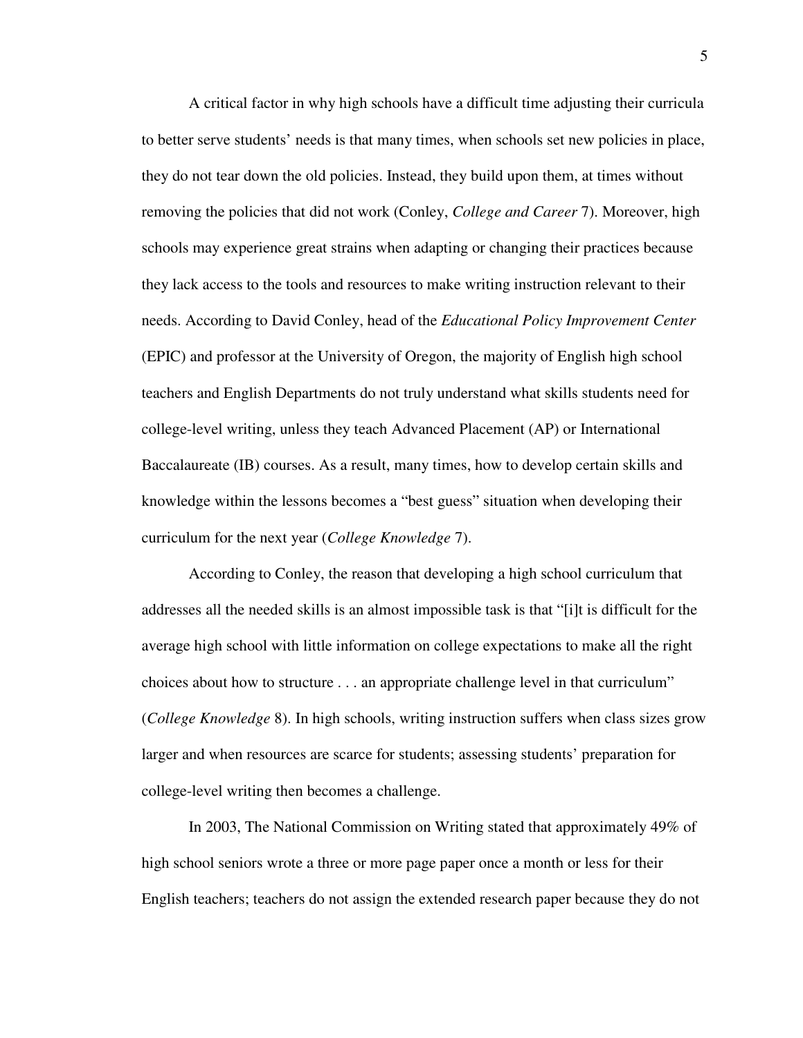A critical factor in why high schools have a difficult time adjusting their curricula to better serve students' needs is that many times, when schools set new policies in place, they do not tear down the old policies. Instead, they build upon them, at times without removing the policies that did not work (Conley, *College and Career* 7). Moreover, high schools may experience great strains when adapting or changing their practices because they lack access to the tools and resources to make writing instruction relevant to their needs. According to David Conley, head of the *Educational Policy Improvement Center*  (EPIC) and professor at the University of Oregon, the majority of English high school teachers and English Departments do not truly understand what skills students need for college-level writing, unless they teach Advanced Placement (AP) or International Baccalaureate (IB) courses. As a result, many times, how to develop certain skills and knowledge within the lessons becomes a "best guess" situation when developing their curriculum for the next year (*College Knowledge* 7).

According to Conley, the reason that developing a high school curriculum that addresses all the needed skills is an almost impossible task is that "[i]t is difficult for the average high school with little information on college expectations to make all the right choices about how to structure . . . an appropriate challenge level in that curriculum" (*College Knowledge* 8). In high schools, writing instruction suffers when class sizes grow larger and when resources are scarce for students; assessing students' preparation for college-level writing then becomes a challenge.

In 2003, The National Commission on Writing stated that approximately 49% of high school seniors wrote a three or more page paper once a month or less for their English teachers; teachers do not assign the extended research paper because they do not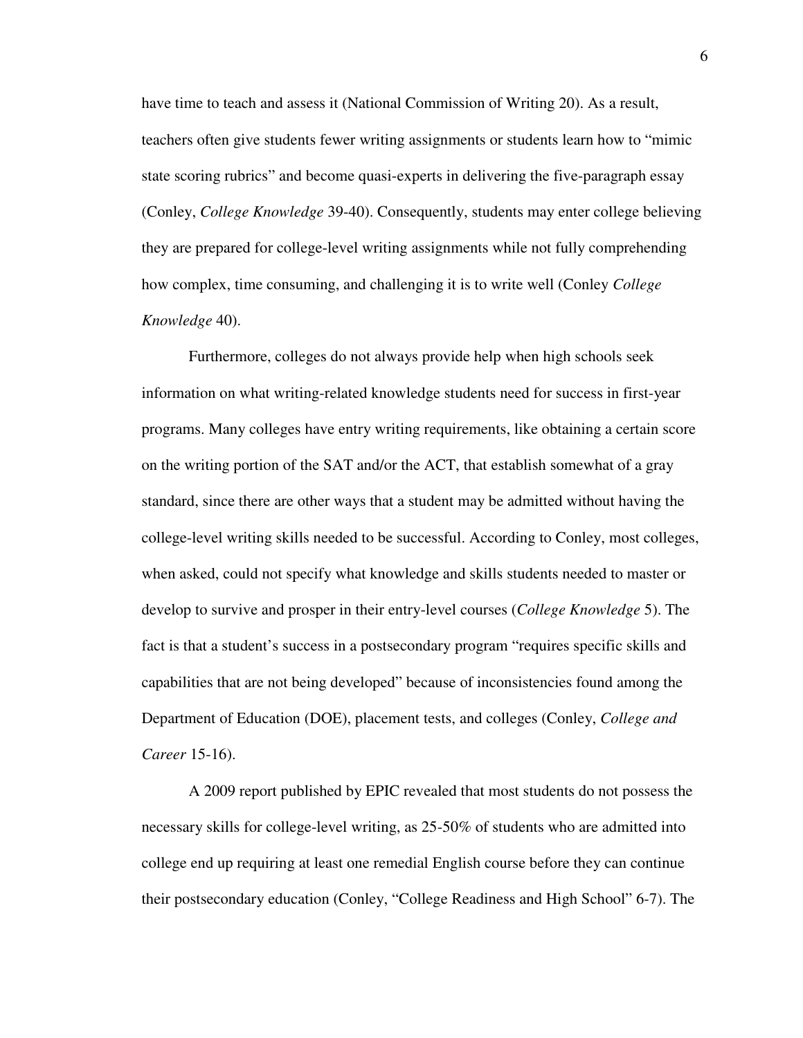have time to teach and assess it (National Commission of Writing 20). As a result, teachers often give students fewer writing assignments or students learn how to "mimic state scoring rubrics" and become quasi-experts in delivering the five-paragraph essay (Conley, *College Knowledge* 39-40). Consequently, students may enter college believing they are prepared for college-level writing assignments while not fully comprehending how complex, time consuming, and challenging it is to write well (Conley *College Knowledge* 40).

Furthermore, colleges do not always provide help when high schools seek information on what writing-related knowledge students need for success in first-year programs. Many colleges have entry writing requirements, like obtaining a certain score on the writing portion of the SAT and/or the ACT, that establish somewhat of a gray standard, since there are other ways that a student may be admitted without having the college-level writing skills needed to be successful. According to Conley, most colleges, when asked, could not specify what knowledge and skills students needed to master or develop to survive and prosper in their entry-level courses (*College Knowledge* 5). The fact is that a student's success in a postsecondary program "requires specific skills and capabilities that are not being developed" because of inconsistencies found among the Department of Education (DOE), placement tests, and colleges (Conley, *College and Career* 15-16).

A 2009 report published by EPIC revealed that most students do not possess the necessary skills for college-level writing, as 25-50% of students who are admitted into college end up requiring at least one remedial English course before they can continue their postsecondary education (Conley, "College Readiness and High School" 6-7). The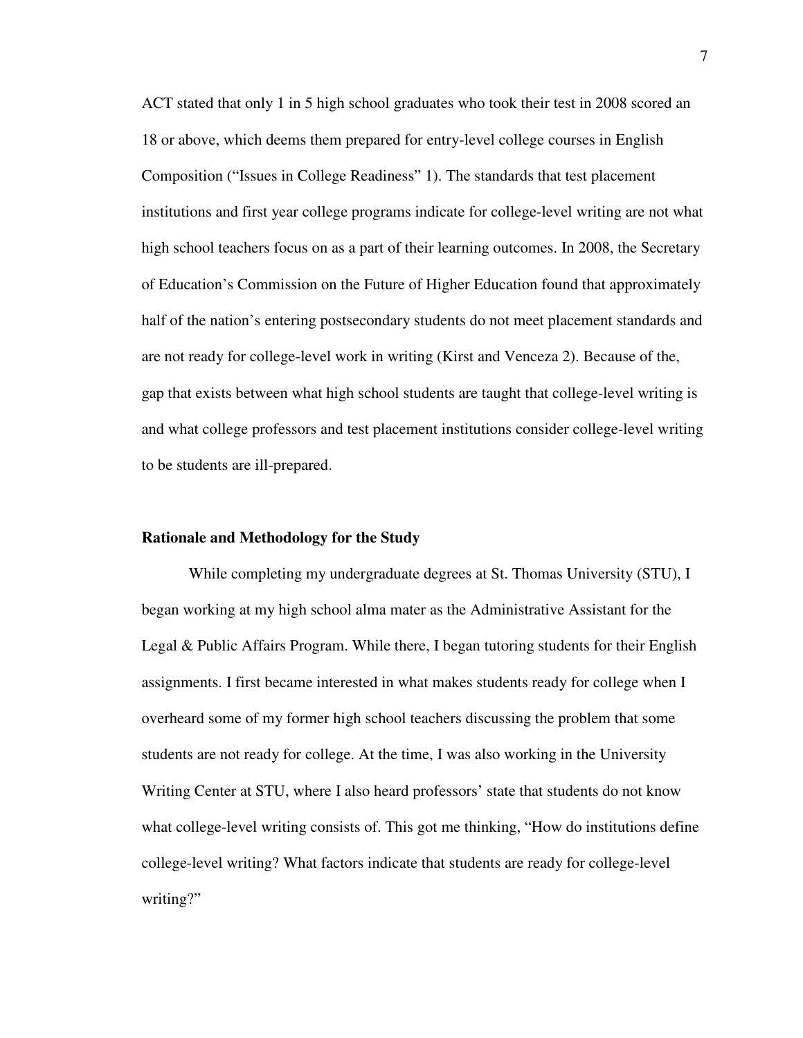ACT stated that only 1 in 5 high school graduates who took their test in 2008 scored an 18 or above, which deems them prepared for entry-level college courses in English Composition ("Issues in College Readiness" 1). The standards that test placement institutions and first year college programs indicate for college-level writing are not what high school teachers focus on as a part of their learning outcomes. In 2008, the Secretary of Education's Commission on the Future of Higher Education found that approximately half of the nation's entering postsecondary students do not meet placement standards and are not ready for college-level work in writing (Kirst and Venceza 2). Because of the, gap that exists between what high school students are taught that college-level writing is and what college professors and test placement institutions consider college-level writing to be students are ill-prepared.

#### **Rationale and Methodology for the Study**

While completing my undergraduate degrees at St. Thomas University (STU), I began working at my high school alma mater as the Administrative Assistant for the Legal & Public Affairs Program. While there, I began tutoring students for their English assignments. I first became interested in what makes students ready for college when I overheard some of my former high school teachers discussing the problem that some students are not ready for college. At the time, I was also working in the University Writing Center at STU, where I also heard professors' state that students do not know what college-level writing consists of. This got me thinking, "How do institutions define college-level writing? What factors indicate that students are ready for college-level writing?"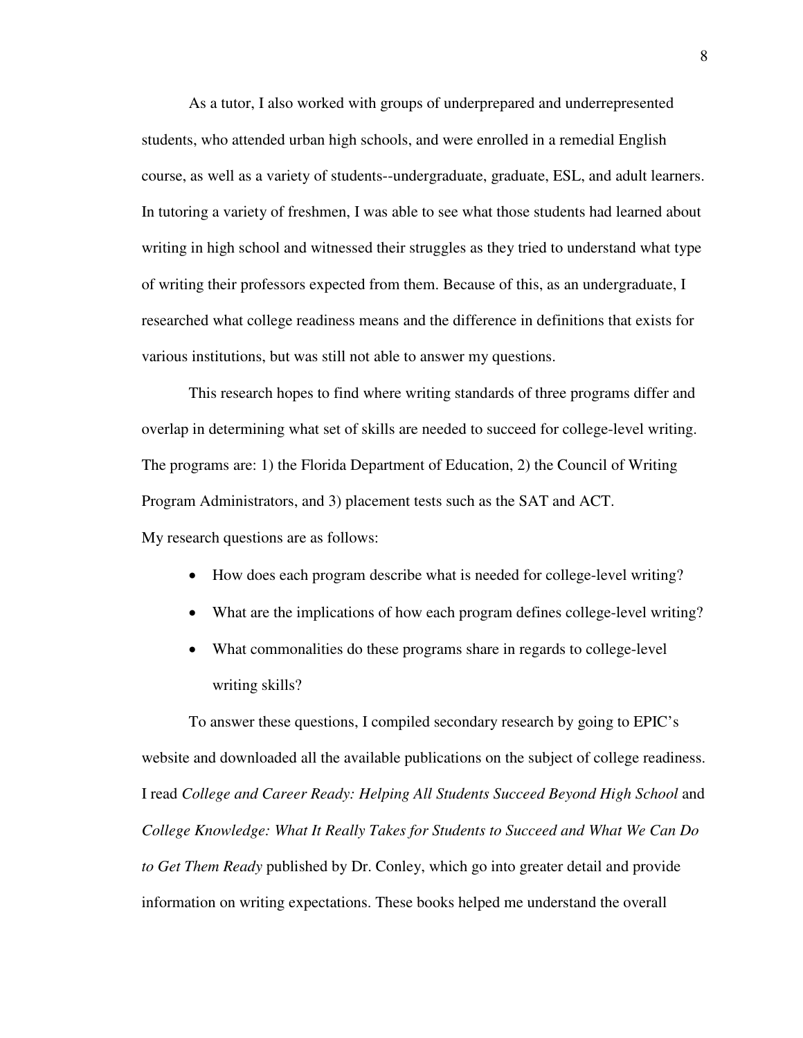As a tutor, I also worked with groups of underprepared and underrepresented students, who attended urban high schools, and were enrolled in a remedial English course, as well as a variety of students--undergraduate, graduate, ESL, and adult learners. In tutoring a variety of freshmen, I was able to see what those students had learned about writing in high school and witnessed their struggles as they tried to understand what type of writing their professors expected from them. Because of this, as an undergraduate, I researched what college readiness means and the difference in definitions that exists for various institutions, but was still not able to answer my questions.

This research hopes to find where writing standards of three programs differ and overlap in determining what set of skills are needed to succeed for college-level writing. The programs are: 1) the Florida Department of Education, 2) the Council of Writing Program Administrators, and 3) placement tests such as the SAT and ACT. My research questions are as follows:

- How does each program describe what is needed for college-level writing?
- What are the implications of how each program defines college-level writing?
- What commonalities do these programs share in regards to college-level writing skills?

To answer these questions, I compiled secondary research by going to EPIC's website and downloaded all the available publications on the subject of college readiness. I read *College and Career Ready: Helping All Students Succeed Beyond High School* and *College Knowledge: What It Really Takes for Students to Succeed and What We Can Do to Get Them Ready* published by Dr. Conley, which go into greater detail and provide information on writing expectations. These books helped me understand the overall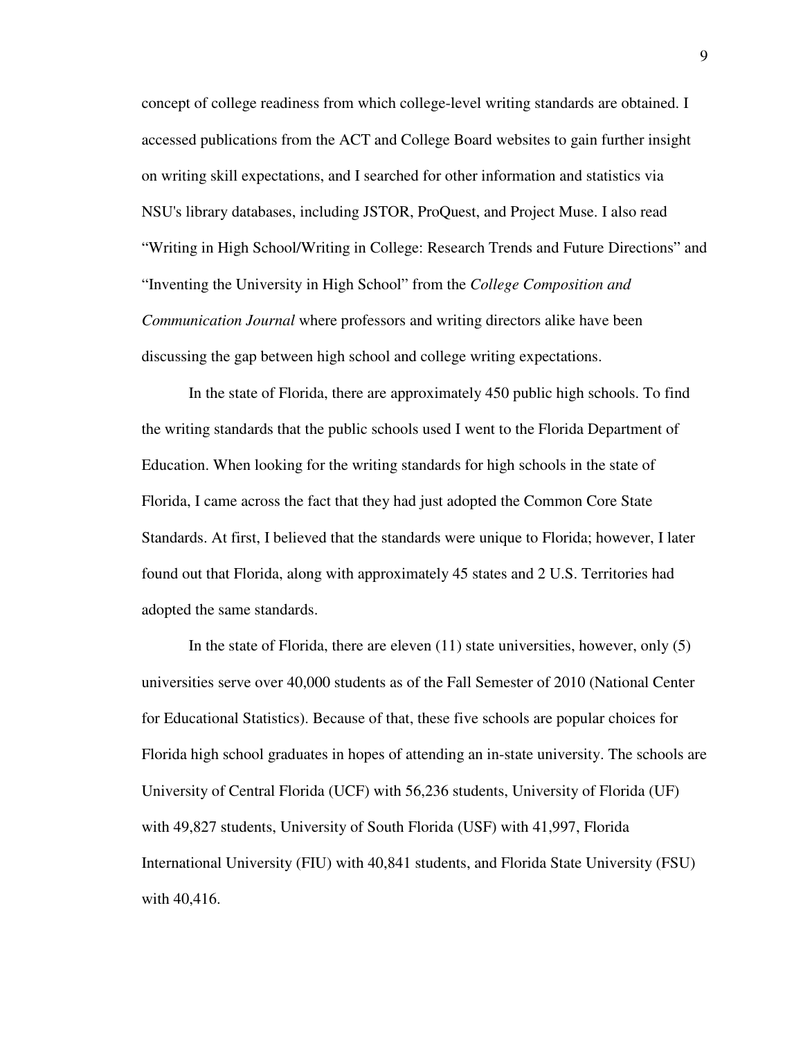concept of college readiness from which college-level writing standards are obtained. I accessed publications from the ACT and College Board websites to gain further insight on writing skill expectations, and I searched for other information and statistics via NSU's library databases, including JSTOR, ProQuest, and Project Muse. I also read "Writing in High School/Writing in College: Research Trends and Future Directions" and "Inventing the University in High School" from the *College Composition and Communication Journal* where professors and writing directors alike have been discussing the gap between high school and college writing expectations.

In the state of Florida, there are approximately 450 public high schools. To find the writing standards that the public schools used I went to the Florida Department of Education. When looking for the writing standards for high schools in the state of Florida, I came across the fact that they had just adopted the Common Core State Standards. At first, I believed that the standards were unique to Florida; however, I later found out that Florida, along with approximately 45 states and 2 U.S. Territories had adopted the same standards.

In the state of Florida, there are eleven (11) state universities, however, only (5) universities serve over 40,000 students as of the Fall Semester of 2010 (National Center for Educational Statistics). Because of that, these five schools are popular choices for Florida high school graduates in hopes of attending an in-state university. The schools are University of Central Florida (UCF) with 56,236 students, University of Florida (UF) with 49,827 students, University of South Florida (USF) with 41,997, Florida International University (FIU) with 40,841 students, and Florida State University (FSU) with 40,416.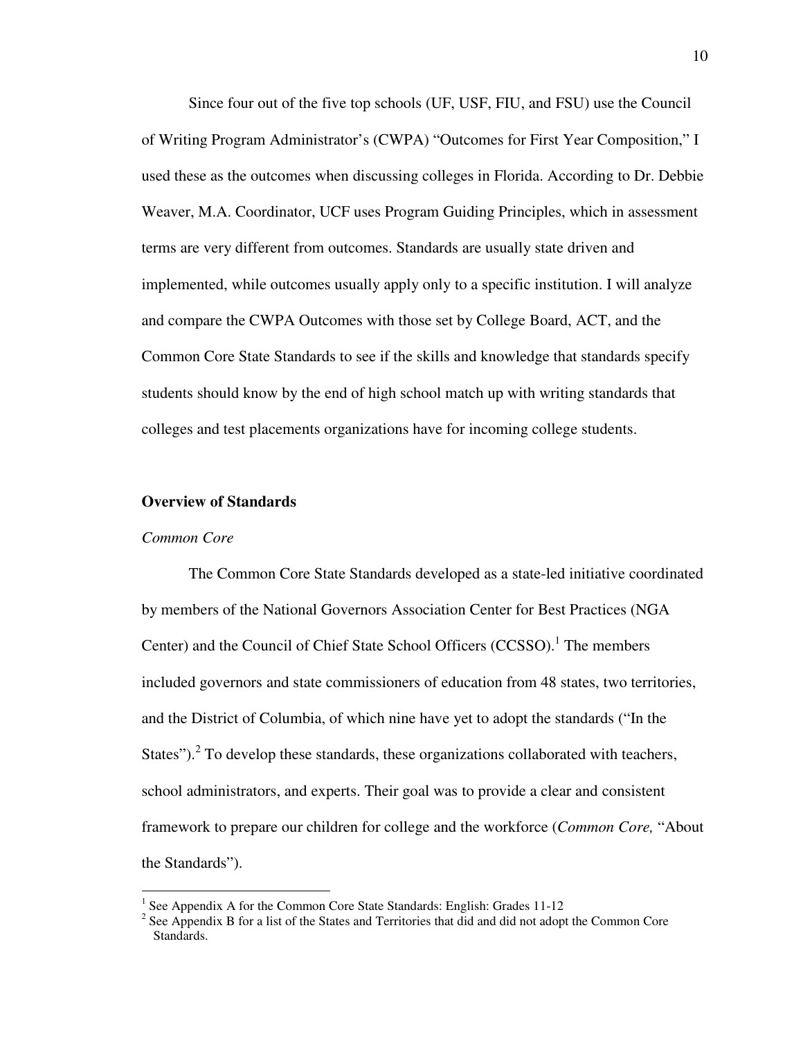Since four out of the five top schools (UF, USF, FIU, and FSU) use the Council of Writing Program Administrator's (CWPA) "Outcomes for First Year Composition," I used these as the outcomes when discussing colleges in Florida. According to Dr. Debbie Weaver, M.A. Coordinator, UCF uses Program Guiding Principles, which in assessment terms are very different from outcomes. Standards are usually state driven and implemented, while outcomes usually apply only to a specific institution. I will analyze and compare the CWPA Outcomes with those set by College Board, ACT, and the Common Core State Standards to see if the skills and knowledge that standards specify students should know by the end of high school match up with writing standards that colleges and test placements organizations have for incoming college students.

#### **Overview of Standards**

#### *Common Core*

<u>.</u>

The Common Core State Standards developed as a state-led initiative coordinated by members of the National Governors Association Center for Best Practices (NGA Center) and the Council of Chief State School Officers (CCSSO).<sup>1</sup> The members included governors and state commissioners of education from 48 states, two territories, and the District of Columbia, of which nine have yet to adopt the standards ("In the States"). $^2$  To develop these standards, these organizations collaborated with teachers, school administrators, and experts. Their goal was to provide a clear and consistent framework to prepare our children for college and the workforce (*Common Core,* "About the Standards").

<sup>&</sup>lt;sup>1</sup> See Appendix A for the Common Core State Standards: English: Grades 11-12

 $2^2$  See Appendix B for a list of the States and Territories that did and did not adopt the Common Core Standards.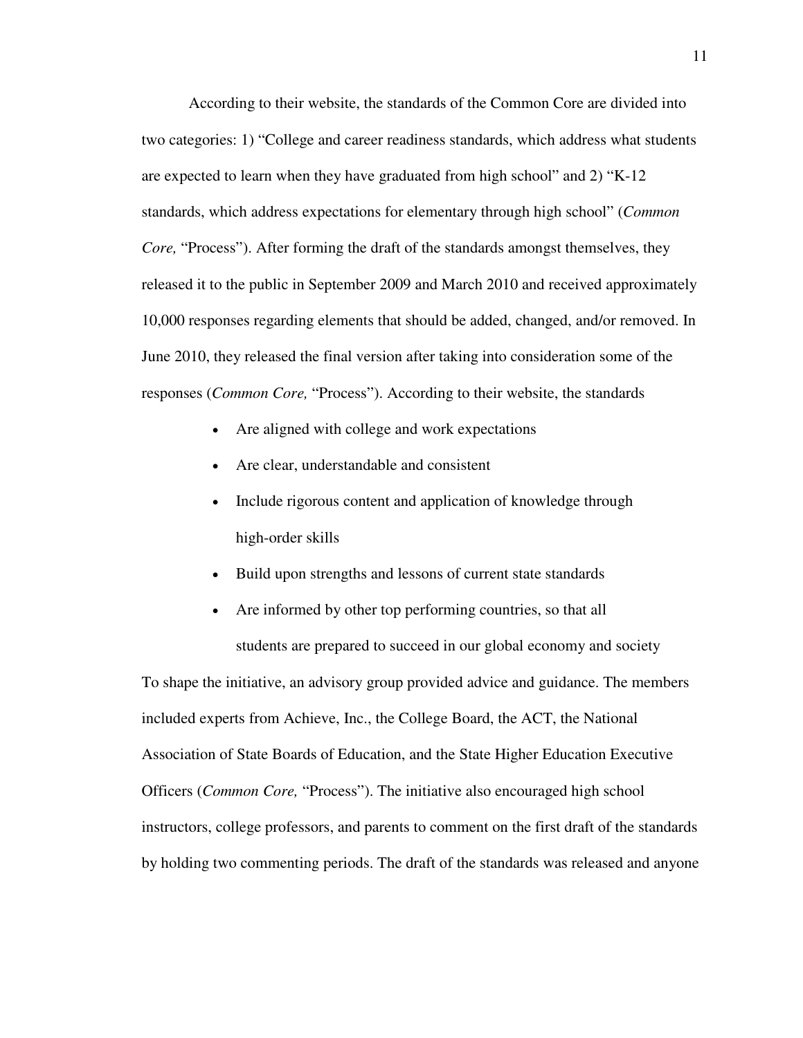According to their website, the standards of the Common Core are divided into two categories: 1) "College and career readiness standards, which address what students are expected to learn when they have graduated from high school" and 2) "K-12 standards, which address expectations for elementary through high school" (*Common Core,* "Process"). After forming the draft of the standards amongst themselves, they released it to the public in September 2009 and March 2010 and received approximately 10,000 responses regarding elements that should be added, changed, and/or removed. In June 2010, they released the final version after taking into consideration some of the responses (*Common Core,* "Process"). According to their website, the standards

- Are aligned with college and work expectations
- Are clear, understandable and consistent
- Include rigorous content and application of knowledge through high-order skills
- Build upon strengths and lessons of current state standards
- Are informed by other top performing countries, so that all students are prepared to succeed in our global economy and society

To shape the initiative, an advisory group provided advice and guidance. The members included experts from Achieve, Inc., the College Board, the ACT, the National Association of State Boards of Education, and the State Higher Education Executive Officers (*Common Core,* "Process"). The initiative also encouraged high school instructors, college professors, and parents to comment on the first draft of the standards by holding two commenting periods. The draft of the standards was released and anyone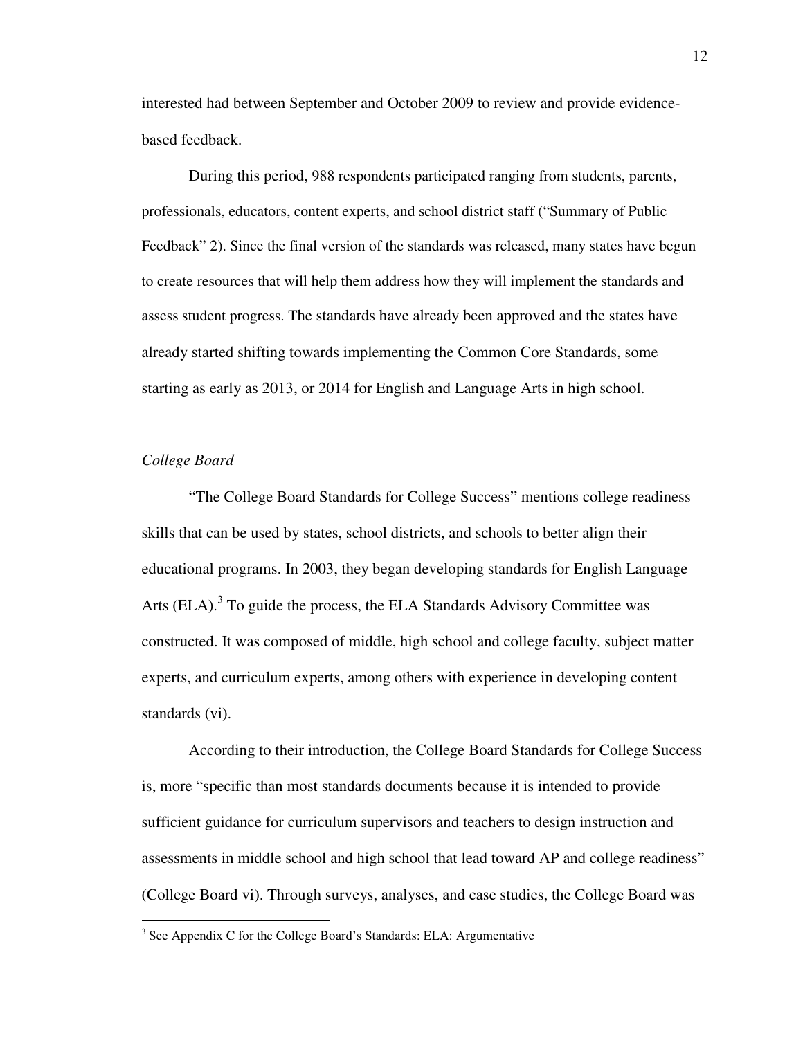interested had between September and October 2009 to review and provide evidencebased feedback.

During this period, 988 respondents participated ranging from students, parents, professionals, educators, content experts, and school district staff ("Summary of Public Feedback" 2). Since the final version of the standards was released, many states have begun to create resources that will help them address how they will implement the standards and assess student progress. The standards have already been approved and the states have already started shifting towards implementing the Common Core Standards, some starting as early as 2013, or 2014 for English and Language Arts in high school.

#### *College Board*

<u>.</u>

"The College Board Standards for College Success" mentions college readiness skills that can be used by states, school districts, and schools to better align their educational programs. In 2003, they began developing standards for English Language Arts (ELA).<sup>3</sup> To guide the process, the ELA Standards Advisory Committee was constructed. It was composed of middle, high school and college faculty, subject matter experts, and curriculum experts, among others with experience in developing content standards (vi).

According to their introduction, the College Board Standards for College Success is, more "specific than most standards documents because it is intended to provide sufficient guidance for curriculum supervisors and teachers to design instruction and assessments in middle school and high school that lead toward AP and college readiness" (College Board vi). Through surveys, analyses, and case studies, the College Board was

 $3$  See Appendix C for the College Board's Standards: ELA: Argumentative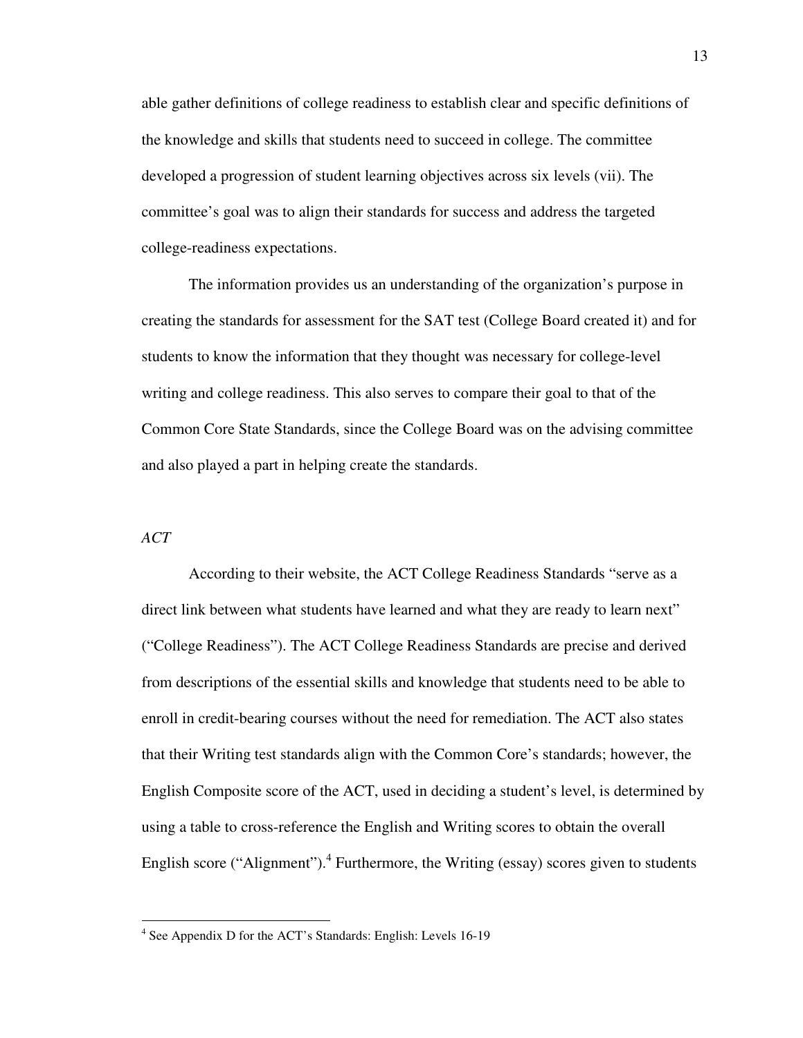able gather definitions of college readiness to establish clear and specific definitions of the knowledge and skills that students need to succeed in college. The committee developed a progression of student learning objectives across six levels (vii). The committee's goal was to align their standards for success and address the targeted college-readiness expectations.

The information provides us an understanding of the organization's purpose in creating the standards for assessment for the SAT test (College Board created it) and for students to know the information that they thought was necessary for college-level writing and college readiness. This also serves to compare their goal to that of the Common Core State Standards, since the College Board was on the advising committee and also played a part in helping create the standards.

#### *ACT*

 $\overline{a}$ 

According to their website, the ACT College Readiness Standards "serve as a direct link between what students have learned and what they are ready to learn next" ("College Readiness"). The ACT College Readiness Standards are precise and derived from descriptions of the essential skills and knowledge that students need to be able to enroll in credit-bearing courses without the need for remediation. The ACT also states that their Writing test standards align with the Common Core's standards; however, the English Composite score of the ACT, used in deciding a student's level, is determined by using a table to cross-reference the English and Writing scores to obtain the overall English score ("Alignment").<sup>4</sup> Furthermore, the Writing (essay) scores given to students

<sup>4</sup> See Appendix D for the ACT's Standards: English: Levels 16-19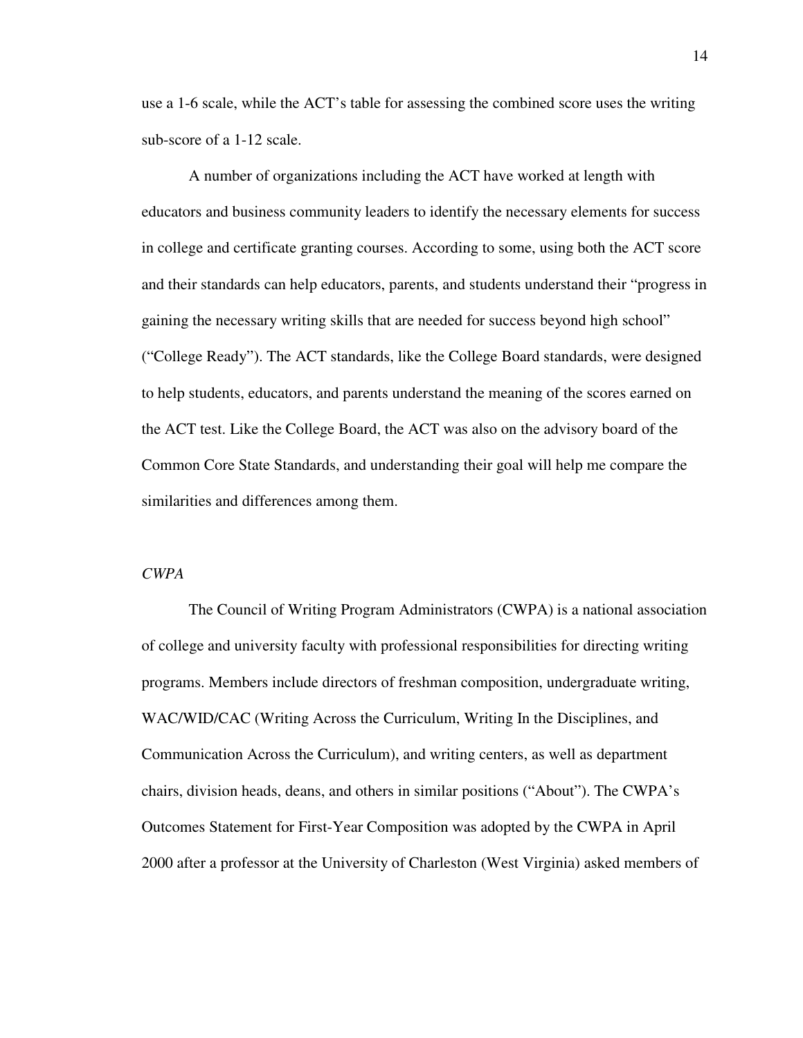use a 1-6 scale, while the ACT's table for assessing the combined score uses the writing sub-score of a 1-12 scale.

A number of organizations including the ACT have worked at length with educators and business community leaders to identify the necessary elements for success in college and certificate granting courses. According to some, using both the ACT score and their standards can help educators, parents, and students understand their "progress in gaining the necessary writing skills that are needed for success beyond high school" ("College Ready"). The ACT standards, like the College Board standards, were designed to help students, educators, and parents understand the meaning of the scores earned on the ACT test. Like the College Board, the ACT was also on the advisory board of the Common Core State Standards, and understanding their goal will help me compare the similarities and differences among them.

#### *CWPA*

The Council of Writing Program Administrators (CWPA) is a national association of college and university faculty with professional responsibilities for directing writing programs. Members include directors of freshman composition, undergraduate writing, WAC/WID/CAC (Writing Across the Curriculum, Writing In the Disciplines, and Communication Across the Curriculum), and writing centers, as well as department chairs, division heads, deans, and others in similar positions ("About"). The CWPA's Outcomes Statement for First-Year Composition was adopted by the CWPA in April 2000 after a professor at the University of Charleston (West Virginia) asked members of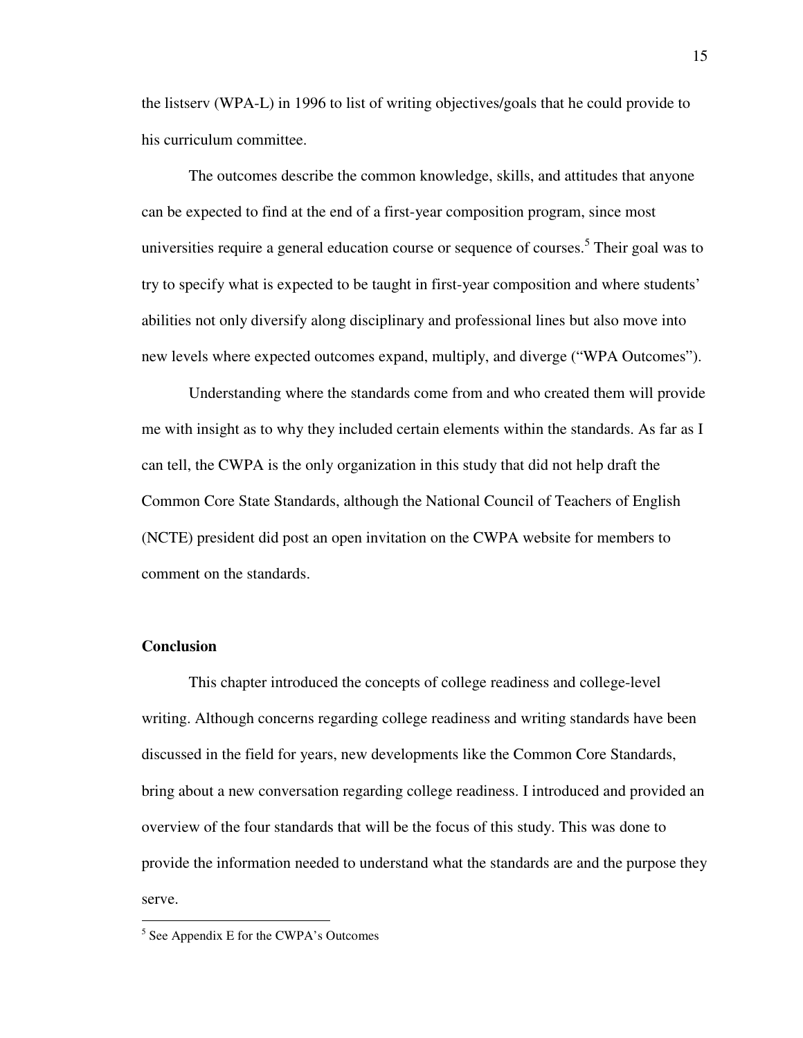the listserv (WPA-L) in 1996 to list of writing objectives/goals that he could provide to his curriculum committee.

The outcomes describe the common knowledge, skills, and attitudes that anyone can be expected to find at the end of a first-year composition program, since most universities require a general education course or sequence of courses.<sup>5</sup> Their goal was to try to specify what is expected to be taught in first-year composition and where students' abilities not only diversify along disciplinary and professional lines but also move into new levels where expected outcomes expand, multiply, and diverge ("WPA Outcomes").

Understanding where the standards come from and who created them will provide me with insight as to why they included certain elements within the standards. As far as I can tell, the CWPA is the only organization in this study that did not help draft the Common Core State Standards, although the National Council of Teachers of English (NCTE) president did post an open invitation on the CWPA website for members to comment on the standards.

#### **Conclusion**

This chapter introduced the concepts of college readiness and college-level writing. Although concerns regarding college readiness and writing standards have been discussed in the field for years, new developments like the Common Core Standards, bring about a new conversation regarding college readiness. I introduced and provided an overview of the four standards that will be the focus of this study. This was done to provide the information needed to understand what the standards are and the purpose they serve.

 5 See Appendix E for the CWPA's Outcomes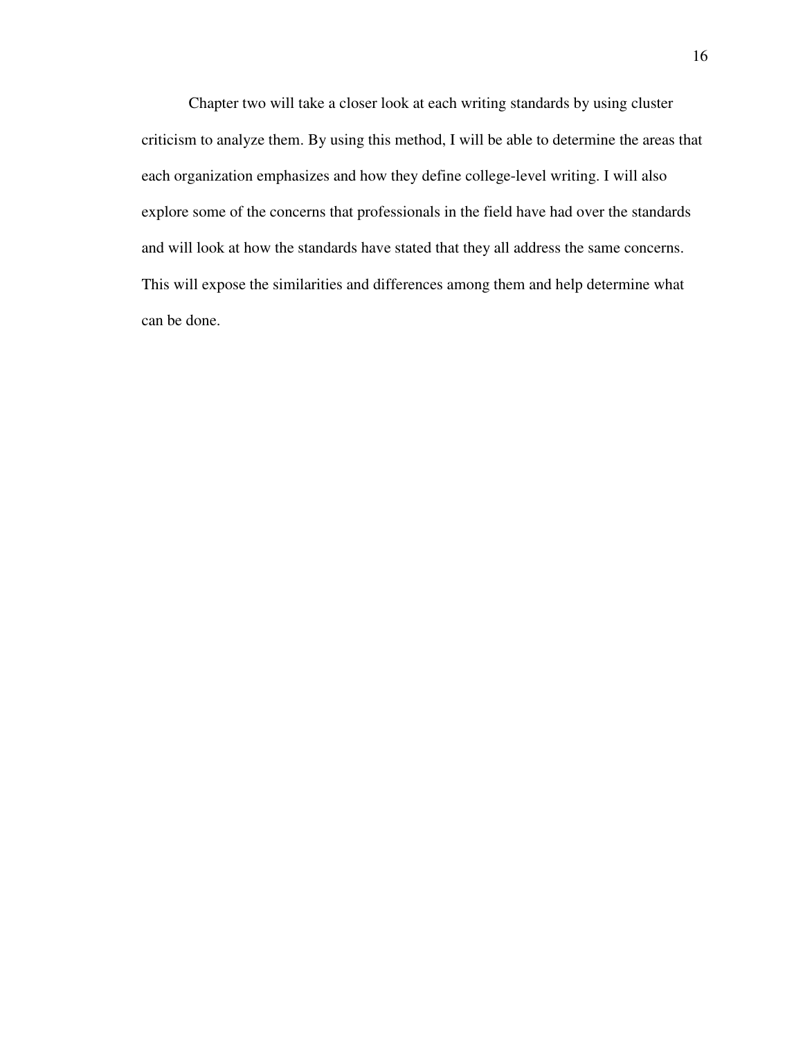Chapter two will take a closer look at each writing standards by using cluster criticism to analyze them. By using this method, I will be able to determine the areas that each organization emphasizes and how they define college-level writing. I will also explore some of the concerns that professionals in the field have had over the standards and will look at how the standards have stated that they all address the same concerns. This will expose the similarities and differences among them and help determine what can be done.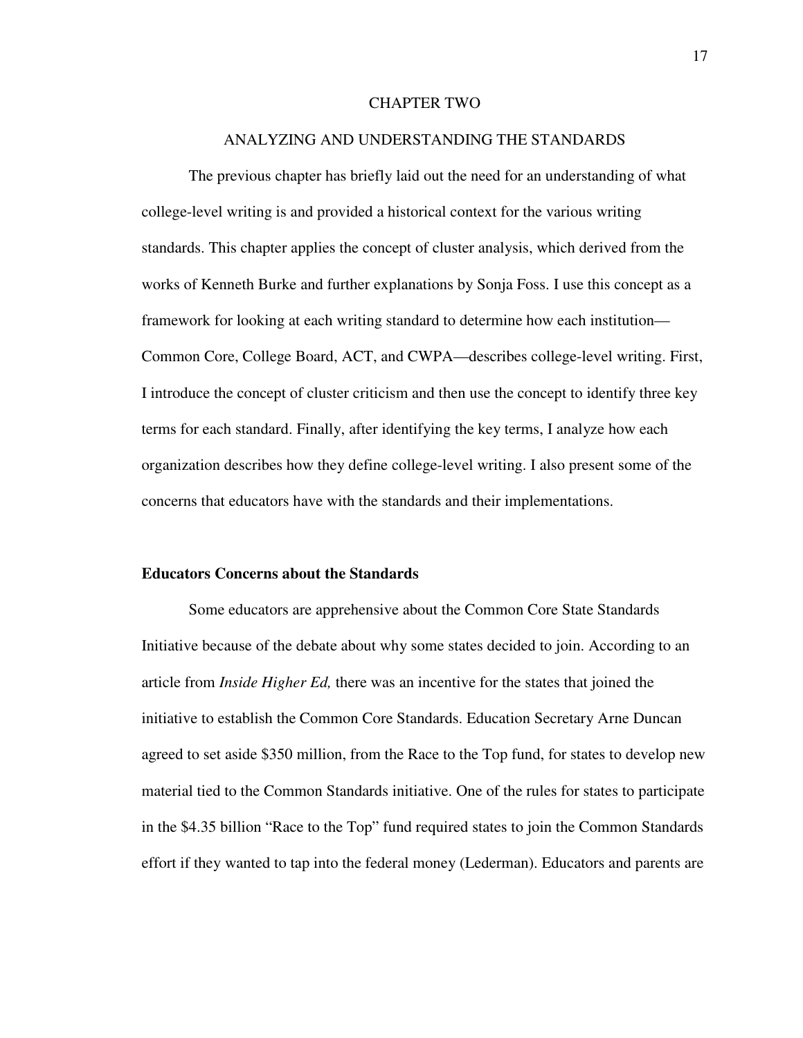#### CHAPTER TWO

#### ANALYZING AND UNDERSTANDING THE STANDARDS

The previous chapter has briefly laid out the need for an understanding of what college-level writing is and provided a historical context for the various writing standards. This chapter applies the concept of cluster analysis, which derived from the works of Kenneth Burke and further explanations by Sonja Foss. I use this concept as a framework for looking at each writing standard to determine how each institution— Common Core, College Board, ACT, and CWPA—describes college-level writing. First, I introduce the concept of cluster criticism and then use the concept to identify three key terms for each standard. Finally, after identifying the key terms, I analyze how each organization describes how they define college-level writing. I also present some of the concerns that educators have with the standards and their implementations.

#### **Educators Concerns about the Standards**

 Some educators are apprehensive about the Common Core State Standards Initiative because of the debate about why some states decided to join. According to an article from *Inside Higher Ed,* there was an incentive for the states that joined the initiative to establish the Common Core Standards. Education Secretary Arne Duncan agreed to set aside \$350 million, from the Race to the Top fund, for states to develop new material tied to the Common Standards initiative. One of the rules for states to participate in the \$4.35 billion "Race to the Top" fund required states to join the Common Standards effort if they wanted to tap into the federal money (Lederman). Educators and parents are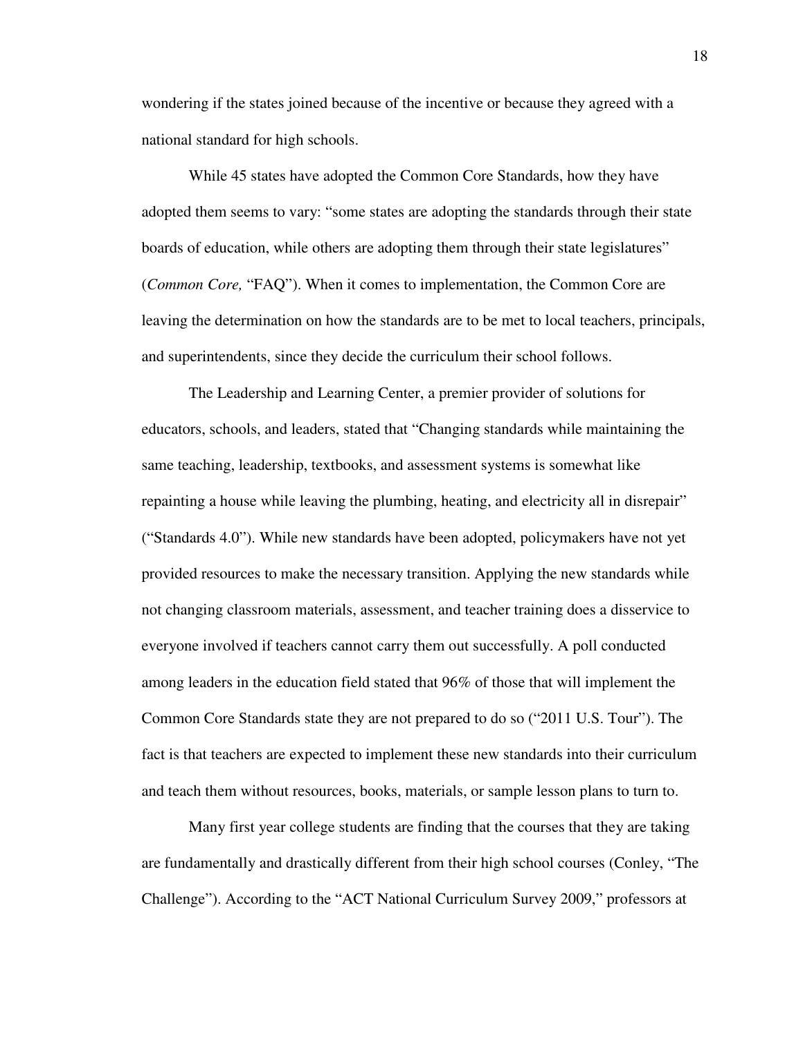wondering if the states joined because of the incentive or because they agreed with a national standard for high schools.

 While 45 states have adopted the Common Core Standards, how they have adopted them seems to vary: "some states are adopting the standards through their state boards of education, while others are adopting them through their state legislatures" (*Common Core,* "FAQ"). When it comes to implementation, the Common Core are leaving the determination on how the standards are to be met to local teachers, principals, and superintendents, since they decide the curriculum their school follows.

 The Leadership and Learning Center, a premier provider of solutions for educators, schools, and leaders, stated that "Changing standards while maintaining the same teaching, leadership, textbooks, and assessment systems is somewhat like repainting a house while leaving the plumbing, heating, and electricity all in disrepair" ("Standards 4.0"). While new standards have been adopted, policymakers have not yet provided resources to make the necessary transition. Applying the new standards while not changing classroom materials, assessment, and teacher training does a disservice to everyone involved if teachers cannot carry them out successfully. A poll conducted among leaders in the education field stated that 96% of those that will implement the Common Core Standards state they are not prepared to do so ("2011 U.S. Tour"). The fact is that teachers are expected to implement these new standards into their curriculum and teach them without resources, books, materials, or sample lesson plans to turn to.

Many first year college students are finding that the courses that they are taking are fundamentally and drastically different from their high school courses (Conley, "The Challenge"). According to the "ACT National Curriculum Survey 2009," professors at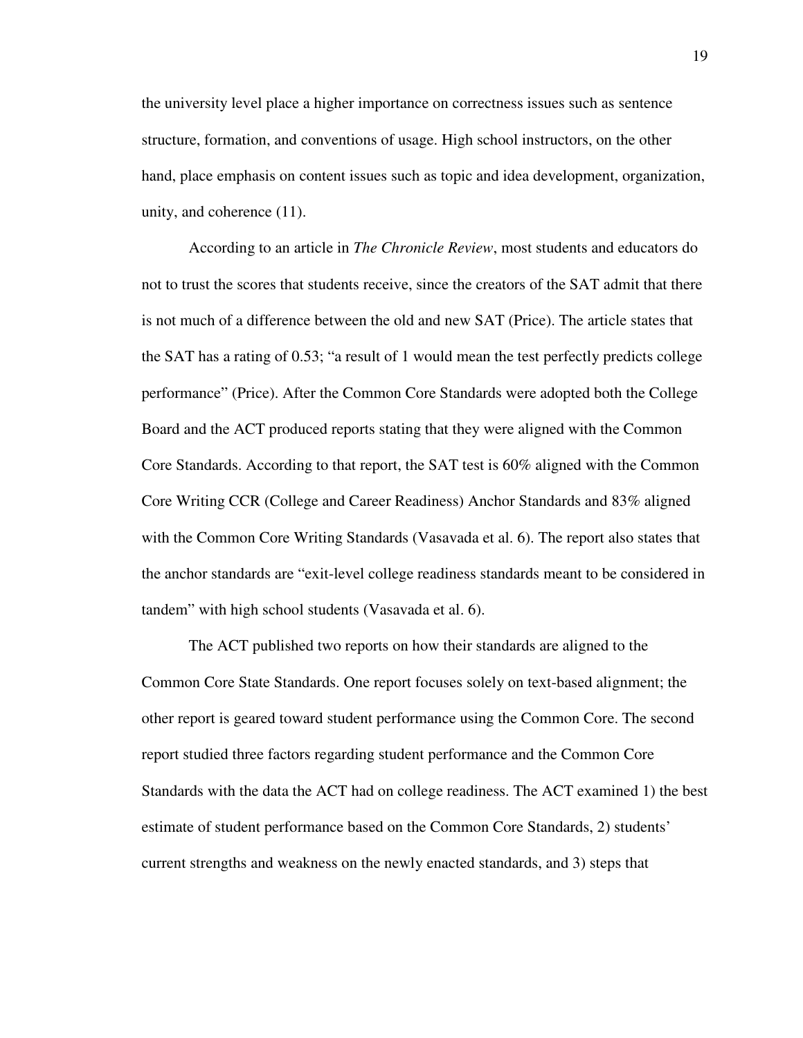the university level place a higher importance on correctness issues such as sentence structure, formation, and conventions of usage. High school instructors, on the other hand, place emphasis on content issues such as topic and idea development, organization, unity, and coherence (11).

According to an article in *The Chronicle Review*, most students and educators do not to trust the scores that students receive, since the creators of the SAT admit that there is not much of a difference between the old and new SAT (Price). The article states that the SAT has a rating of 0.53; "a result of 1 would mean the test perfectly predicts college performance" (Price). After the Common Core Standards were adopted both the College Board and the ACT produced reports stating that they were aligned with the Common Core Standards. According to that report, the SAT test is 60% aligned with the Common Core Writing CCR (College and Career Readiness) Anchor Standards and 83% aligned with the Common Core Writing Standards (Vasavada et al. 6). The report also states that the anchor standards are "exit-level college readiness standards meant to be considered in tandem" with high school students (Vasavada et al. 6).

The ACT published two reports on how their standards are aligned to the Common Core State Standards. One report focuses solely on text-based alignment; the other report is geared toward student performance using the Common Core. The second report studied three factors regarding student performance and the Common Core Standards with the data the ACT had on college readiness. The ACT examined 1) the best estimate of student performance based on the Common Core Standards, 2) students' current strengths and weakness on the newly enacted standards, and 3) steps that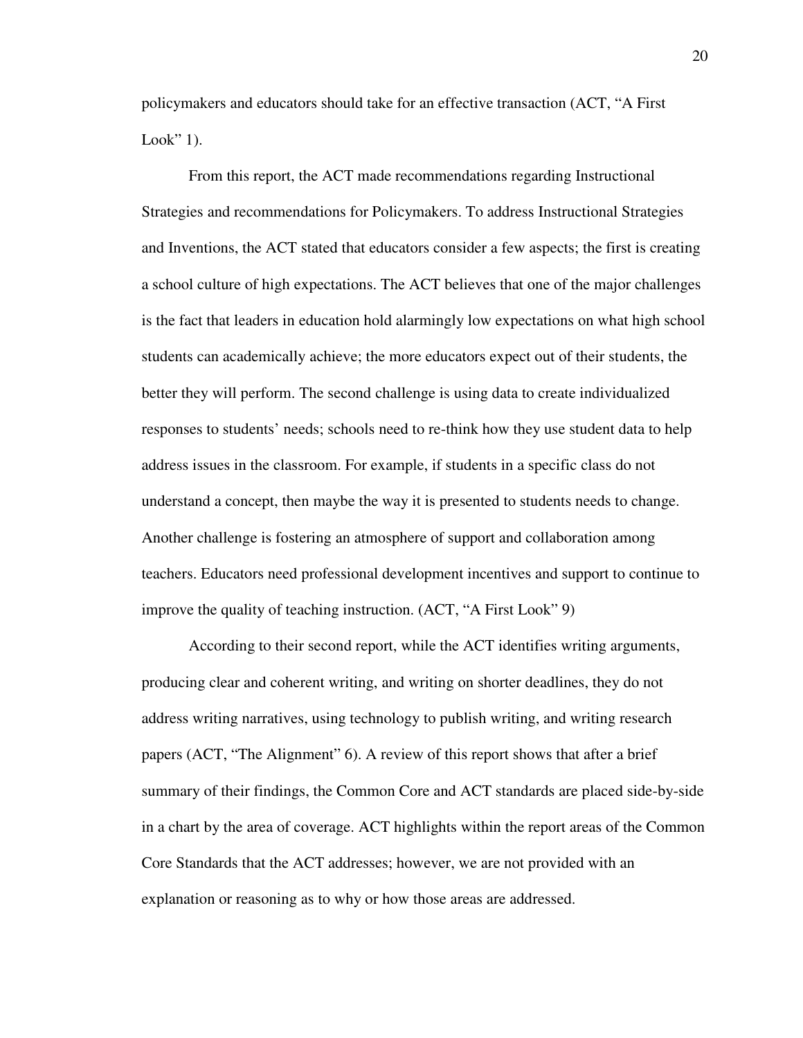policymakers and educators should take for an effective transaction (ACT, "A First Look" 1).

From this report, the ACT made recommendations regarding Instructional Strategies and recommendations for Policymakers. To address Instructional Strategies and Inventions, the ACT stated that educators consider a few aspects; the first is creating a school culture of high expectations. The ACT believes that one of the major challenges is the fact that leaders in education hold alarmingly low expectations on what high school students can academically achieve; the more educators expect out of their students, the better they will perform. The second challenge is using data to create individualized responses to students' needs; schools need to re-think how they use student data to help address issues in the classroom. For example, if students in a specific class do not understand a concept, then maybe the way it is presented to students needs to change. Another challenge is fostering an atmosphere of support and collaboration among teachers. Educators need professional development incentives and support to continue to improve the quality of teaching instruction. (ACT, "A First Look" 9)

According to their second report, while the ACT identifies writing arguments, producing clear and coherent writing, and writing on shorter deadlines, they do not address writing narratives, using technology to publish writing, and writing research papers (ACT, "The Alignment" 6). A review of this report shows that after a brief summary of their findings, the Common Core and ACT standards are placed side-by-side in a chart by the area of coverage. ACT highlights within the report areas of the Common Core Standards that the ACT addresses; however, we are not provided with an explanation or reasoning as to why or how those areas are addressed.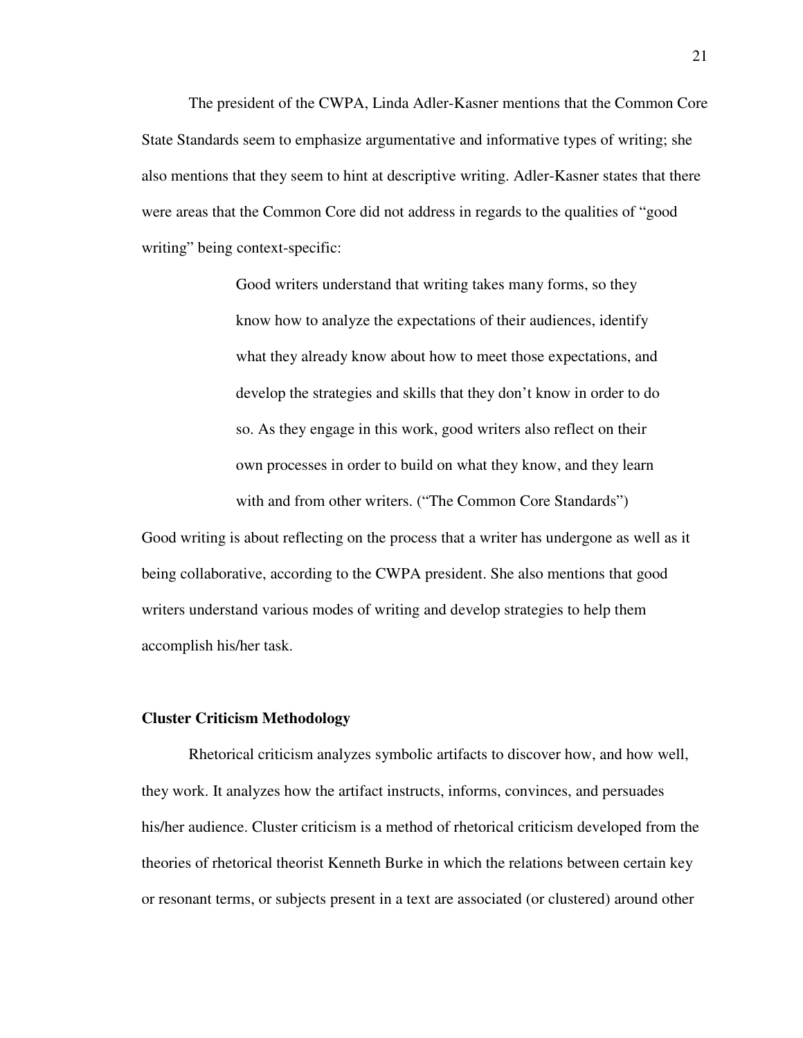The president of the CWPA, Linda Adler-Kasner mentions that the Common Core State Standards seem to emphasize argumentative and informative types of writing; she also mentions that they seem to hint at descriptive writing. Adler-Kasner states that there were areas that the Common Core did not address in regards to the qualities of "good writing" being context-specific:

> Good writers understand that writing takes many forms, so they know how to analyze the expectations of their audiences, identify what they already know about how to meet those expectations, and develop the strategies and skills that they don't know in order to do so. As they engage in this work, good writers also reflect on their own processes in order to build on what they know, and they learn with and from other writers. ("The Common Core Standards")

Good writing is about reflecting on the process that a writer has undergone as well as it being collaborative, according to the CWPA president. She also mentions that good writers understand various modes of writing and develop strategies to help them accomplish his/her task.

#### **Cluster Criticism Methodology**

Rhetorical criticism analyzes symbolic artifacts to discover how, and how well, they work. It analyzes how the artifact instructs, informs, convinces, and persuades his/her audience. Cluster criticism is a method of rhetorical criticism developed from the theories of rhetorical theorist Kenneth Burke in which the relations between certain key or resonant terms, or subjects present in a text are associated (or clustered) around other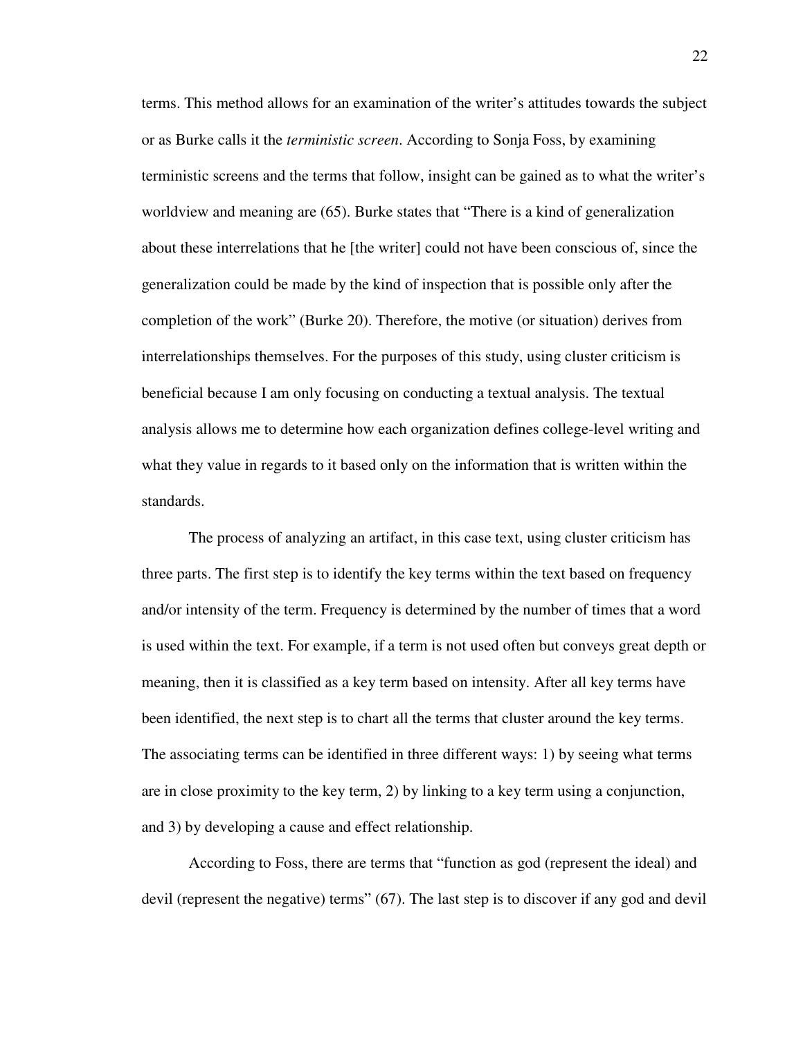terms. This method allows for an examination of the writer's attitudes towards the subject or as Burke calls it the *terministic screen*. According to Sonja Foss, by examining terministic screens and the terms that follow, insight can be gained as to what the writer's worldview and meaning are (65). Burke states that "There is a kind of generalization about these interrelations that he [the writer] could not have been conscious of, since the generalization could be made by the kind of inspection that is possible only after the completion of the work" (Burke 20). Therefore, the motive (or situation) derives from interrelationships themselves. For the purposes of this study, using cluster criticism is beneficial because I am only focusing on conducting a textual analysis. The textual analysis allows me to determine how each organization defines college-level writing and what they value in regards to it based only on the information that is written within the standards.

The process of analyzing an artifact, in this case text, using cluster criticism has three parts. The first step is to identify the key terms within the text based on frequency and/or intensity of the term. Frequency is determined by the number of times that a word is used within the text. For example, if a term is not used often but conveys great depth or meaning, then it is classified as a key term based on intensity. After all key terms have been identified, the next step is to chart all the terms that cluster around the key terms. The associating terms can be identified in three different ways: 1) by seeing what terms are in close proximity to the key term, 2) by linking to a key term using a conjunction, and 3) by developing a cause and effect relationship.

According to Foss, there are terms that "function as god (represent the ideal) and devil (represent the negative) terms" (67). The last step is to discover if any god and devil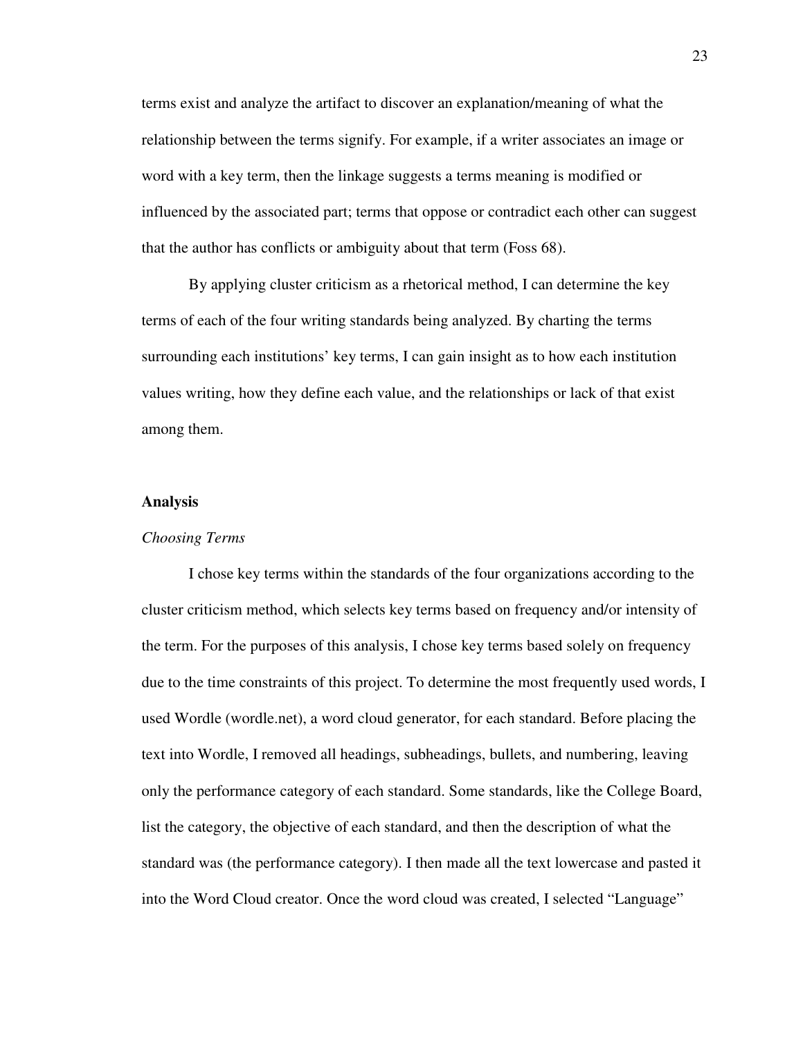terms exist and analyze the artifact to discover an explanation/meaning of what the relationship between the terms signify. For example, if a writer associates an image or word with a key term, then the linkage suggests a terms meaning is modified or influenced by the associated part; terms that oppose or contradict each other can suggest that the author has conflicts or ambiguity about that term (Foss 68).

By applying cluster criticism as a rhetorical method, I can determine the key terms of each of the four writing standards being analyzed. By charting the terms surrounding each institutions' key terms, I can gain insight as to how each institution values writing, how they define each value, and the relationships or lack of that exist among them.

#### **Analysis**

#### *Choosing Terms*

I chose key terms within the standards of the four organizations according to the cluster criticism method, which selects key terms based on frequency and/or intensity of the term. For the purposes of this analysis, I chose key terms based solely on frequency due to the time constraints of this project. To determine the most frequently used words, I used Wordle (wordle.net), a word cloud generator, for each standard. Before placing the text into Wordle, I removed all headings, subheadings, bullets, and numbering, leaving only the performance category of each standard. Some standards, like the College Board, list the category, the objective of each standard, and then the description of what the standard was (the performance category). I then made all the text lowercase and pasted it into the Word Cloud creator. Once the word cloud was created, I selected "Language"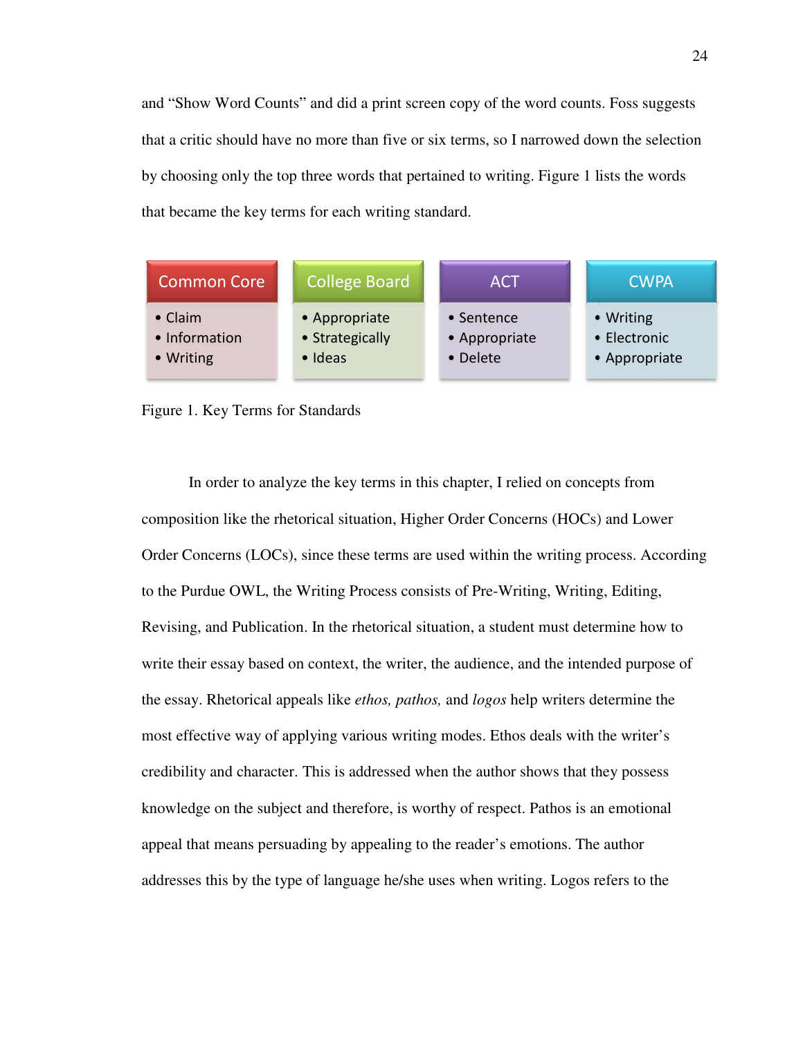and "Show Word Counts" and did a print screen copy of the word counts. Foss suggests that a critic should have no more than five or six terms, so I narrowed down the selection by choosing only the top three words that pertained to writing. Figure 1 lists the words that became the key terms for each writing standard.

| <b>Common Core</b> | <b>College Board</b> | <b>ACT</b>    | <b>CWPA</b>   |
|--------------------|----------------------|---------------|---------------|
| $\bullet$ Claim    | • Appropriate        | • Sentence    | • Writing     |
| • Information      | • Strategically      | • Appropriate | • Electronic  |
| • Writing          | $\bullet$ Ideas      | • Delete      | • Appropriate |

Figure 1. Key Terms for Standards

In order to analyze the key terms in this chapter, I relied on concepts from composition like the rhetorical situation, Higher Order Concerns (HOCs) and Lower Order Concerns (LOCs), since these terms are used within the writing process. According to the Purdue OWL, the Writing Process consists of Pre-Writing, Writing, Editing, Revising, and Publication. In the rhetorical situation, a student must determine how to write their essay based on context, the writer, the audience, and the intended purpose of the essay. Rhetorical appeals like *ethos, pathos,* and *logos* help writers determine the most effective way of applying various writing modes. Ethos deals with the writer's most effective way of applying various writing modes. Ethos deals with the writer's<br>credibility and character. This is addressed when the author shows that they possess knowledge on the subject and therefore, is worthy of respect. Pathos is an emotional appeal that means persuading by appealing to the reader's emotions. The author addresses this by the type of language he/she uses when writing. Logos refers to the College Board<br>
• Appropriate<br>
• Strategically<br>
• Ideas<br>
• Delete<br>
• Ideas<br>
• Delete<br>
• Ideas<br>
• Delete<br>
• The College Board<br>
• Delete<br>
• Delete<br>
• Delete<br>
• Delete<br>
• Delete<br>
• Delete<br>
• Delete<br>
• Delete<br>
• Nels Persuading **EXECTE OF A SECUTE OF A SECUTE OF A SECUTE OF A SECUTION ADDEDINGTRET SERVIDE A SECUTE A SECUTION And Lower the writing process. According, Writing, Editing, ent must determine how than the intended purpose elp writers de**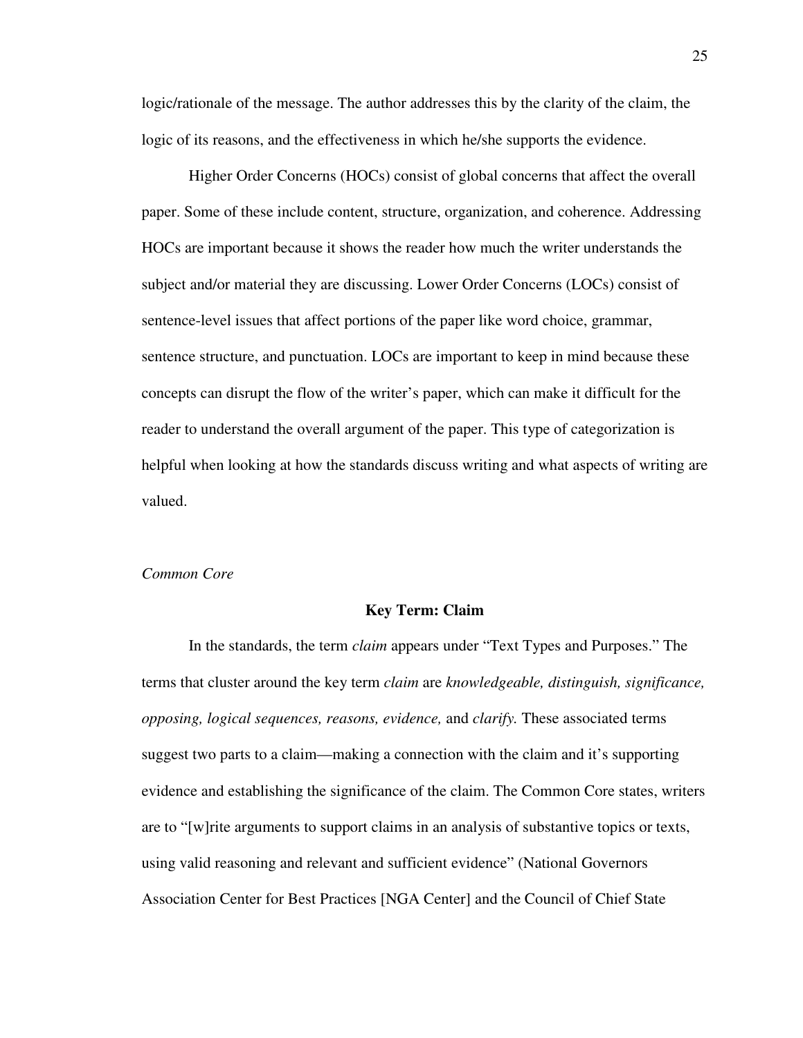logic/rationale of the message. The author addresses this by the clarity of the claim, the logic of its reasons, and the effectiveness in which he/she supports the evidence.

Higher Order Concerns (HOCs) consist of global concerns that affect the overall paper. Some of these include content, structure, organization, and coherence. Addressing HOCs are important because it shows the reader how much the writer understands the subject and/or material they are discussing. Lower Order Concerns (LOCs) consist of sentence-level issues that affect portions of the paper like word choice, grammar, sentence structure, and punctuation. LOCs are important to keep in mind because these concepts can disrupt the flow of the writer's paper, which can make it difficult for the reader to understand the overall argument of the paper. This type of categorization is helpful when looking at how the standards discuss writing and what aspects of writing are valued.

#### *Common Core*

#### **Key Term: Claim**

 In the standards, the term *claim* appears under "Text Types and Purposes." The terms that cluster around the key term *claim* are *knowledgeable, distinguish, significance, opposing, logical sequences, reasons, evidence,* and *clarify.* These associated terms suggest two parts to a claim—making a connection with the claim and it's supporting evidence and establishing the significance of the claim. The Common Core states, writers are to "[w]rite arguments to support claims in an analysis of substantive topics or texts, using valid reasoning and relevant and sufficient evidence" (National Governors Association Center for Best Practices [NGA Center] and the Council of Chief State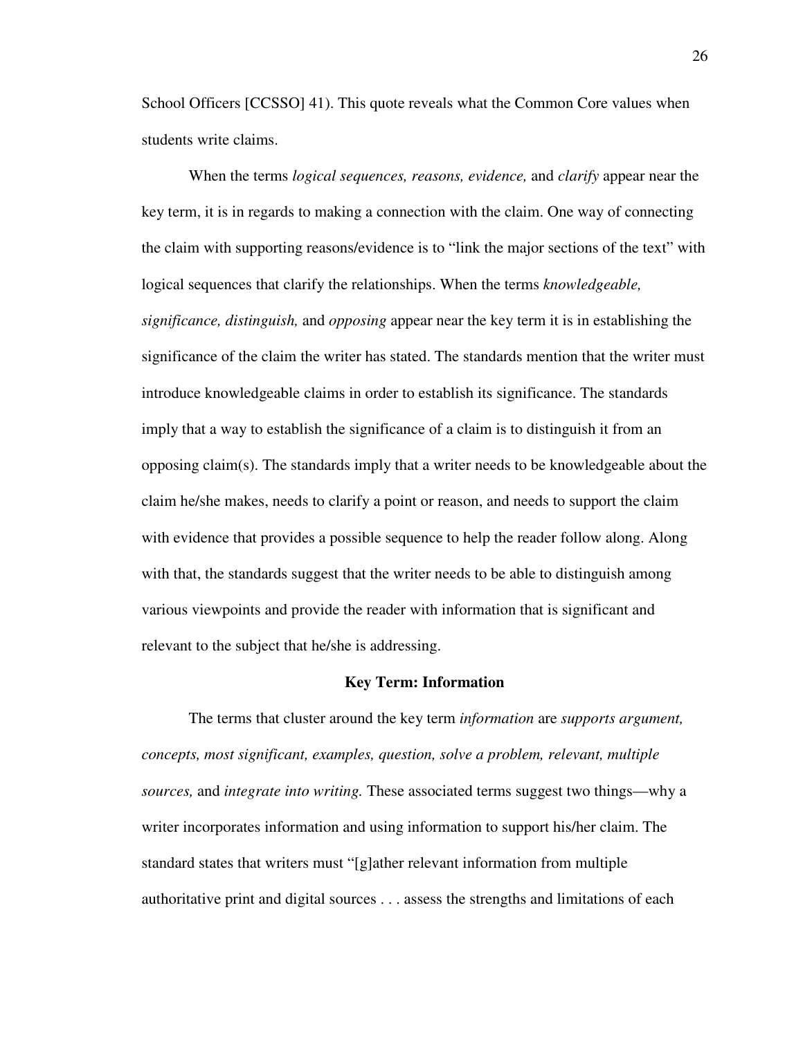School Officers [CCSSO] 41). This quote reveals what the Common Core values when students write claims.

 When the terms *logical sequences, reasons, evidence,* and *clarify* appear near the key term, it is in regards to making a connection with the claim. One way of connecting the claim with supporting reasons/evidence is to "link the major sections of the text" with logical sequences that clarify the relationships. When the terms *knowledgeable, significance, distinguish,* and *opposing* appear near the key term it is in establishing the significance of the claim the writer has stated. The standards mention that the writer must introduce knowledgeable claims in order to establish its significance. The standards imply that a way to establish the significance of a claim is to distinguish it from an opposing claim(s). The standards imply that a writer needs to be knowledgeable about the claim he/she makes, needs to clarify a point or reason, and needs to support the claim with evidence that provides a possible sequence to help the reader follow along. Along with that, the standards suggest that the writer needs to be able to distinguish among various viewpoints and provide the reader with information that is significant and relevant to the subject that he/she is addressing.

#### **Key Term: Information**

 The terms that cluster around the key term *information* are *supports argument, concepts, most significant, examples, question, solve a problem, relevant, multiple sources,* and *integrate into writing.* These associated terms suggest two things—why a writer incorporates information and using information to support his/her claim. The standard states that writers must "[g]ather relevant information from multiple authoritative print and digital sources . . . assess the strengths and limitations of each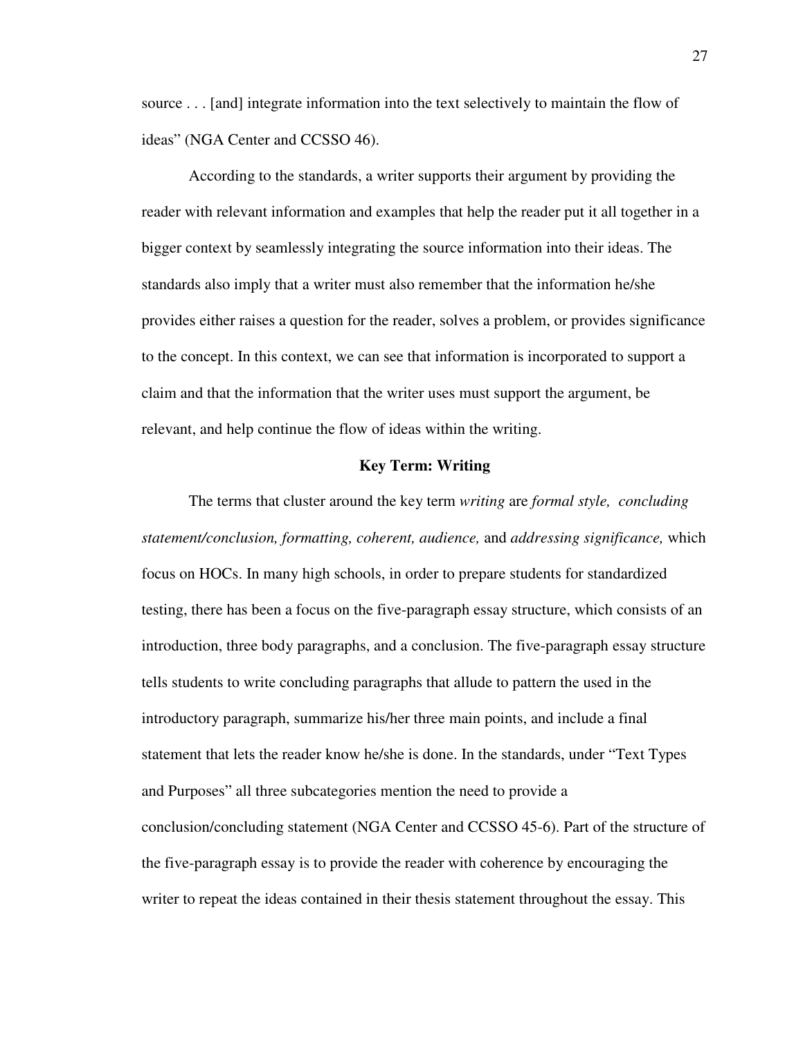source . . . [and] integrate information into the text selectively to maintain the flow of ideas" (NGA Center and CCSSO 46).

According to the standards, a writer supports their argument by providing the reader with relevant information and examples that help the reader put it all together in a bigger context by seamlessly integrating the source information into their ideas. The standards also imply that a writer must also remember that the information he/she provides either raises a question for the reader, solves a problem, or provides significance to the concept. In this context, we can see that information is incorporated to support a claim and that the information that the writer uses must support the argument, be relevant, and help continue the flow of ideas within the writing.

#### **Key Term: Writing**

The terms that cluster around the key term *writing* are *formal style, concluding statement/conclusion, formatting, coherent, audience,* and *addressing significance,* which focus on HOCs. In many high schools, in order to prepare students for standardized testing, there has been a focus on the five-paragraph essay structure, which consists of an introduction, three body paragraphs, and a conclusion. The five-paragraph essay structure tells students to write concluding paragraphs that allude to pattern the used in the introductory paragraph, summarize his/her three main points, and include a final statement that lets the reader know he/she is done. In the standards, under "Text Types and Purposes" all three subcategories mention the need to provide a conclusion/concluding statement (NGA Center and CCSSO 45-6). Part of the structure of the five-paragraph essay is to provide the reader with coherence by encouraging the writer to repeat the ideas contained in their thesis statement throughout the essay. This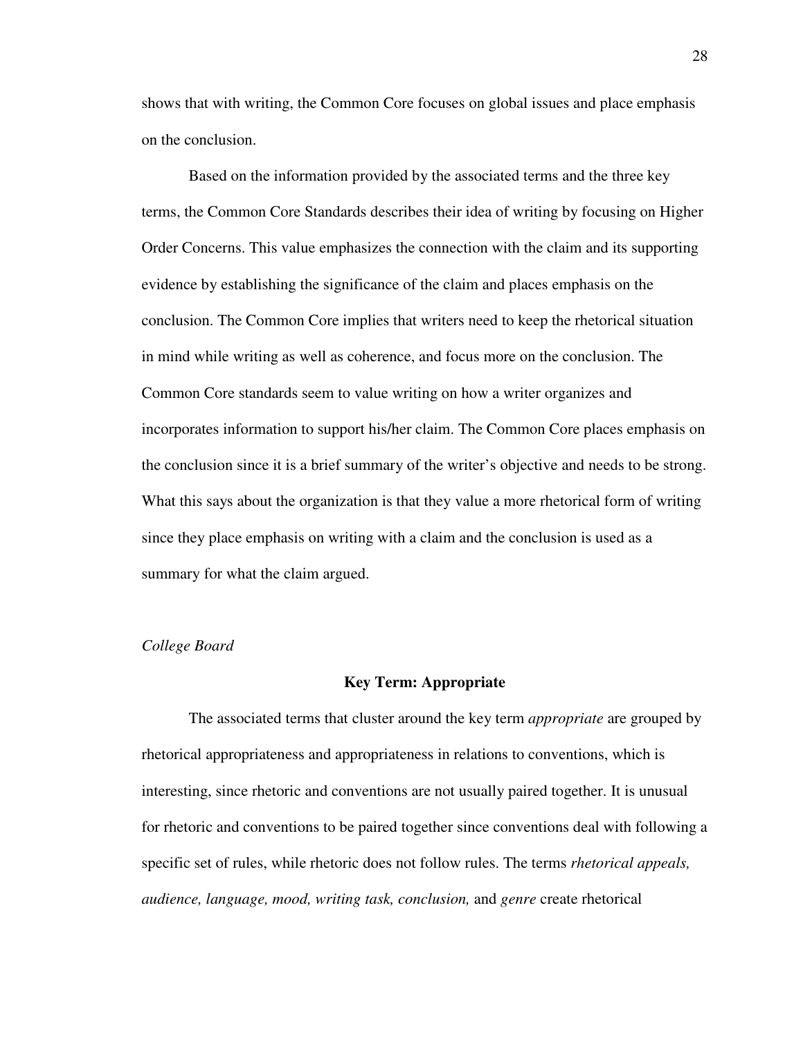shows that with writing, the Common Core focuses on global issues and place emphasis on the conclusion.

Based on the information provided by the associated terms and the three key terms, the Common Core Standards describes their idea of writing by focusing on Higher Order Concerns. This value emphasizes the connection with the claim and its supporting evidence by establishing the significance of the claim and places emphasis on the conclusion. The Common Core implies that writers need to keep the rhetorical situation in mind while writing as well as coherence, and focus more on the conclusion. The Common Core standards seem to value writing on how a writer organizes and incorporates information to support his/her claim. The Common Core places emphasis on the conclusion since it is a brief summary of the writer's objective and needs to be strong. What this says about the organization is that they value a more rhetorical form of writing since they place emphasis on writing with a claim and the conclusion is used as a summary for what the claim argued.

#### *College Board*

#### **Key Term: Appropriate**

 The associated terms that cluster around the key term *appropriate* are grouped by rhetorical appropriateness and appropriateness in relations to conventions, which is interesting, since rhetoric and conventions are not usually paired together. It is unusual for rhetoric and conventions to be paired together since conventions deal with following a specific set of rules, while rhetoric does not follow rules. The terms *rhetorical appeals, audience, language, mood, writing task, conclusion,* and *genre* create rhetorical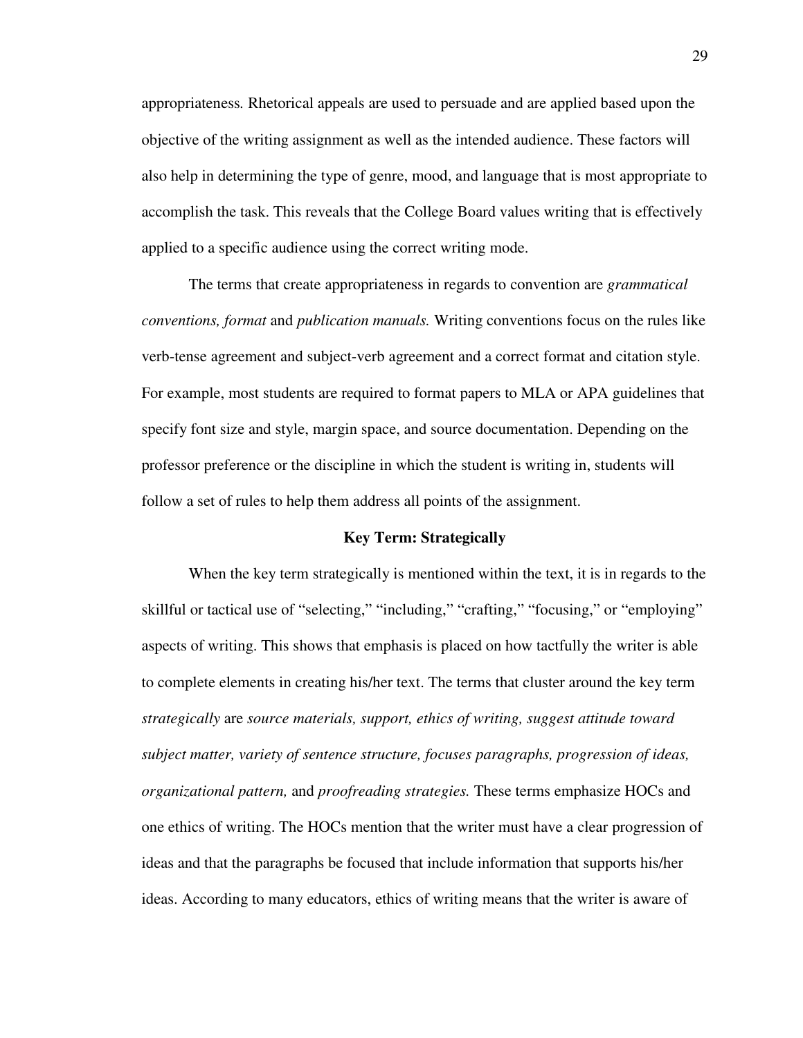appropriateness*.* Rhetorical appeals are used to persuade and are applied based upon the objective of the writing assignment as well as the intended audience. These factors will also help in determining the type of genre, mood, and language that is most appropriate to accomplish the task. This reveals that the College Board values writing that is effectively applied to a specific audience using the correct writing mode.

The terms that create appropriateness in regards to convention are *grammatical conventions, format* and *publication manuals.* Writing conventions focus on the rules like verb-tense agreement and subject-verb agreement and a correct format and citation style. For example, most students are required to format papers to MLA or APA guidelines that specify font size and style, margin space, and source documentation. Depending on the professor preference or the discipline in which the student is writing in, students will follow a set of rules to help them address all points of the assignment.

#### **Key Term: Strategically**

 When the key term strategically is mentioned within the text, it is in regards to the skillful or tactical use of "selecting," "including," "crafting," "focusing," or "employing" aspects of writing. This shows that emphasis is placed on how tactfully the writer is able to complete elements in creating his/her text. The terms that cluster around the key term *strategically* are *source materials, support, ethics of writing, suggest attitude toward subject matter, variety of sentence structure, focuses paragraphs, progression of ideas, organizational pattern,* and *proofreading strategies.* These terms emphasize HOCs and one ethics of writing. The HOCs mention that the writer must have a clear progression of ideas and that the paragraphs be focused that include information that supports his/her ideas. According to many educators, ethics of writing means that the writer is aware of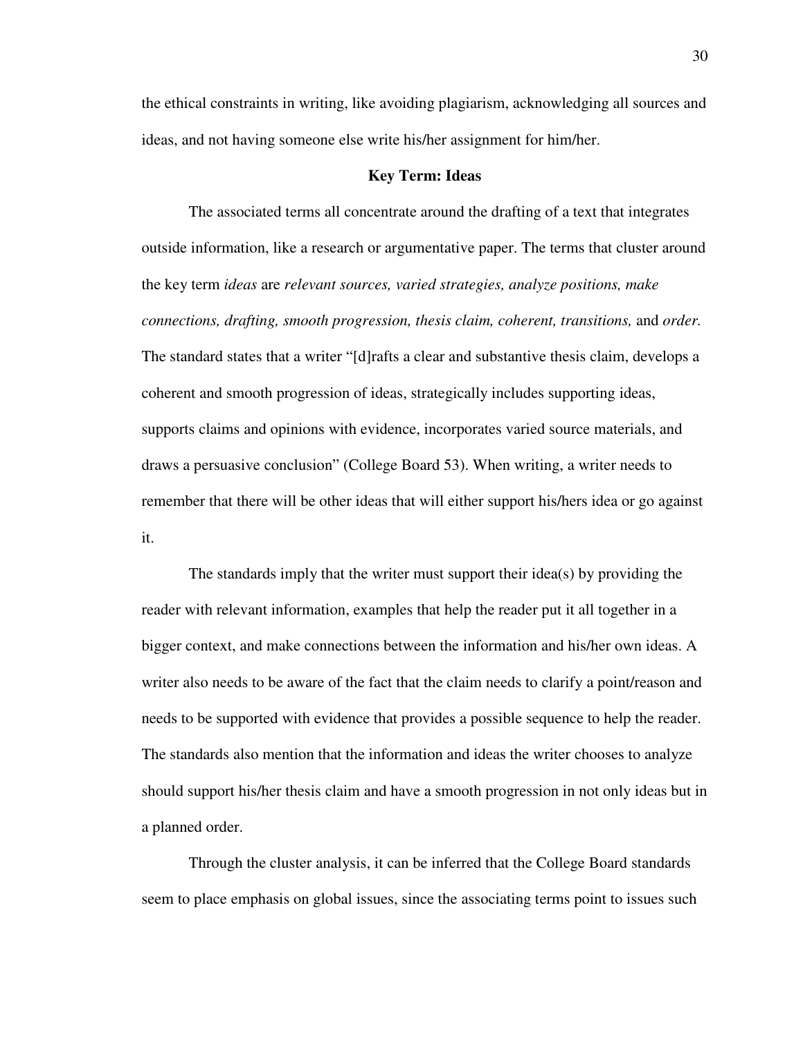the ethical constraints in writing, like avoiding plagiarism, acknowledging all sources and ideas, and not having someone else write his/her assignment for him/her.

#### **Key Term: Ideas**

 The associated terms all concentrate around the drafting of a text that integrates outside information, like a research or argumentative paper. The terms that cluster around the key term *ideas* are *relevant sources, varied strategies, analyze positions, make connections, drafting, smooth progression, thesis claim, coherent, transitions,* and *order.* The standard states that a writer "[d]rafts a clear and substantive thesis claim, develops a coherent and smooth progression of ideas, strategically includes supporting ideas, supports claims and opinions with evidence, incorporates varied source materials, and draws a persuasive conclusion" (College Board 53). When writing, a writer needs to remember that there will be other ideas that will either support his/hers idea or go against it.

The standards imply that the writer must support their idea(s) by providing the reader with relevant information, examples that help the reader put it all together in a bigger context, and make connections between the information and his/her own ideas. A writer also needs to be aware of the fact that the claim needs to clarify a point/reason and needs to be supported with evidence that provides a possible sequence to help the reader. The standards also mention that the information and ideas the writer chooses to analyze should support his/her thesis claim and have a smooth progression in not only ideas but in a planned order.

 Through the cluster analysis, it can be inferred that the College Board standards seem to place emphasis on global issues, since the associating terms point to issues such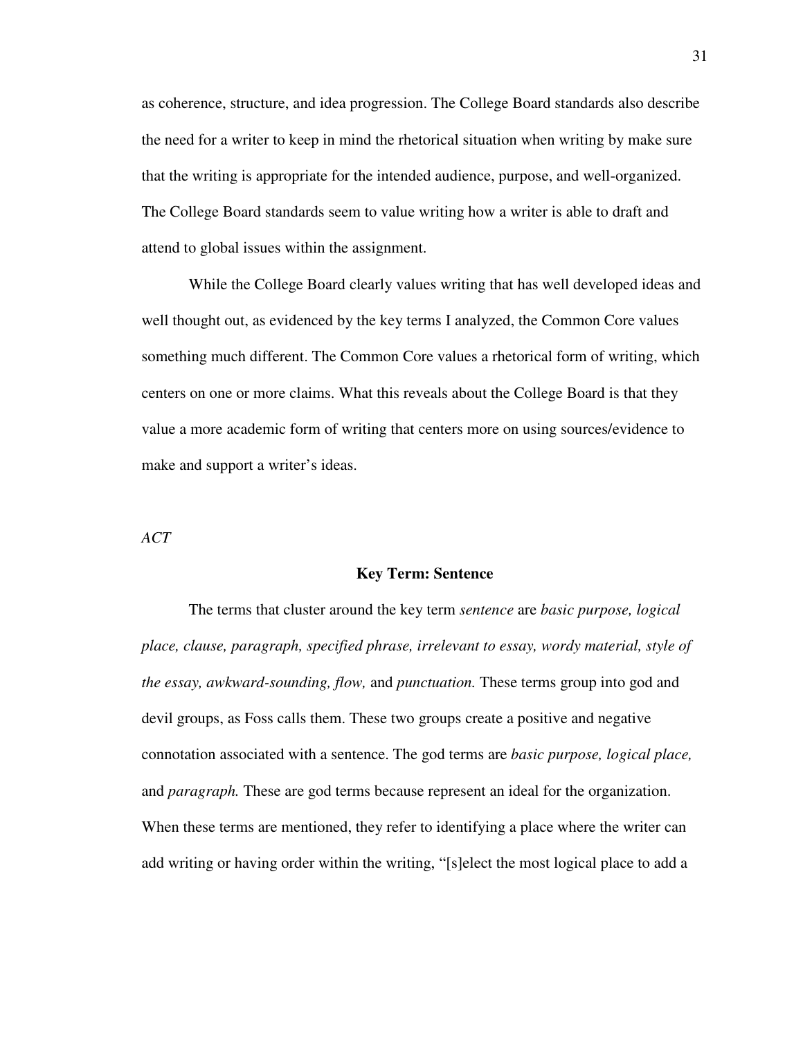as coherence, structure, and idea progression. The College Board standards also describe the need for a writer to keep in mind the rhetorical situation when writing by make sure that the writing is appropriate for the intended audience, purpose, and well-organized. The College Board standards seem to value writing how a writer is able to draft and attend to global issues within the assignment.

While the College Board clearly values writing that has well developed ideas and well thought out, as evidenced by the key terms I analyzed, the Common Core values something much different. The Common Core values a rhetorical form of writing, which centers on one or more claims. What this reveals about the College Board is that they value a more academic form of writing that centers more on using sources/evidence to make and support a writer's ideas.

*ACT* 

#### **Key Term: Sentence**

 The terms that cluster around the key term *sentence* are *basic purpose, logical place, clause, paragraph, specified phrase, irrelevant to essay, wordy material, style of the essay, awkward-sounding, flow,* and *punctuation.* These terms group into god and devil groups, as Foss calls them. These two groups create a positive and negative connotation associated with a sentence. The god terms are *basic purpose, logical place,*  and *paragraph.* These are god terms because represent an ideal for the organization. When these terms are mentioned, they refer to identifying a place where the writer can add writing or having order within the writing, "[s]elect the most logical place to add a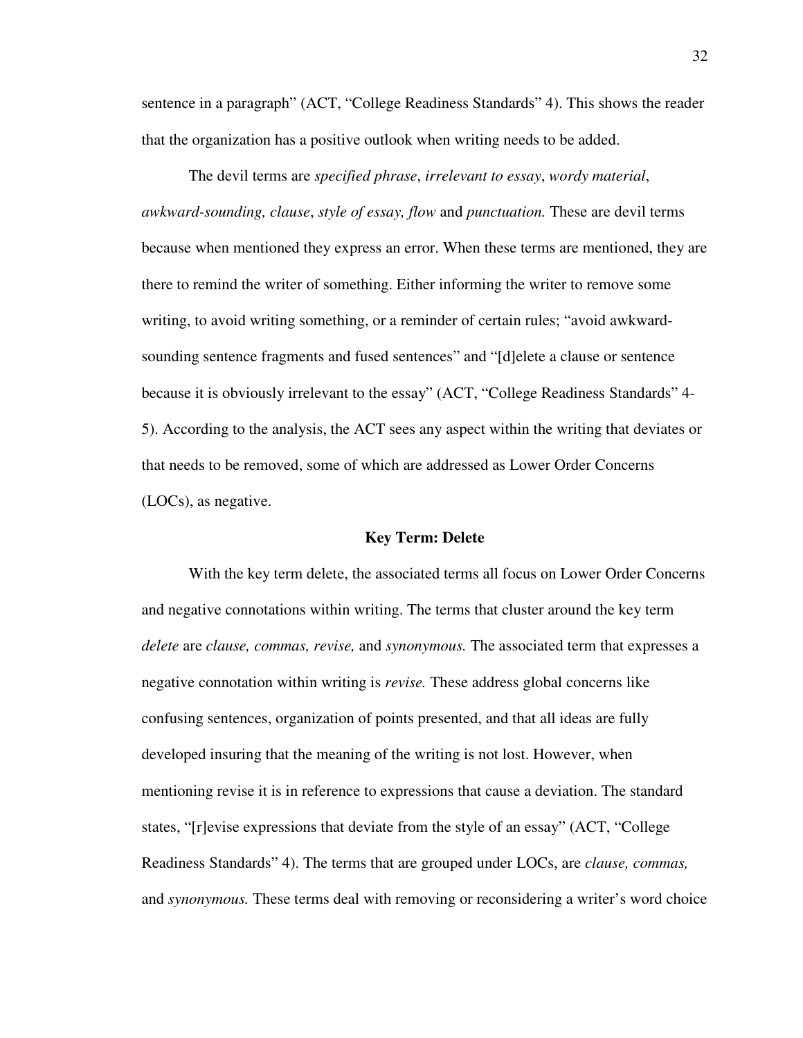sentence in a paragraph" (ACT, "College Readiness Standards" 4). This shows the reader that the organization has a positive outlook when writing needs to be added.

The devil terms are *specified phrase*, *irrelevant to essay*, *wordy material*, *awkward-sounding, clause*, *style of essay, flow* and *punctuation.* These are devil terms because when mentioned they express an error. When these terms are mentioned, they are there to remind the writer of something. Either informing the writer to remove some writing, to avoid writing something, or a reminder of certain rules; "avoid awkwardsounding sentence fragments and fused sentences" and "[d]elete a clause or sentence because it is obviously irrelevant to the essay" (ACT, "College Readiness Standards" 4- 5). According to the analysis, the ACT sees any aspect within the writing that deviates or that needs to be removed, some of which are addressed as Lower Order Concerns (LOCs), as negative.

#### **Key Term: Delete**

 With the key term delete, the associated terms all focus on Lower Order Concerns and negative connotations within writing. The terms that cluster around the key term *delete* are *clause, commas, revise,* and *synonymous.* The associated term that expresses a negative connotation within writing is *revise.* These address global concerns like confusing sentences, organization of points presented, and that all ideas are fully developed insuring that the meaning of the writing is not lost. However, when mentioning revise it is in reference to expressions that cause a deviation. The standard states, "[r]evise expressions that deviate from the style of an essay" (ACT, "College Readiness Standards" 4). The terms that are grouped under LOCs, are *clause, commas,*  and *synonymous.* These terms deal with removing or reconsidering a writer's word choice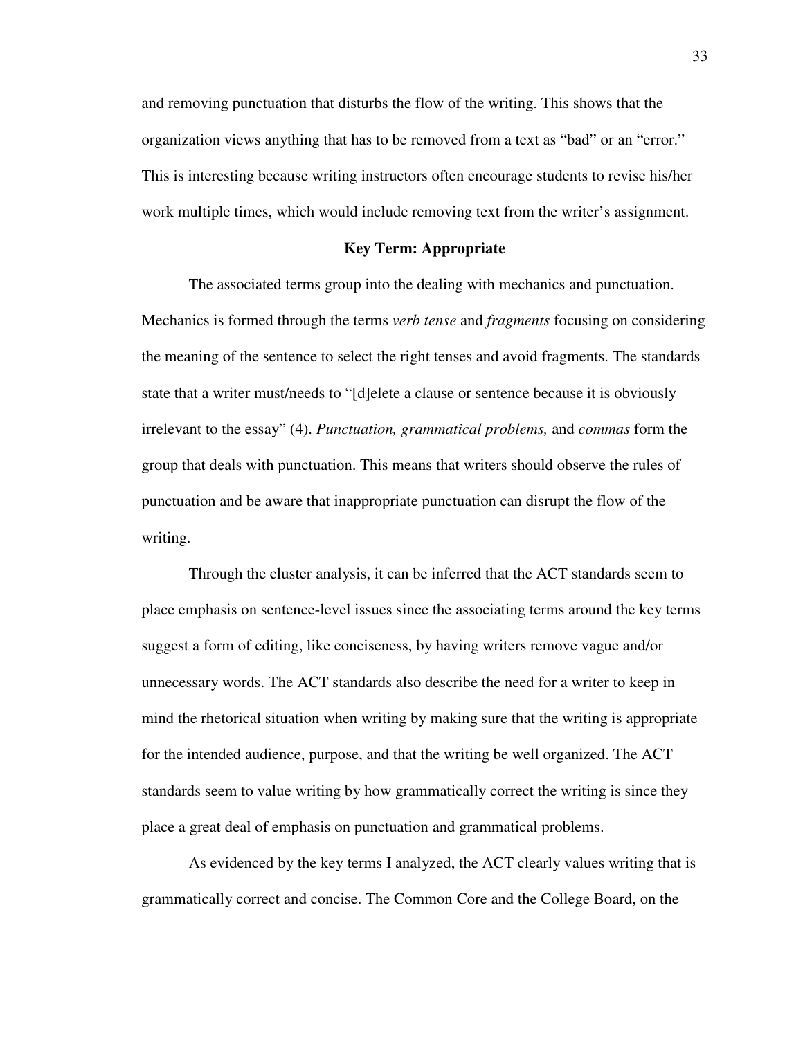and removing punctuation that disturbs the flow of the writing. This shows that the organization views anything that has to be removed from a text as "bad" or an "error." This is interesting because writing instructors often encourage students to revise his/her work multiple times, which would include removing text from the writer's assignment.

#### **Key Term: Appropriate**

 The associated terms group into the dealing with mechanics and punctuation. Mechanics is formed through the terms *verb tense* and *fragments* focusing on considering the meaning of the sentence to select the right tenses and avoid fragments. The standards state that a writer must/needs to "[d]elete a clause or sentence because it is obviously irrelevant to the essay" (4). *Punctuation, grammatical problems,* and *commas* form the group that deals with punctuation. This means that writers should observe the rules of punctuation and be aware that inappropriate punctuation can disrupt the flow of the writing.

 Through the cluster analysis, it can be inferred that the ACT standards seem to place emphasis on sentence-level issues since the associating terms around the key terms suggest a form of editing, like conciseness, by having writers remove vague and/or unnecessary words. The ACT standards also describe the need for a writer to keep in mind the rhetorical situation when writing by making sure that the writing is appropriate for the intended audience, purpose, and that the writing be well organized. The ACT standards seem to value writing by how grammatically correct the writing is since they place a great deal of emphasis on punctuation and grammatical problems.

As evidenced by the key terms I analyzed, the ACT clearly values writing that is grammatically correct and concise. The Common Core and the College Board, on the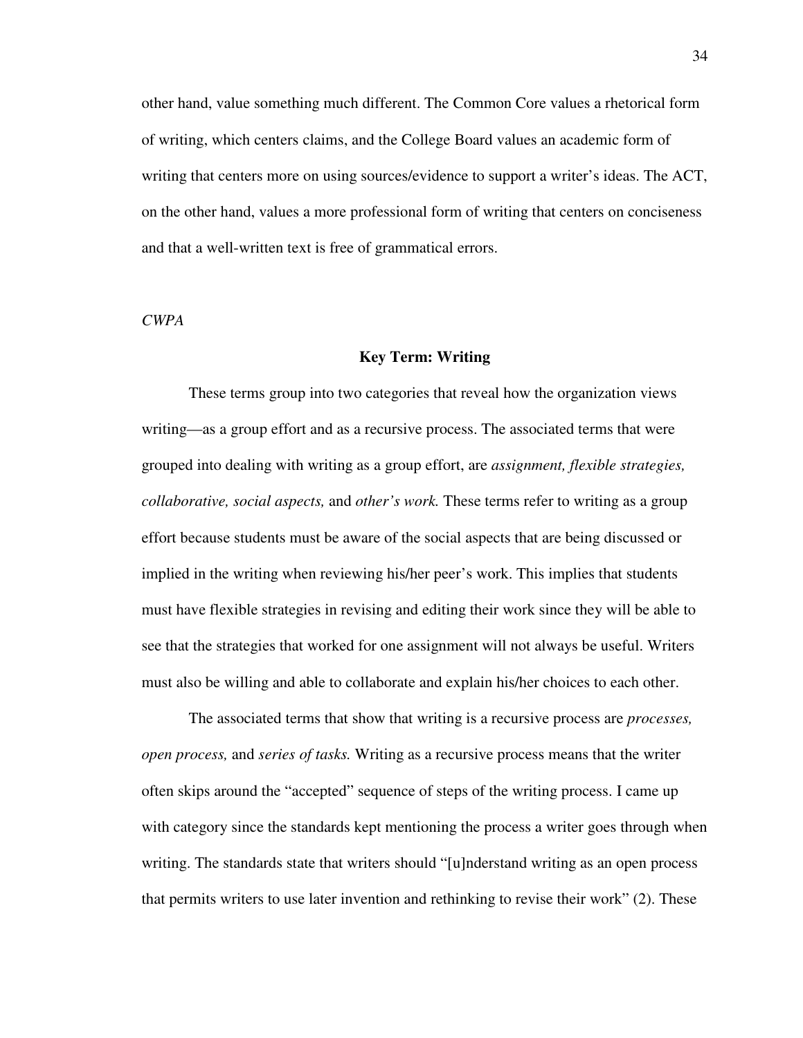other hand, value something much different. The Common Core values a rhetorical form of writing, which centers claims, and the College Board values an academic form of writing that centers more on using sources/evidence to support a writer's ideas. The ACT, on the other hand, values a more professional form of writing that centers on conciseness and that a well-written text is free of grammatical errors.

*CWPA* 

#### **Key Term: Writing**

 These terms group into two categories that reveal how the organization views writing—as a group effort and as a recursive process. The associated terms that were grouped into dealing with writing as a group effort, are *assignment, flexible strategies, collaborative, social aspects,* and *other's work.* These terms refer to writing as a group effort because students must be aware of the social aspects that are being discussed or implied in the writing when reviewing his/her peer's work. This implies that students must have flexible strategies in revising and editing their work since they will be able to see that the strategies that worked for one assignment will not always be useful. Writers must also be willing and able to collaborate and explain his/her choices to each other.

The associated terms that show that writing is a recursive process are *processes, open process,* and *series of tasks.* Writing as a recursive process means that the writer often skips around the "accepted" sequence of steps of the writing process. I came up with category since the standards kept mentioning the process a writer goes through when writing. The standards state that writers should "[u]nderstand writing as an open process that permits writers to use later invention and rethinking to revise their work" (2). These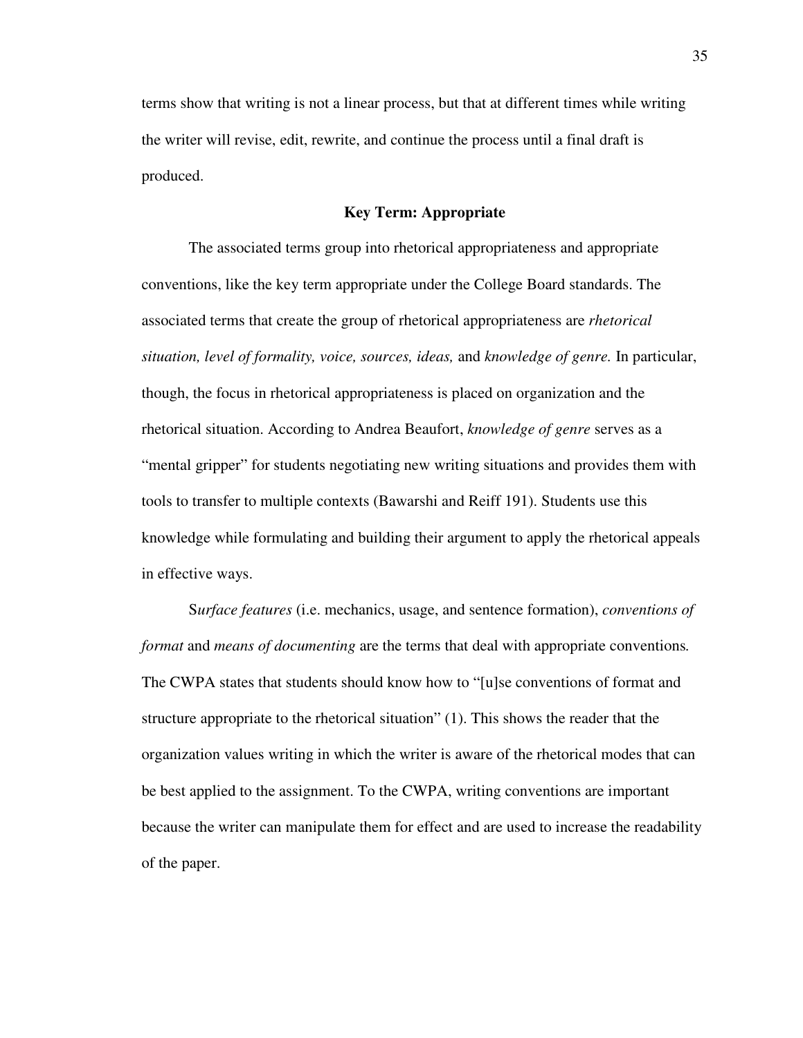terms show that writing is not a linear process, but that at different times while writing the writer will revise, edit, rewrite, and continue the process until a final draft is produced.

### **Key Term: Appropriate**

 The associated terms group into rhetorical appropriateness and appropriate conventions, like the key term appropriate under the College Board standards. The associated terms that create the group of rhetorical appropriateness are *rhetorical situation, level of formality, voice, sources, ideas,* and *knowledge of genre.* In particular, though, the focus in rhetorical appropriateness is placed on organization and the rhetorical situation. According to Andrea Beaufort, *knowledge of genre* serves as a "mental gripper" for students negotiating new writing situations and provides them with tools to transfer to multiple contexts (Bawarshi and Reiff 191). Students use this knowledge while formulating and building their argument to apply the rhetorical appeals in effective ways.

S*urface features* (i.e. mechanics, usage, and sentence formation), *conventions of format* and *means of documenting* are the terms that deal with appropriate conventions*.* The CWPA states that students should know how to "[u]se conventions of format and structure appropriate to the rhetorical situation" (1). This shows the reader that the organization values writing in which the writer is aware of the rhetorical modes that can be best applied to the assignment. To the CWPA, writing conventions are important because the writer can manipulate them for effect and are used to increase the readability of the paper.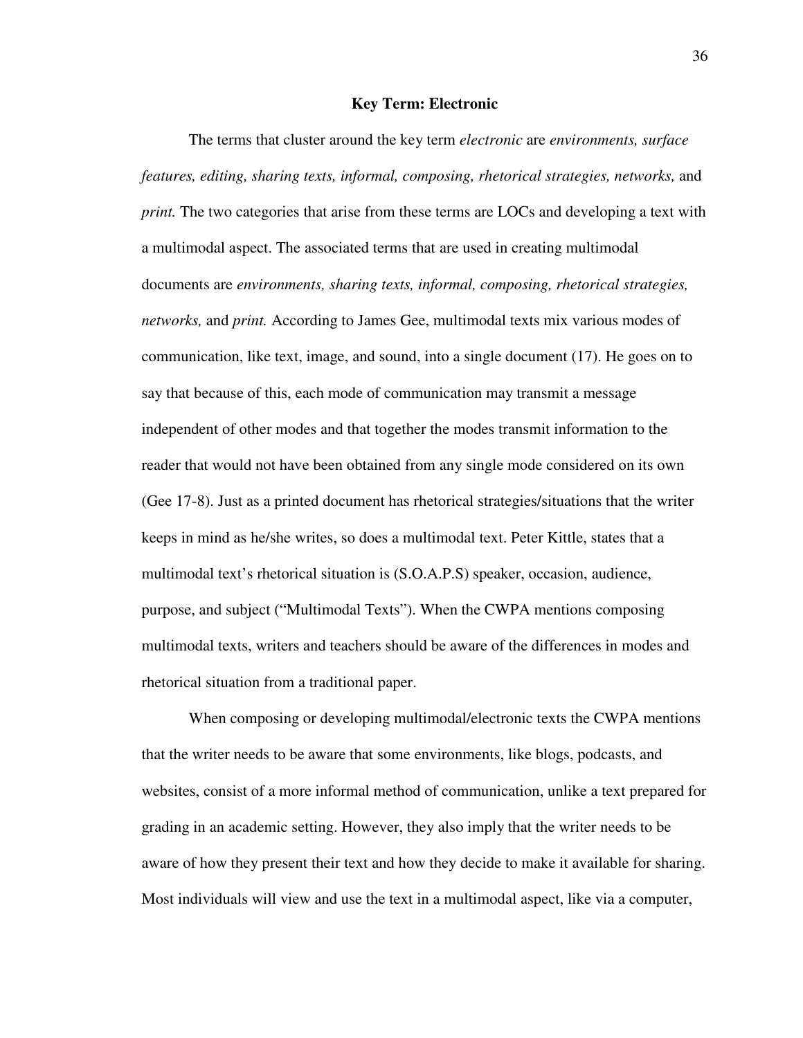#### **Key Term: Electronic**

 The terms that cluster around the key term *electronic* are *environments, surface features, editing, sharing texts, informal, composing, rhetorical strategies, networks,* and *print.* The two categories that arise from these terms are LOCs and developing a text with a multimodal aspect. The associated terms that are used in creating multimodal documents are *environments, sharing texts, informal, composing, rhetorical strategies, networks,* and *print.* According to James Gee, multimodal texts mix various modes of communication, like text, image, and sound, into a single document (17). He goes on to say that because of this, each mode of communication may transmit a message independent of other modes and that together the modes transmit information to the reader that would not have been obtained from any single mode considered on its own (Gee 17-8). Just as a printed document has rhetorical strategies/situations that the writer keeps in mind as he/she writes, so does a multimodal text. Peter Kittle, states that a multimodal text's rhetorical situation is (S.O.A.P.S) speaker, occasion, audience, purpose, and subject ("Multimodal Texts"). When the CWPA mentions composing multimodal texts, writers and teachers should be aware of the differences in modes and rhetorical situation from a traditional paper.

 When composing or developing multimodal/electronic texts the CWPA mentions that the writer needs to be aware that some environments, like blogs, podcasts, and websites, consist of a more informal method of communication, unlike a text prepared for grading in an academic setting. However, they also imply that the writer needs to be aware of how they present their text and how they decide to make it available for sharing. Most individuals will view and use the text in a multimodal aspect, like via a computer,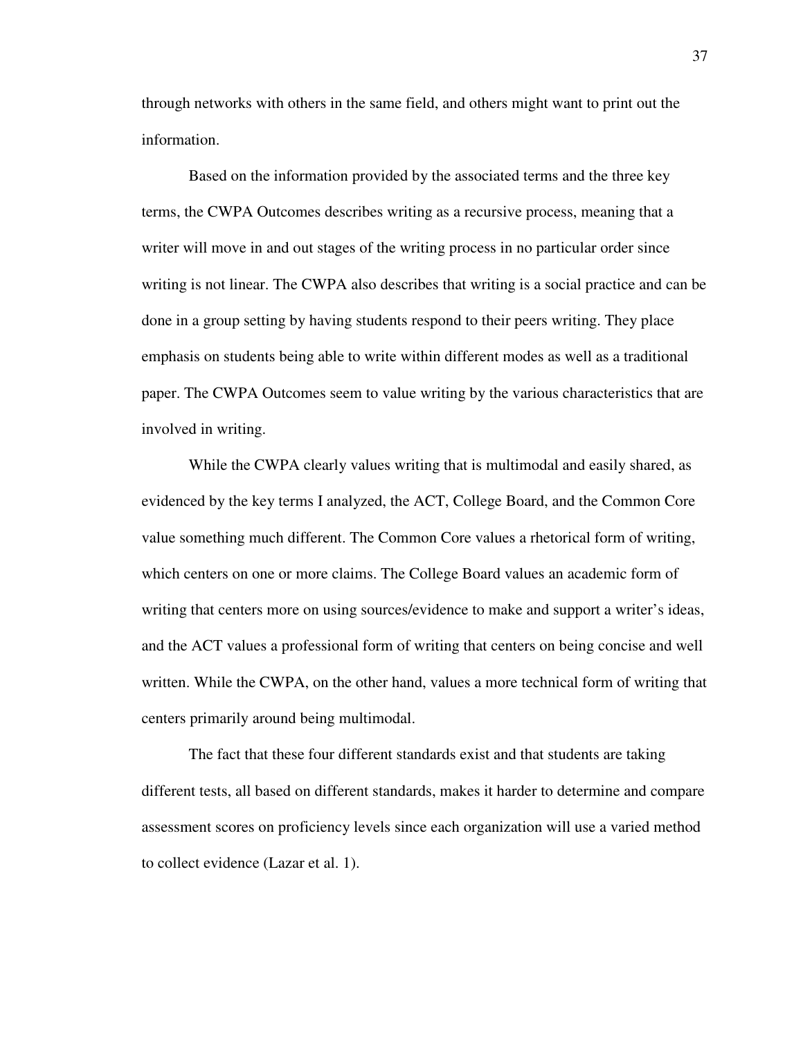through networks with others in the same field, and others might want to print out the information.

Based on the information provided by the associated terms and the three key terms, the CWPA Outcomes describes writing as a recursive process, meaning that a writer will move in and out stages of the writing process in no particular order since writing is not linear. The CWPA also describes that writing is a social practice and can be done in a group setting by having students respond to their peers writing. They place emphasis on students being able to write within different modes as well as a traditional paper. The CWPA Outcomes seem to value writing by the various characteristics that are involved in writing.

While the CWPA clearly values writing that is multimodal and easily shared, as evidenced by the key terms I analyzed, the ACT, College Board, and the Common Core value something much different. The Common Core values a rhetorical form of writing, which centers on one or more claims. The College Board values an academic form of writing that centers more on using sources/evidence to make and support a writer's ideas, and the ACT values a professional form of writing that centers on being concise and well written. While the CWPA, on the other hand, values a more technical form of writing that centers primarily around being multimodal.

The fact that these four different standards exist and that students are taking different tests, all based on different standards, makes it harder to determine and compare assessment scores on proficiency levels since each organization will use a varied method to collect evidence (Lazar et al. 1).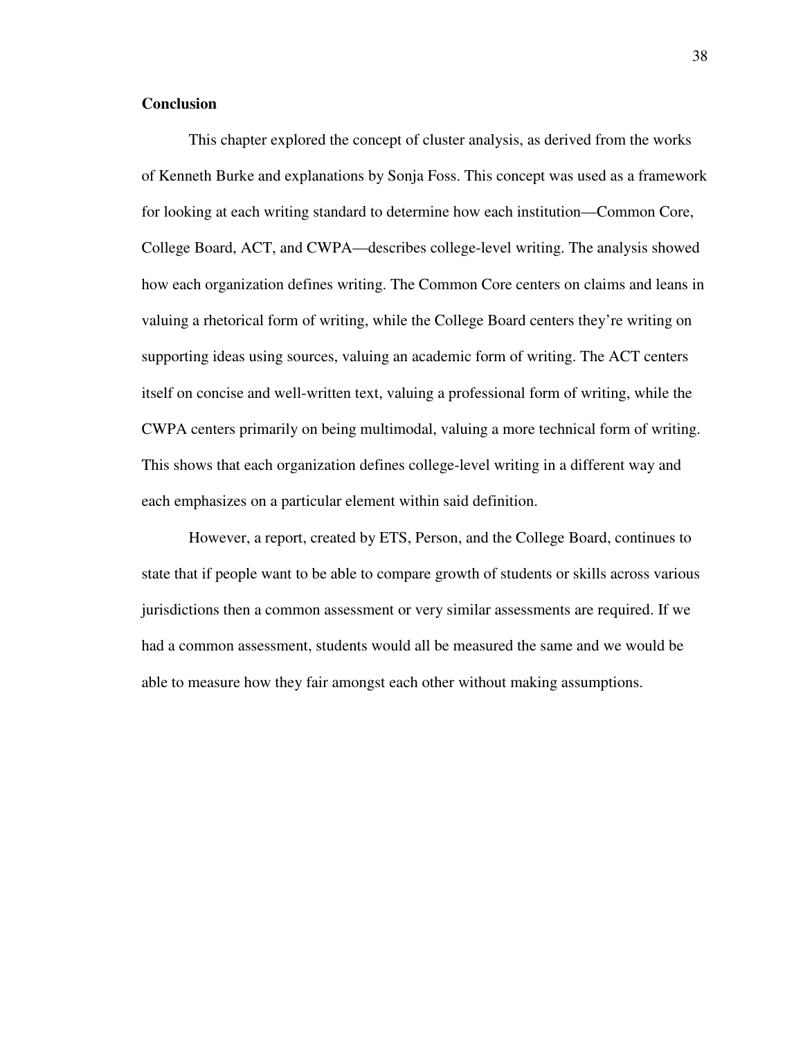### **Conclusion**

This chapter explored the concept of cluster analysis, as derived from the works of Kenneth Burke and explanations by Sonja Foss. This concept was used as a framework for looking at each writing standard to determine how each institution—Common Core, College Board, ACT, and CWPA—describes college-level writing. The analysis showed how each organization defines writing. The Common Core centers on claims and leans in valuing a rhetorical form of writing, while the College Board centers they're writing on supporting ideas using sources, valuing an academic form of writing. The ACT centers itself on concise and well-written text, valuing a professional form of writing, while the CWPA centers primarily on being multimodal, valuing a more technical form of writing. This shows that each organization defines college-level writing in a different way and each emphasizes on a particular element within said definition.

However, a report, created by ETS, Person, and the College Board, continues to state that if people want to be able to compare growth of students or skills across various jurisdictions then a common assessment or very similar assessments are required. If we had a common assessment, students would all be measured the same and we would be able to measure how they fair amongst each other without making assumptions.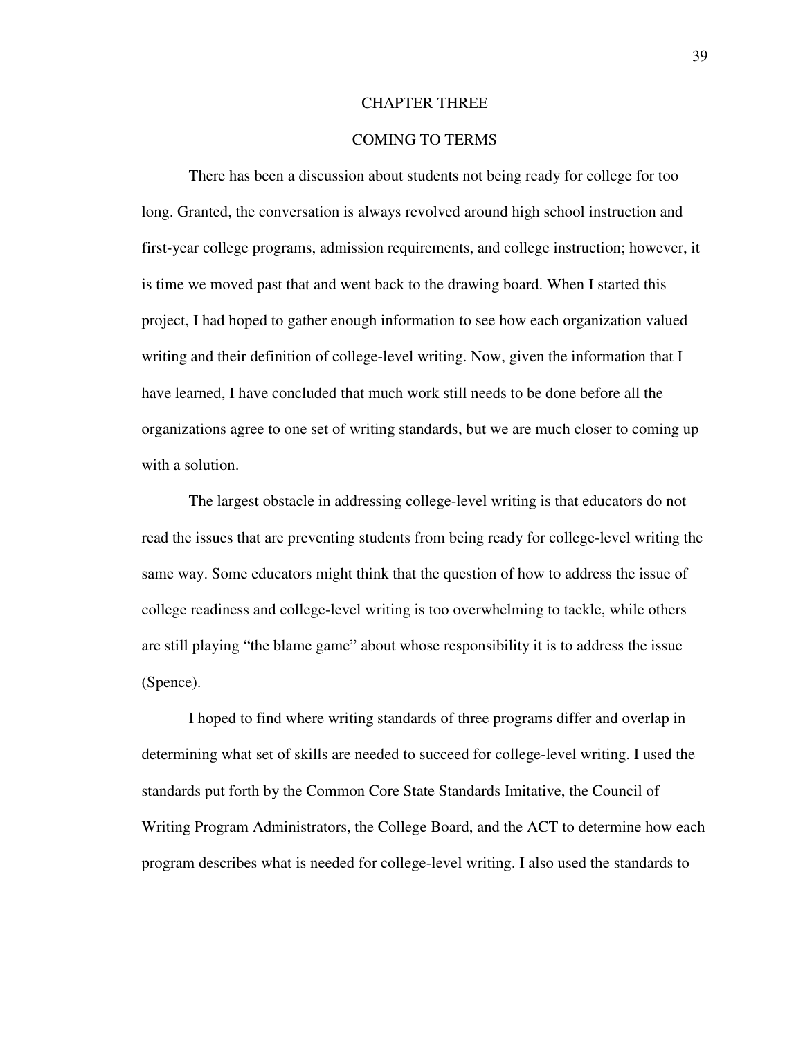#### CHAPTER THREE

#### COMING TO TERMS

There has been a discussion about students not being ready for college for too long. Granted, the conversation is always revolved around high school instruction and first-year college programs, admission requirements, and college instruction; however, it is time we moved past that and went back to the drawing board. When I started this project, I had hoped to gather enough information to see how each organization valued writing and their definition of college-level writing. Now, given the information that I have learned, I have concluded that much work still needs to be done before all the organizations agree to one set of writing standards, but we are much closer to coming up with a solution.

The largest obstacle in addressing college-level writing is that educators do not read the issues that are preventing students from being ready for college-level writing the same way. Some educators might think that the question of how to address the issue of college readiness and college-level writing is too overwhelming to tackle, while others are still playing "the blame game" about whose responsibility it is to address the issue (Spence).

I hoped to find where writing standards of three programs differ and overlap in determining what set of skills are needed to succeed for college-level writing. I used the standards put forth by the Common Core State Standards Imitative, the Council of Writing Program Administrators, the College Board, and the ACT to determine how each program describes what is needed for college-level writing. I also used the standards to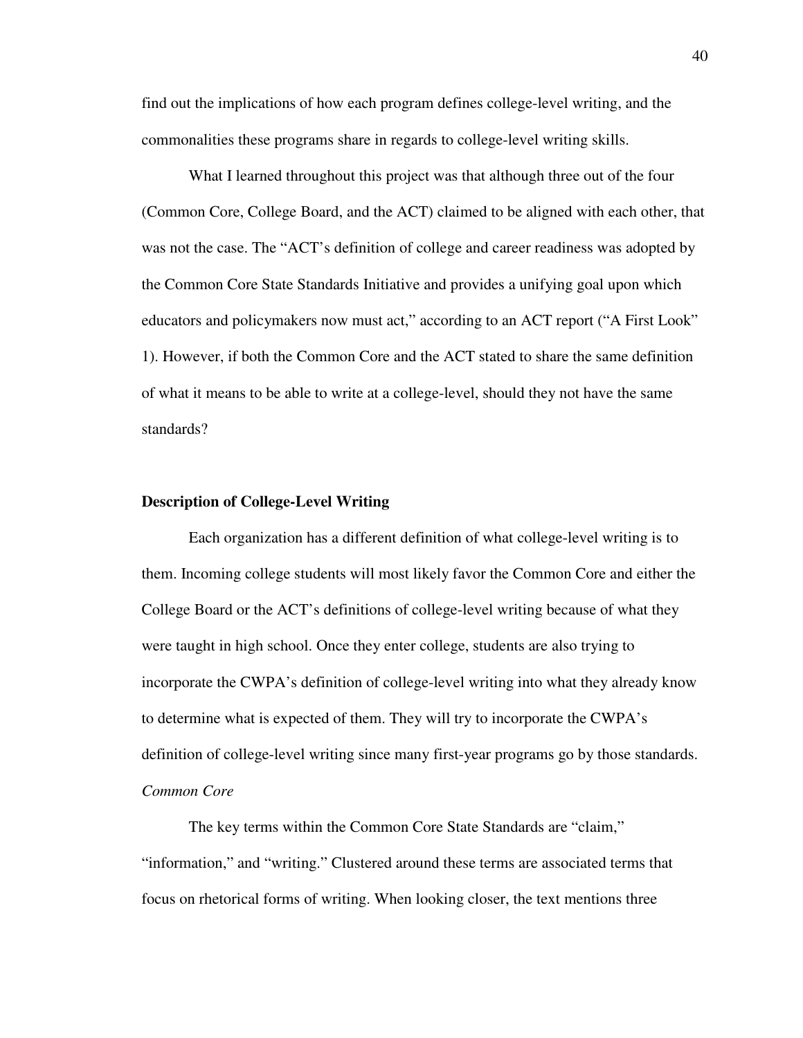find out the implications of how each program defines college-level writing, and the commonalities these programs share in regards to college-level writing skills.

What I learned throughout this project was that although three out of the four (Common Core, College Board, and the ACT) claimed to be aligned with each other, that was not the case. The "ACT's definition of college and career readiness was adopted by the Common Core State Standards Initiative and provides a unifying goal upon which educators and policymakers now must act," according to an ACT report ("A First Look" 1). However, if both the Common Core and the ACT stated to share the same definition of what it means to be able to write at a college-level, should they not have the same standards?

#### **Description of College-Level Writing**

Each organization has a different definition of what college-level writing is to them. Incoming college students will most likely favor the Common Core and either the College Board or the ACT's definitions of college-level writing because of what they were taught in high school. Once they enter college, students are also trying to incorporate the CWPA's definition of college-level writing into what they already know to determine what is expected of them. They will try to incorporate the CWPA's definition of college-level writing since many first-year programs go by those standards. *Common Core* 

The key terms within the Common Core State Standards are "claim," "information," and "writing." Clustered around these terms are associated terms that focus on rhetorical forms of writing. When looking closer, the text mentions three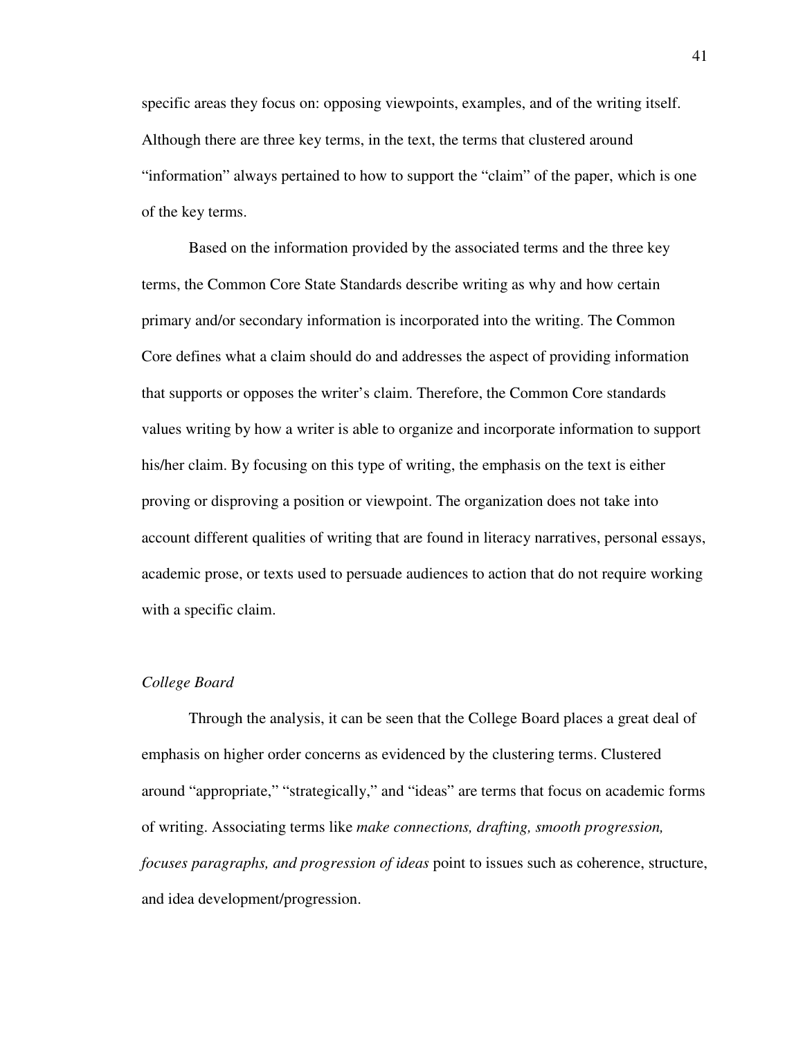specific areas they focus on: opposing viewpoints, examples, and of the writing itself. Although there are three key terms, in the text, the terms that clustered around "information" always pertained to how to support the "claim" of the paper, which is one of the key terms.

Based on the information provided by the associated terms and the three key terms, the Common Core State Standards describe writing as why and how certain primary and/or secondary information is incorporated into the writing. The Common Core defines what a claim should do and addresses the aspect of providing information that supports or opposes the writer's claim. Therefore, the Common Core standards values writing by how a writer is able to organize and incorporate information to support his/her claim. By focusing on this type of writing, the emphasis on the text is either proving or disproving a position or viewpoint. The organization does not take into account different qualities of writing that are found in literacy narratives, personal essays, academic prose, or texts used to persuade audiences to action that do not require working with a specific claim.

#### *College Board*

Through the analysis, it can be seen that the College Board places a great deal of emphasis on higher order concerns as evidenced by the clustering terms. Clustered around "appropriate," "strategically," and "ideas" are terms that focus on academic forms of writing. Associating terms like *make connections, drafting, smooth progression, focuses paragraphs, and progression of ideas* point to issues such as coherence, structure, and idea development/progression.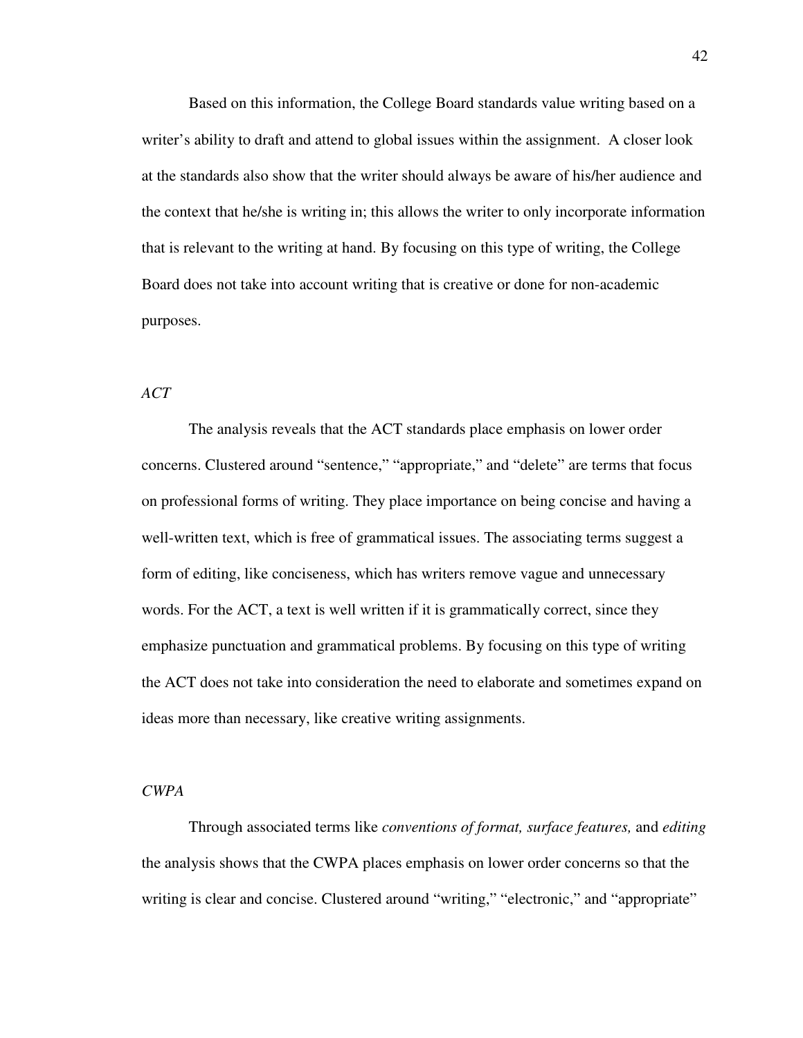Based on this information, the College Board standards value writing based on a writer's ability to draft and attend to global issues within the assignment. A closer look at the standards also show that the writer should always be aware of his/her audience and the context that he/she is writing in; this allows the writer to only incorporate information that is relevant to the writing at hand. By focusing on this type of writing, the College Board does not take into account writing that is creative or done for non-academic purposes.

#### *ACT*

The analysis reveals that the ACT standards place emphasis on lower order concerns. Clustered around "sentence," "appropriate," and "delete" are terms that focus on professional forms of writing. They place importance on being concise and having a well-written text, which is free of grammatical issues. The associating terms suggest a form of editing, like conciseness, which has writers remove vague and unnecessary words. For the ACT, a text is well written if it is grammatically correct, since they emphasize punctuation and grammatical problems. By focusing on this type of writing the ACT does not take into consideration the need to elaborate and sometimes expand on ideas more than necessary, like creative writing assignments.

#### *CWPA*

Through associated terms like *conventions of format, surface features,* and *editing* the analysis shows that the CWPA places emphasis on lower order concerns so that the writing is clear and concise. Clustered around "writing," "electronic," and "appropriate"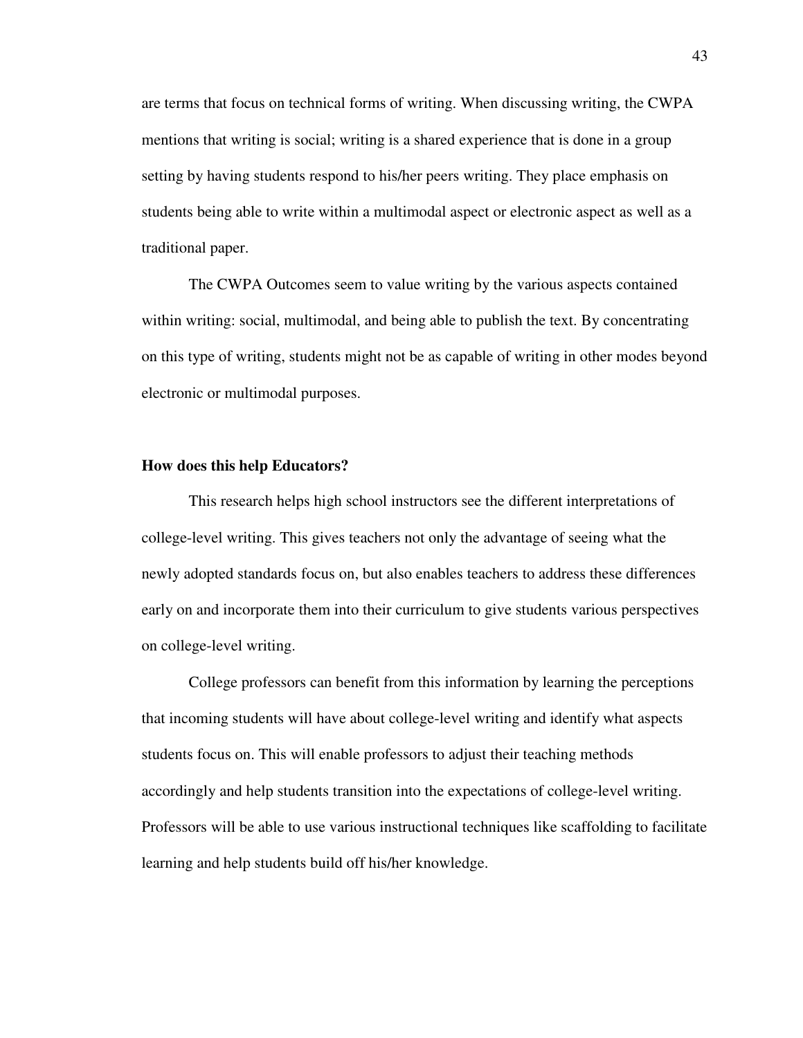are terms that focus on technical forms of writing. When discussing writing, the CWPA mentions that writing is social; writing is a shared experience that is done in a group setting by having students respond to his/her peers writing. They place emphasis on students being able to write within a multimodal aspect or electronic aspect as well as a traditional paper.

The CWPA Outcomes seem to value writing by the various aspects contained within writing: social, multimodal, and being able to publish the text. By concentrating on this type of writing, students might not be as capable of writing in other modes beyond electronic or multimodal purposes.

#### **How does this help Educators?**

 This research helps high school instructors see the different interpretations of college-level writing. This gives teachers not only the advantage of seeing what the newly adopted standards focus on, but also enables teachers to address these differences early on and incorporate them into their curriculum to give students various perspectives on college-level writing.

 College professors can benefit from this information by learning the perceptions that incoming students will have about college-level writing and identify what aspects students focus on. This will enable professors to adjust their teaching methods accordingly and help students transition into the expectations of college-level writing. Professors will be able to use various instructional techniques like scaffolding to facilitate learning and help students build off his/her knowledge.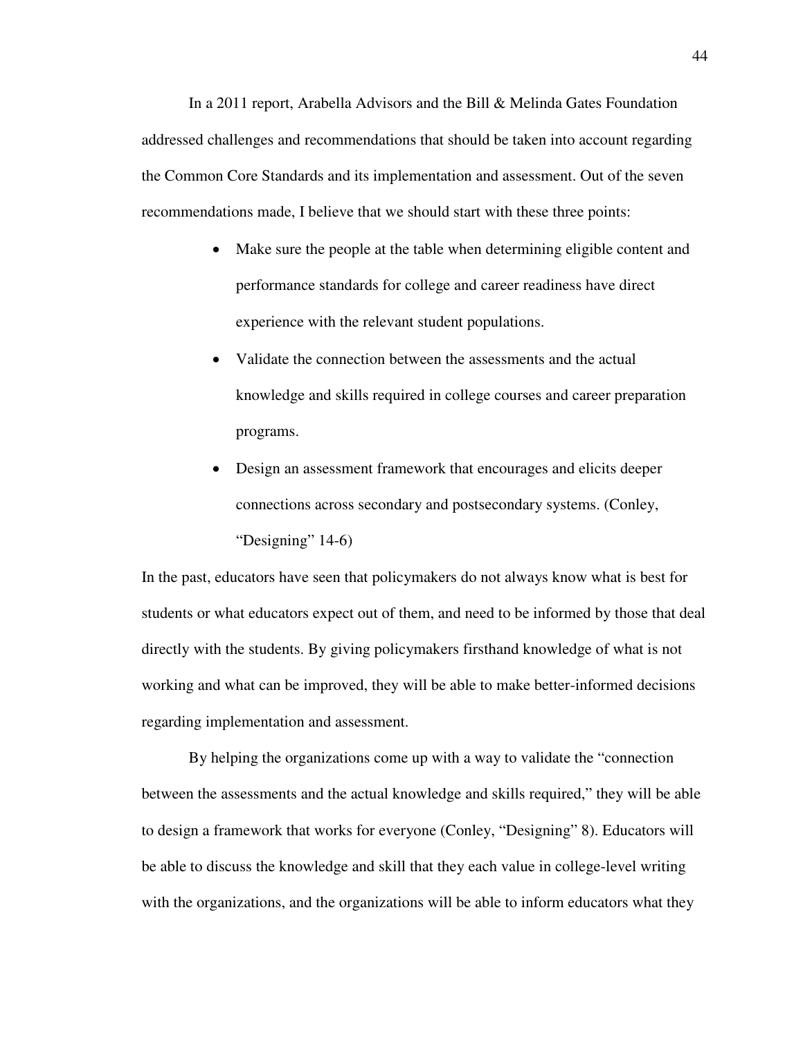In a 2011 report, Arabella Advisors and the Bill & Melinda Gates Foundation addressed challenges and recommendations that should be taken into account regarding the Common Core Standards and its implementation and assessment. Out of the seven recommendations made, I believe that we should start with these three points:

- Make sure the people at the table when determining eligible content and performance standards for college and career readiness have direct experience with the relevant student populations.
- Validate the connection between the assessments and the actual knowledge and skills required in college courses and career preparation programs.
- Design an assessment framework that encourages and elicits deeper connections across secondary and postsecondary systems. (Conley, "Designing" 14-6)

In the past, educators have seen that policymakers do not always know what is best for students or what educators expect out of them, and need to be informed by those that deal directly with the students. By giving policymakers firsthand knowledge of what is not working and what can be improved, they will be able to make better-informed decisions regarding implementation and assessment.

By helping the organizations come up with a way to validate the "connection between the assessments and the actual knowledge and skills required," they will be able to design a framework that works for everyone (Conley, "Designing" 8). Educators will be able to discuss the knowledge and skill that they each value in college-level writing with the organizations, and the organizations will be able to inform educators what they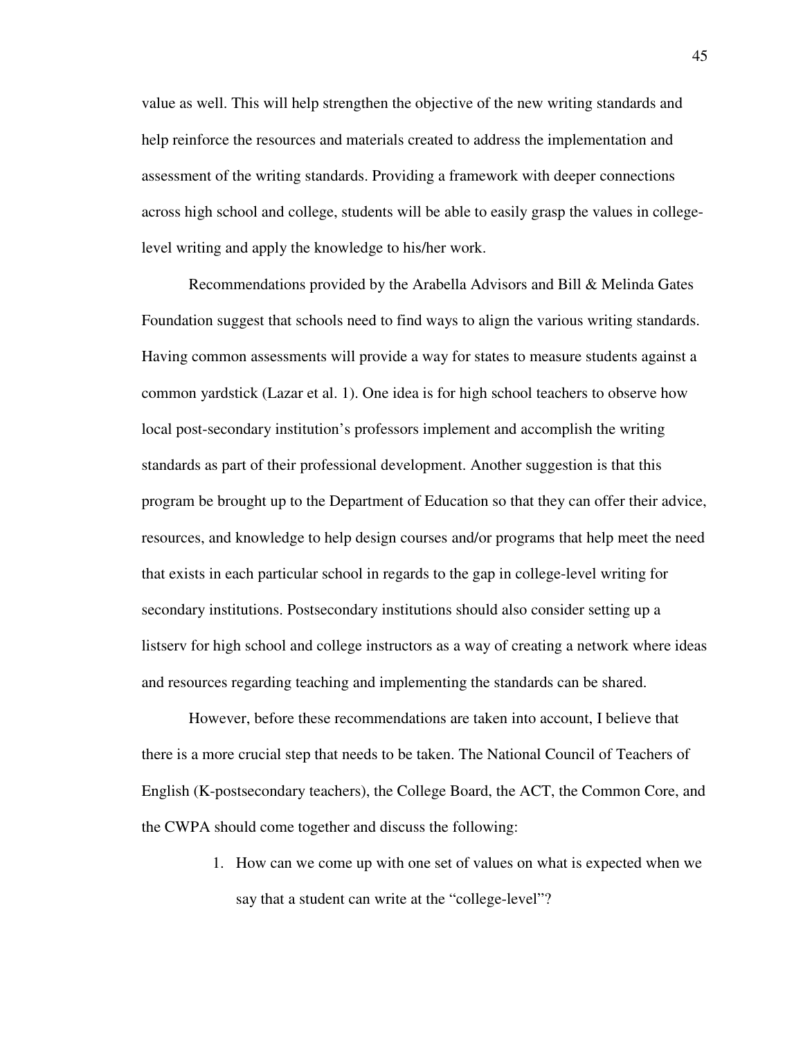value as well. This will help strengthen the objective of the new writing standards and help reinforce the resources and materials created to address the implementation and assessment of the writing standards. Providing a framework with deeper connections across high school and college, students will be able to easily grasp the values in collegelevel writing and apply the knowledge to his/her work.

Recommendations provided by the Arabella Advisors and Bill & Melinda Gates Foundation suggest that schools need to find ways to align the various writing standards. Having common assessments will provide a way for states to measure students against a common yardstick (Lazar et al. 1). One idea is for high school teachers to observe how local post-secondary institution's professors implement and accomplish the writing standards as part of their professional development. Another suggestion is that this program be brought up to the Department of Education so that they can offer their advice, resources, and knowledge to help design courses and/or programs that help meet the need that exists in each particular school in regards to the gap in college-level writing for secondary institutions. Postsecondary institutions should also consider setting up a listserv for high school and college instructors as a way of creating a network where ideas and resources regarding teaching and implementing the standards can be shared.

However, before these recommendations are taken into account, I believe that there is a more crucial step that needs to be taken. The National Council of Teachers of English (K-postsecondary teachers), the College Board, the ACT, the Common Core, and the CWPA should come together and discuss the following:

> 1. How can we come up with one set of values on what is expected when we say that a student can write at the "college-level"?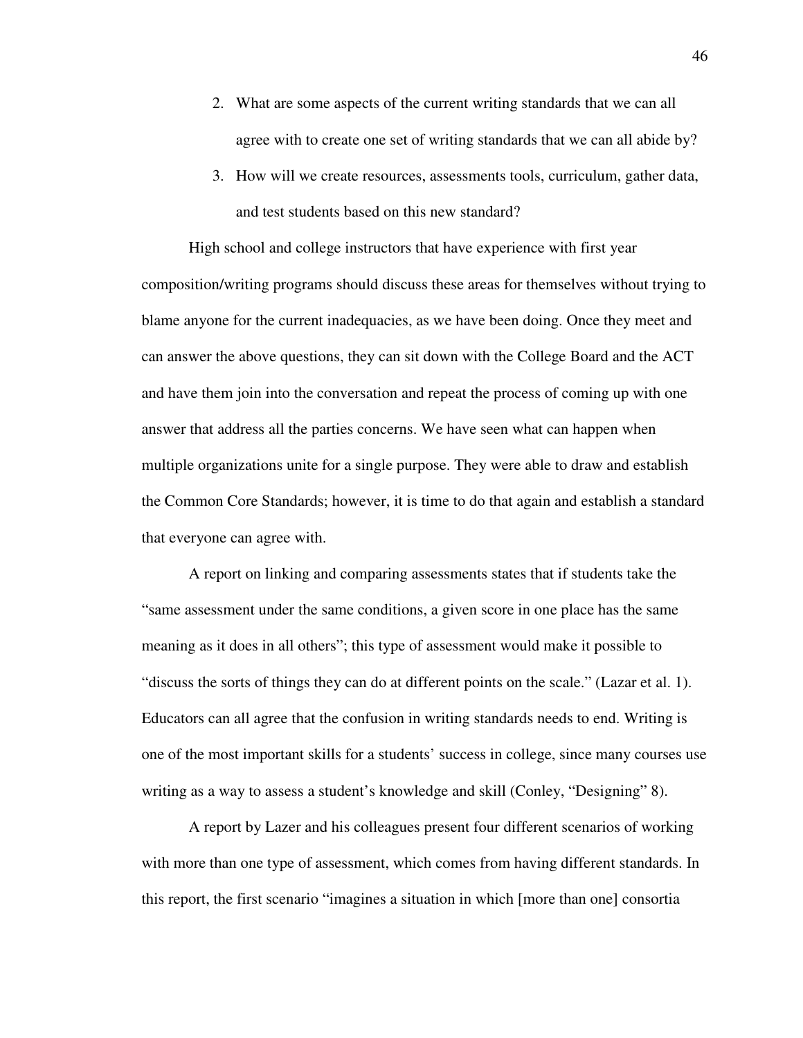- 2. What are some aspects of the current writing standards that we can all agree with to create one set of writing standards that we can all abide by?
- 3. How will we create resources, assessments tools, curriculum, gather data, and test students based on this new standard?

High school and college instructors that have experience with first year composition/writing programs should discuss these areas for themselves without trying to blame anyone for the current inadequacies, as we have been doing. Once they meet and can answer the above questions, they can sit down with the College Board and the ACT and have them join into the conversation and repeat the process of coming up with one answer that address all the parties concerns. We have seen what can happen when multiple organizations unite for a single purpose. They were able to draw and establish the Common Core Standards; however, it is time to do that again and establish a standard that everyone can agree with.

A report on linking and comparing assessments states that if students take the "same assessment under the same conditions, a given score in one place has the same meaning as it does in all others"; this type of assessment would make it possible to "discuss the sorts of things they can do at different points on the scale." (Lazar et al. 1). Educators can all agree that the confusion in writing standards needs to end. Writing is one of the most important skills for a students' success in college, since many courses use writing as a way to assess a student's knowledge and skill (Conley, "Designing" 8).

A report by Lazer and his colleagues present four different scenarios of working with more than one type of assessment, which comes from having different standards. In this report, the first scenario "imagines a situation in which [more than one] consortia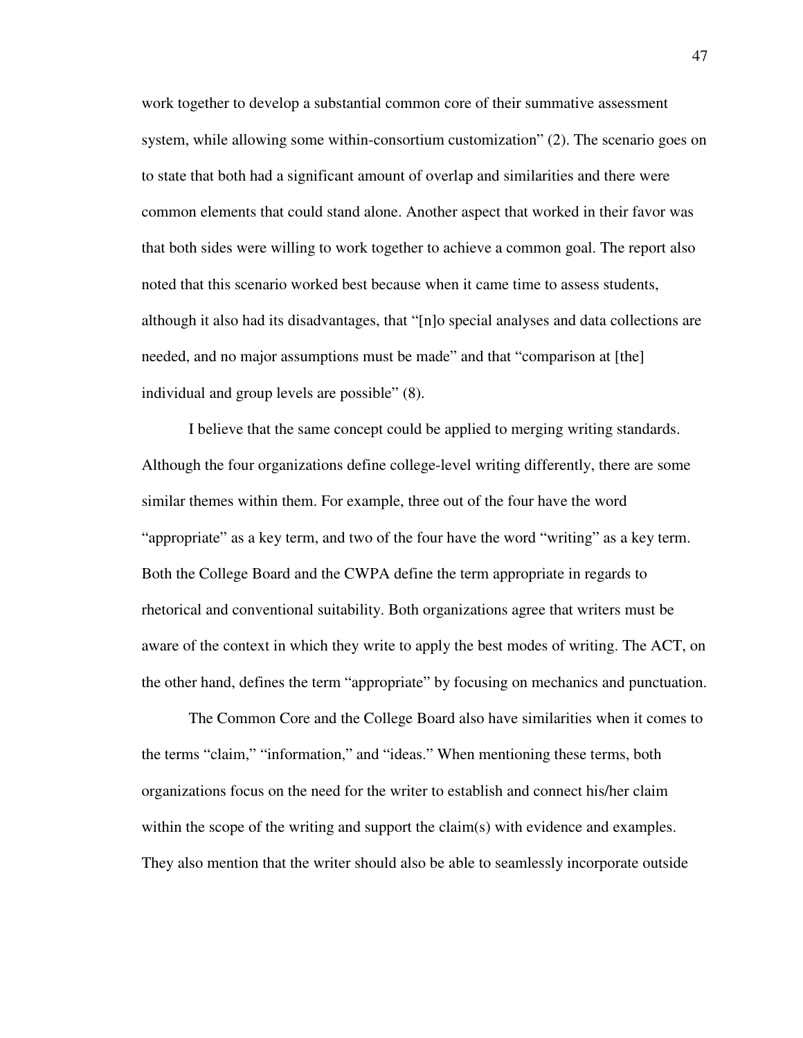work together to develop a substantial common core of their summative assessment system, while allowing some within-consortium customization" (2). The scenario goes on to state that both had a significant amount of overlap and similarities and there were common elements that could stand alone. Another aspect that worked in their favor was that both sides were willing to work together to achieve a common goal. The report also noted that this scenario worked best because when it came time to assess students, although it also had its disadvantages, that "[n]o special analyses and data collections are needed, and no major assumptions must be made" and that "comparison at [the] individual and group levels are possible" (8).

I believe that the same concept could be applied to merging writing standards. Although the four organizations define college-level writing differently, there are some similar themes within them. For example, three out of the four have the word "appropriate" as a key term, and two of the four have the word "writing" as a key term. Both the College Board and the CWPA define the term appropriate in regards to rhetorical and conventional suitability. Both organizations agree that writers must be aware of the context in which they write to apply the best modes of writing. The ACT, on the other hand, defines the term "appropriate" by focusing on mechanics and punctuation.

The Common Core and the College Board also have similarities when it comes to the terms "claim," "information," and "ideas." When mentioning these terms, both organizations focus on the need for the writer to establish and connect his/her claim within the scope of the writing and support the claim(s) with evidence and examples. They also mention that the writer should also be able to seamlessly incorporate outside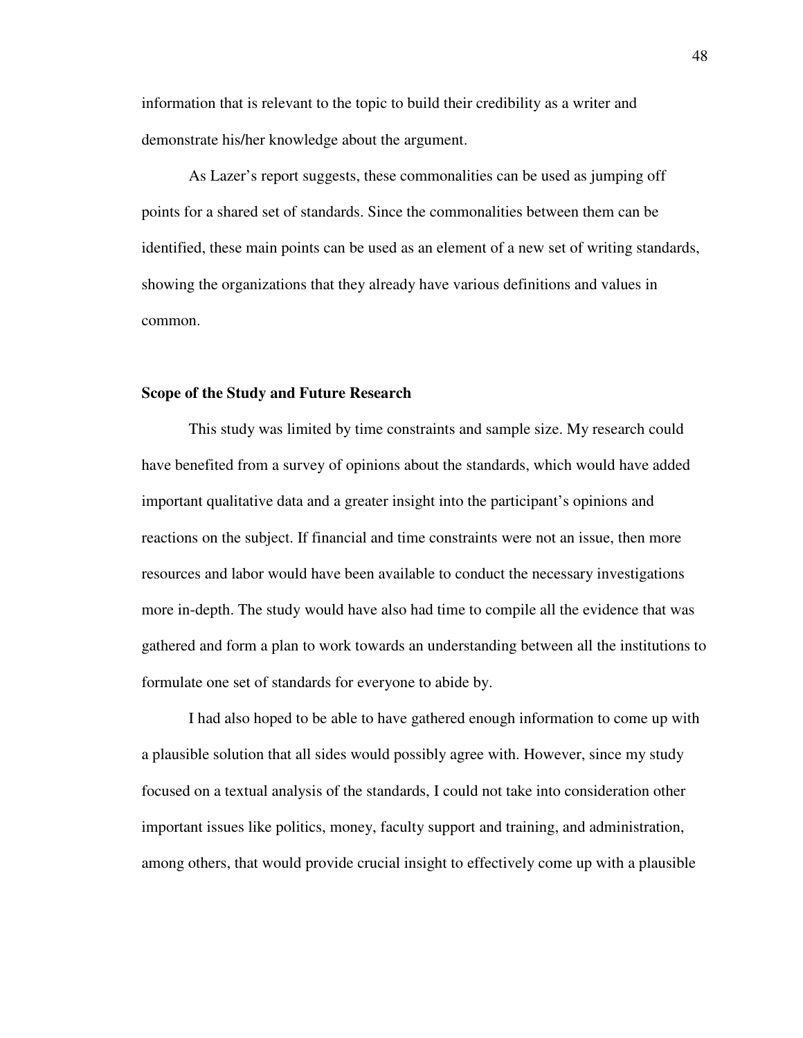information that is relevant to the topic to build their credibility as a writer and demonstrate his/her knowledge about the argument.

As Lazer's report suggests, these commonalities can be used as jumping off points for a shared set of standards. Since the commonalities between them can be identified, these main points can be used as an element of a new set of writing standards, showing the organizations that they already have various definitions and values in common.

#### **Scope of the Study and Future Research**

This study was limited by time constraints and sample size. My research could have benefited from a survey of opinions about the standards, which would have added important qualitative data and a greater insight into the participant's opinions and reactions on the subject. If financial and time constraints were not an issue, then more resources and labor would have been available to conduct the necessary investigations more in-depth. The study would have also had time to compile all the evidence that was gathered and form a plan to work towards an understanding between all the institutions to formulate one set of standards for everyone to abide by.

I had also hoped to be able to have gathered enough information to come up with a plausible solution that all sides would possibly agree with. However, since my study focused on a textual analysis of the standards, I could not take into consideration other important issues like politics, money, faculty support and training, and administration, among others, that would provide crucial insight to effectively come up with a plausible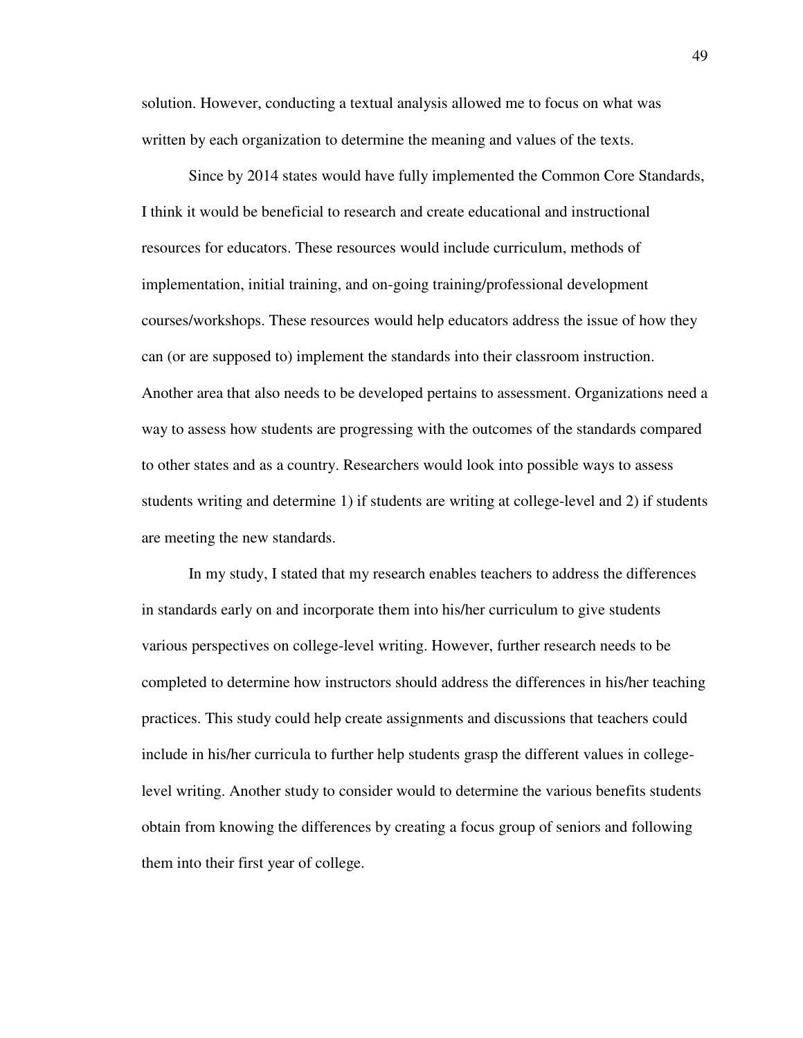solution. However, conducting a textual analysis allowed me to focus on what was written by each organization to determine the meaning and values of the texts.

Since by 2014 states would have fully implemented the Common Core Standards, I think it would be beneficial to research and create educational and instructional resources for educators. These resources would include curriculum, methods of implementation, initial training, and on-going training/professional development courses/workshops. These resources would help educators address the issue of how they can (or are supposed to) implement the standards into their classroom instruction. Another area that also needs to be developed pertains to assessment. Organizations need a way to assess how students are progressing with the outcomes of the standards compared to other states and as a country. Researchers would look into possible ways to assess students writing and determine 1) if students are writing at college-level and 2) if students are meeting the new standards.

In my study, I stated that my research enables teachers to address the differences in standards early on and incorporate them into his/her curriculum to give students various perspectives on college-level writing. However, further research needs to be completed to determine how instructors should address the differences in his/her teaching practices. This study could help create assignments and discussions that teachers could include in his/her curricula to further help students grasp the different values in collegelevel writing. Another study to consider would to determine the various benefits students obtain from knowing the differences by creating a focus group of seniors and following them into their first year of college.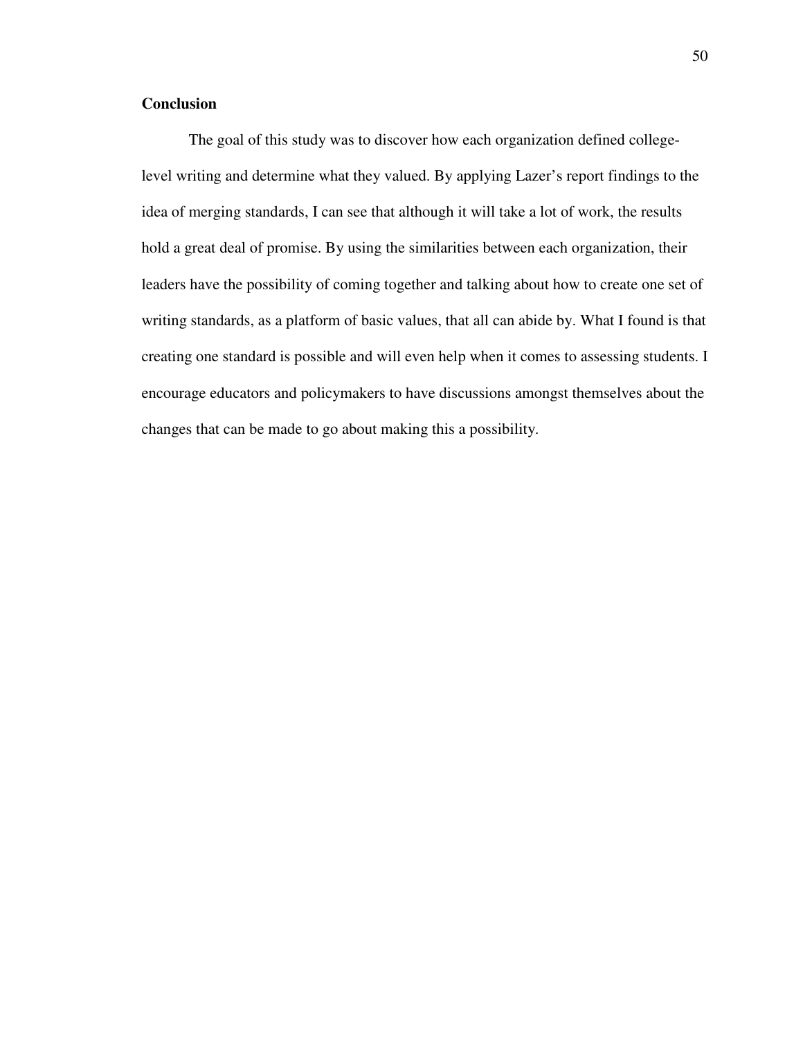### **Conclusion**

 The goal of this study was to discover how each organization defined collegelevel writing and determine what they valued. By applying Lazer's report findings to the idea of merging standards, I can see that although it will take a lot of work, the results hold a great deal of promise. By using the similarities between each organization, their leaders have the possibility of coming together and talking about how to create one set of writing standards, as a platform of basic values, that all can abide by. What I found is that creating one standard is possible and will even help when it comes to assessing students. I encourage educators and policymakers to have discussions amongst themselves about the changes that can be made to go about making this a possibility.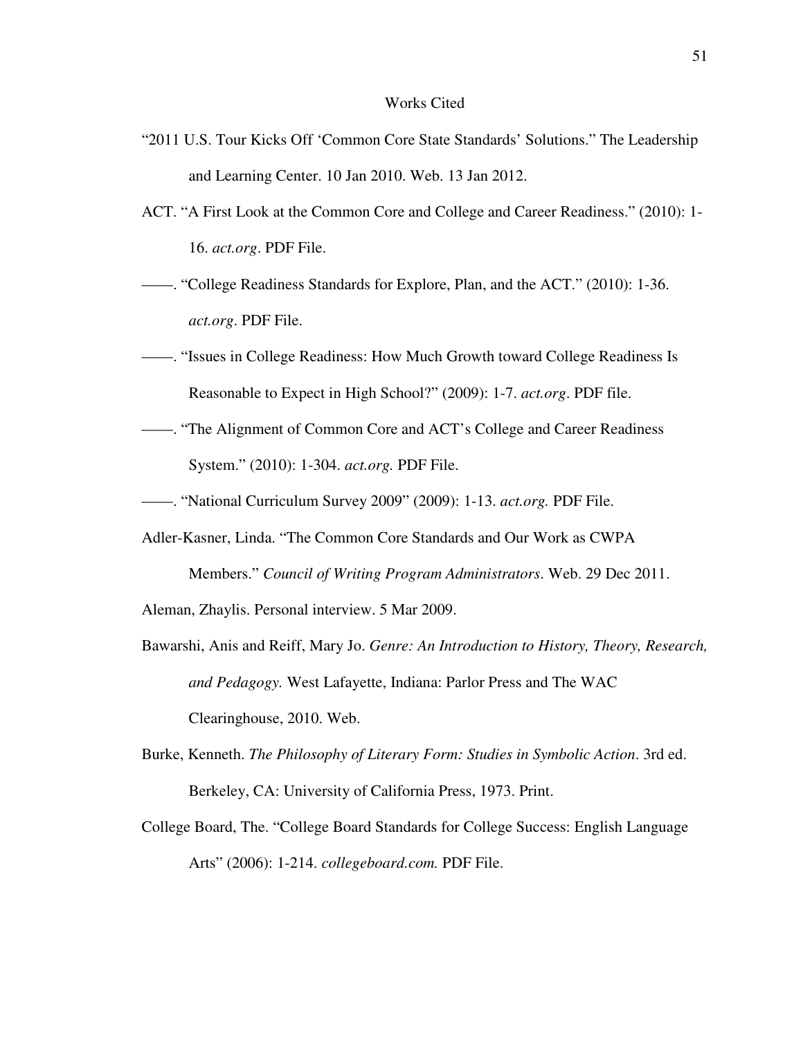#### Works Cited

- "2011 U.S. Tour Kicks Off 'Common Core State Standards' Solutions." The Leadership and Learning Center. 10 Jan 2010. Web. 13 Jan 2012.
- ACT. "A First Look at the Common Core and College and Career Readiness." (2010): 1- 16. *act.org*. PDF File.
- ——. "College Readiness Standards for Explore, Plan, and the ACT." (2010): 1-36. *act.org*. PDF File.
- ——. "Issues in College Readiness: How Much Growth toward College Readiness Is Reasonable to Expect in High School?" (2009): 1-7. *act.org*. PDF file.
- ——. "The Alignment of Common Core and ACT's College and Career Readiness System." (2010): 1-304. *act.org.* PDF File.
- ——. "National Curriculum Survey 2009" (2009): 1-13. *act.org.* PDF File.
- Adler-Kasner, Linda. "The Common Core Standards and Our Work as CWPA Members." *Council of Writing Program Administrators*. Web. 29 Dec 2011.
- Aleman, Zhaylis. Personal interview. 5 Mar 2009.
- Bawarshi, Anis and Reiff, Mary Jo. *Genre: An Introduction to History, Theory, Research, and Pedagogy.* West Lafayette, Indiana: Parlor Press and The WAC Clearinghouse, 2010. Web.
- Burke, Kenneth. *The Philosophy of Literary Form: Studies in Symbolic Action*. 3rd ed. Berkeley, CA: University of California Press, 1973. Print.
- College Board, The. "College Board Standards for College Success: English Language Arts" (2006): 1-214. *collegeboard.com.* PDF File.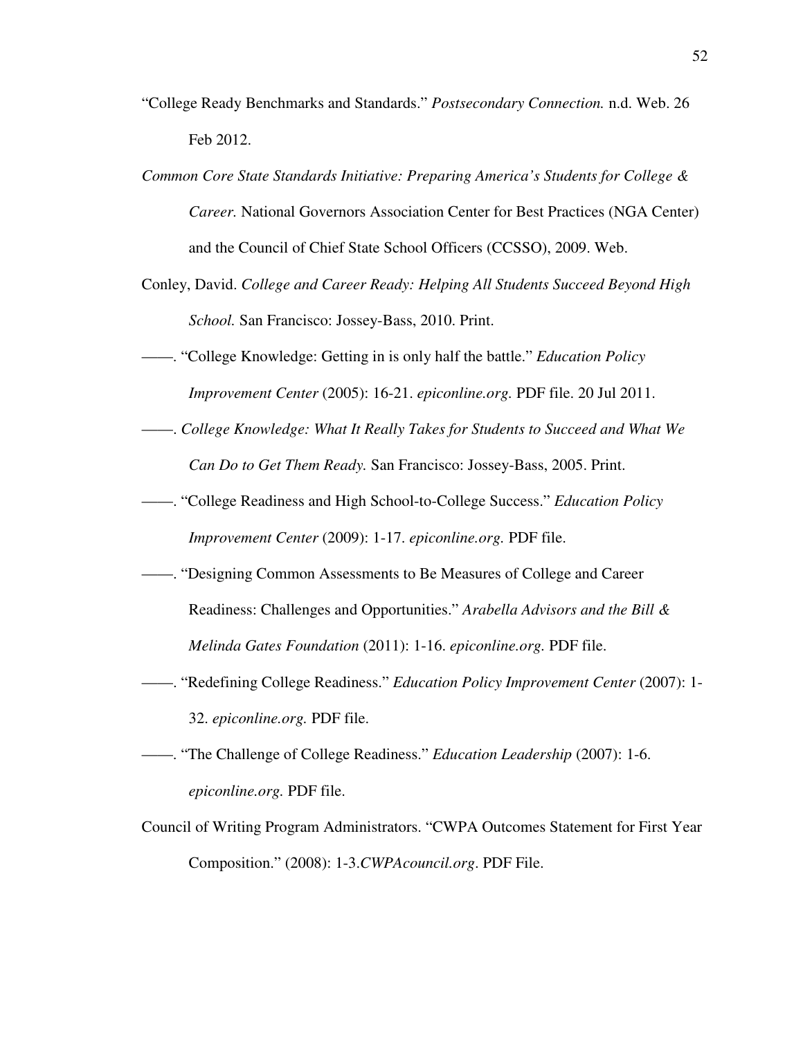- "College Ready Benchmarks and Standards." *Postsecondary Connection.* n.d. Web. 26 Feb 2012.
- *Common Core State Standards Initiative: Preparing America's Students for College & Career.* National Governors Association Center for Best Practices (NGA Center) and the Council of Chief State School Officers (CCSSO), 2009. Web.
- Conley, David. *College and Career Ready: Helping All Students Succeed Beyond High School.* San Francisco: Jossey-Bass, 2010. Print.
- ——. "College Knowledge: Getting in is only half the battle." *Education Policy Improvement Center* (2005): 16-21. *epiconline.org.* PDF file. 20 Jul 2011.
- ——. *College Knowledge: What It Really Takes for Students to Succeed and What We Can Do to Get Them Ready.* San Francisco: Jossey-Bass, 2005. Print.
- ——. "College Readiness and High School-to-College Success." *Education Policy Improvement Center* (2009): 1-17. *epiconline.org.* PDF file.
- ——. "Designing Common Assessments to Be Measures of College and Career Readiness: Challenges and Opportunities." *Arabella Advisors and the Bill & Melinda Gates Foundation* (2011): 1-16. *epiconline.org.* PDF file.
- ——. "Redefining College Readiness." *Education Policy Improvement Center* (2007): 1- 32. *epiconline.org.* PDF file.
- ——. "The Challenge of College Readiness." *Education Leadership* (2007): 1-6. *epiconline.org.* PDF file.
- Council of Writing Program Administrators. "CWPA Outcomes Statement for First Year Composition." (2008): 1-3.*CWPAcouncil.org*. PDF File.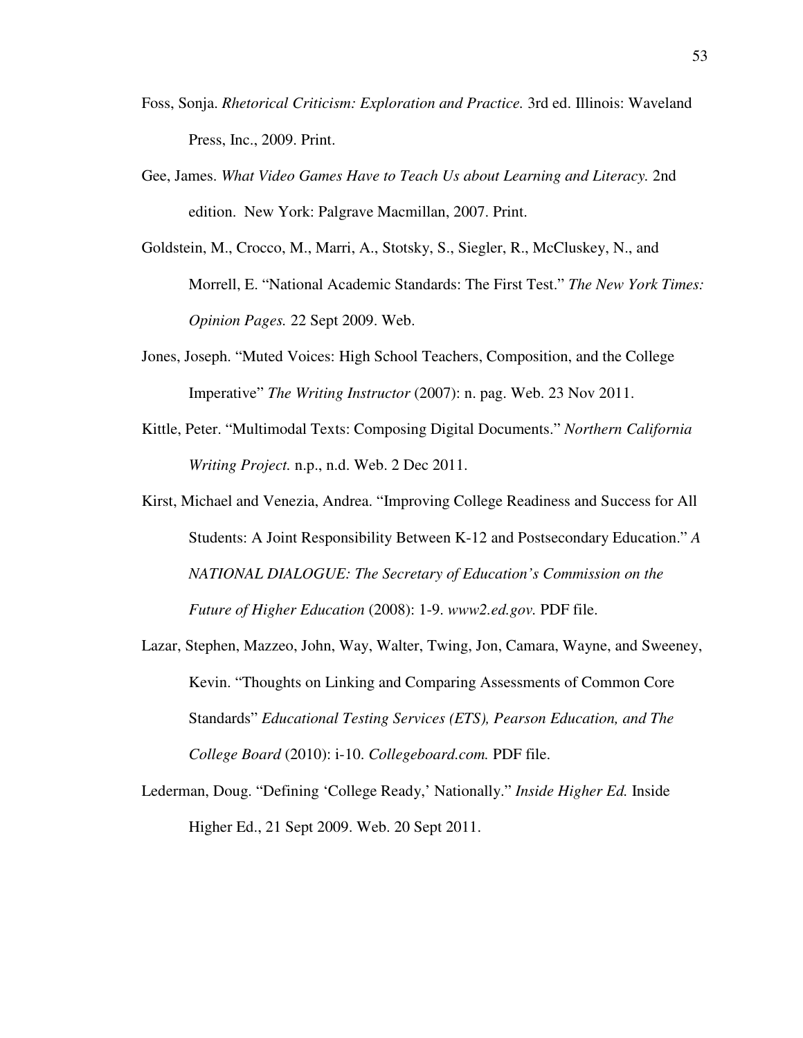- Foss, Sonja. *Rhetorical Criticism: Exploration and Practice.* 3rd ed. Illinois: Waveland Press, Inc., 2009. Print.
- Gee, James. *What Video Games Have to Teach Us about Learning and Literacy.* 2nd edition. New York: Palgrave Macmillan, 2007. Print.
- Goldstein, M., Crocco, M., Marri, A., Stotsky, S., Siegler, R., McCluskey, N., and Morrell, E. "National Academic Standards: The First Test." *The New York Times: Opinion Pages.* 22 Sept 2009. Web.
- Jones, Joseph. "Muted Voices: High School Teachers, Composition, and the College Imperative" *The Writing Instructor* (2007): n. pag. Web. 23 Nov 2011.
- Kittle, Peter. "Multimodal Texts: Composing Digital Documents." *Northern California Writing Project.* n.p., n.d. Web. 2 Dec 2011.

Kirst, Michael and Venezia, Andrea. "Improving College Readiness and Success for All Students: A Joint Responsibility Between K-12 and Postsecondary Education." *A NATIONAL DIALOGUE: The Secretary of Education's Commission on the Future of Higher Education* (2008): 1-9. *www2.ed.gov.* PDF file.

- Lazar, Stephen, Mazzeo, John, Way, Walter, Twing, Jon, Camara, Wayne, and Sweeney, Kevin. "Thoughts on Linking and Comparing Assessments of Common Core Standards" *Educational Testing Services (ETS), Pearson Education, and The College Board* (2010): i-10. *Collegeboard.com.* PDF file.
- Lederman, Doug. "Defining 'College Ready,' Nationally." *Inside Higher Ed.* Inside Higher Ed., 21 Sept 2009. Web. 20 Sept 2011.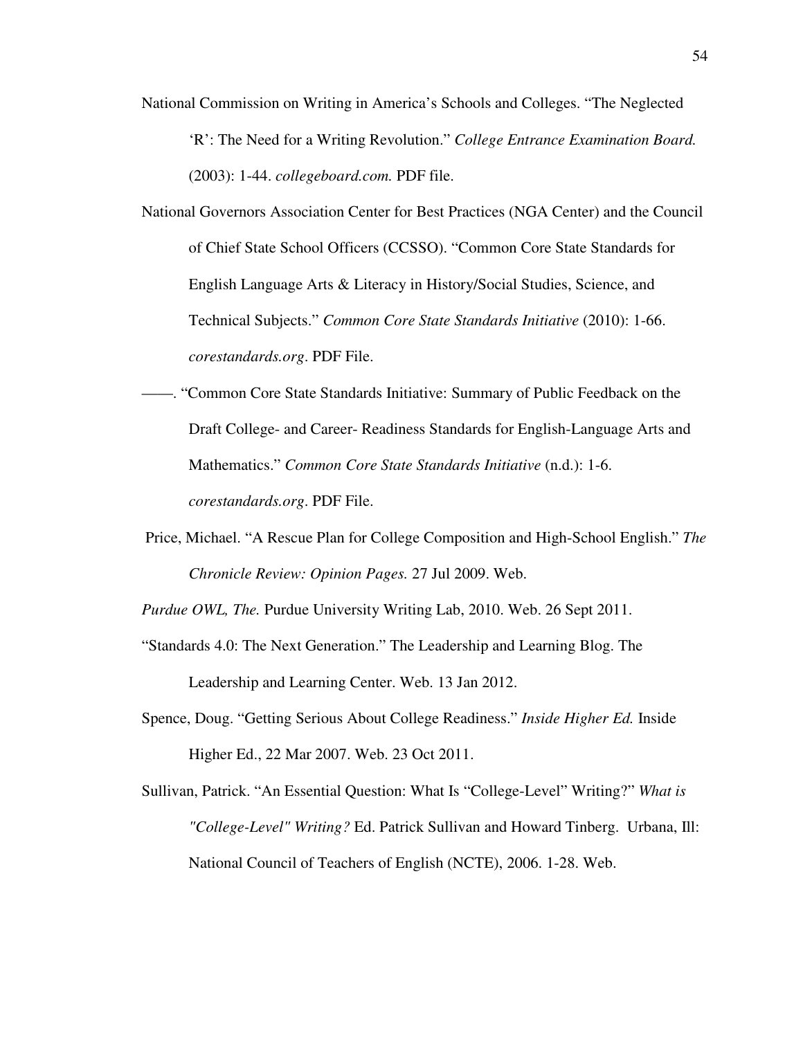- National Commission on Writing in America's Schools and Colleges. "The Neglected 'R': The Need for a Writing Revolution." *College Entrance Examination Board.* (2003): 1-44. *collegeboard.com.* PDF file.
- National Governors Association Center for Best Practices (NGA Center) and the Council of Chief State School Officers (CCSSO). "Common Core State Standards for English Language Arts & Literacy in History/Social Studies, Science, and Technical Subjects." *Common Core State Standards Initiative* (2010): 1-66. *corestandards.org*. PDF File.
- ——. "Common Core State Standards Initiative: Summary of Public Feedback on the Draft College- and Career- Readiness Standards for English-Language Arts and Mathematics." *Common Core State Standards Initiative* (n.d.): 1-6. *corestandards.org*. PDF File.
- Price, Michael. "A Rescue Plan for College Composition and High-School English." *The Chronicle Review: Opinion Pages.* 27 Jul 2009. Web.

*Purdue OWL, The.* Purdue University Writing Lab, 2010. Web. 26 Sept 2011.

- "Standards 4.0: The Next Generation." The Leadership and Learning Blog. The Leadership and Learning Center. Web. 13 Jan 2012.
- Spence, Doug. "Getting Serious About College Readiness." *Inside Higher Ed.* Inside Higher Ed., 22 Mar 2007. Web. 23 Oct 2011.
- Sullivan, Patrick. "An Essential Question: What Is "College-Level" Writing?" *What is "College-Level" Writing?* Ed. Patrick Sullivan and Howard Tinberg. Urbana, Ill: National Council of Teachers of English (NCTE), 2006. 1-28. Web.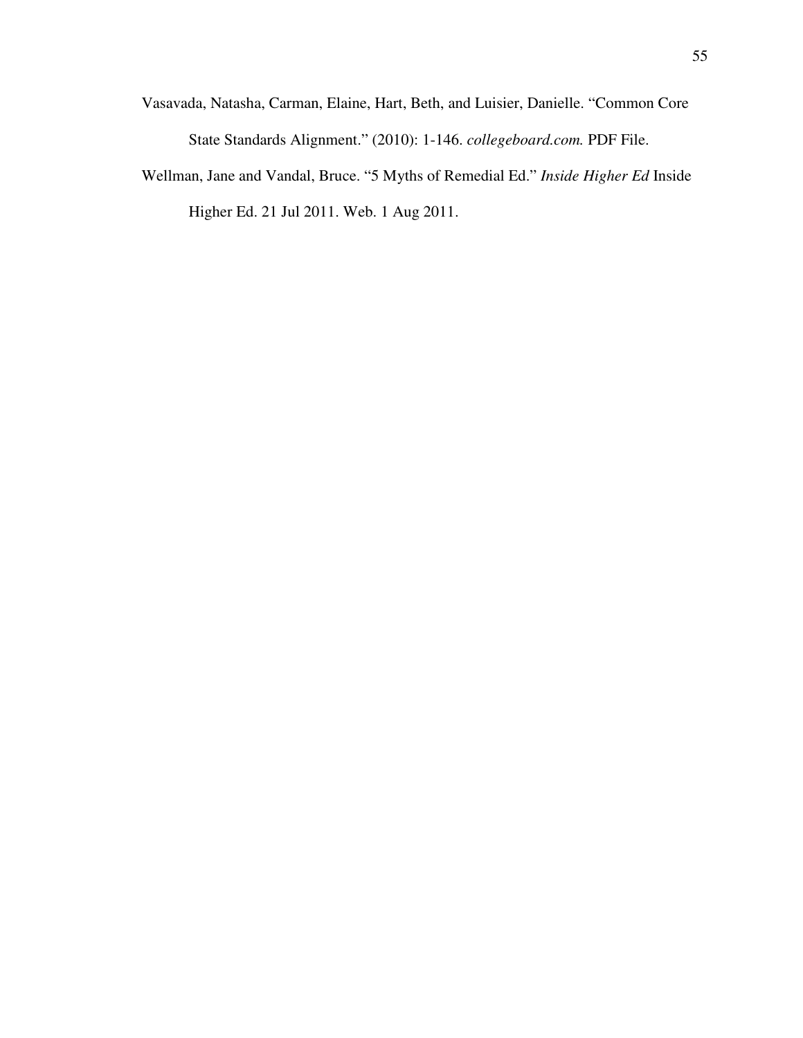- Vasavada, Natasha, Carman, Elaine, Hart, Beth, and Luisier, Danielle. "Common Core State Standards Alignment." (2010): 1-146. *collegeboard.com.* PDF File.
- Wellman, Jane and Vandal, Bruce. "5 Myths of Remedial Ed." *Inside Higher Ed* Inside Higher Ed. 21 Jul 2011. Web. 1 Aug 2011.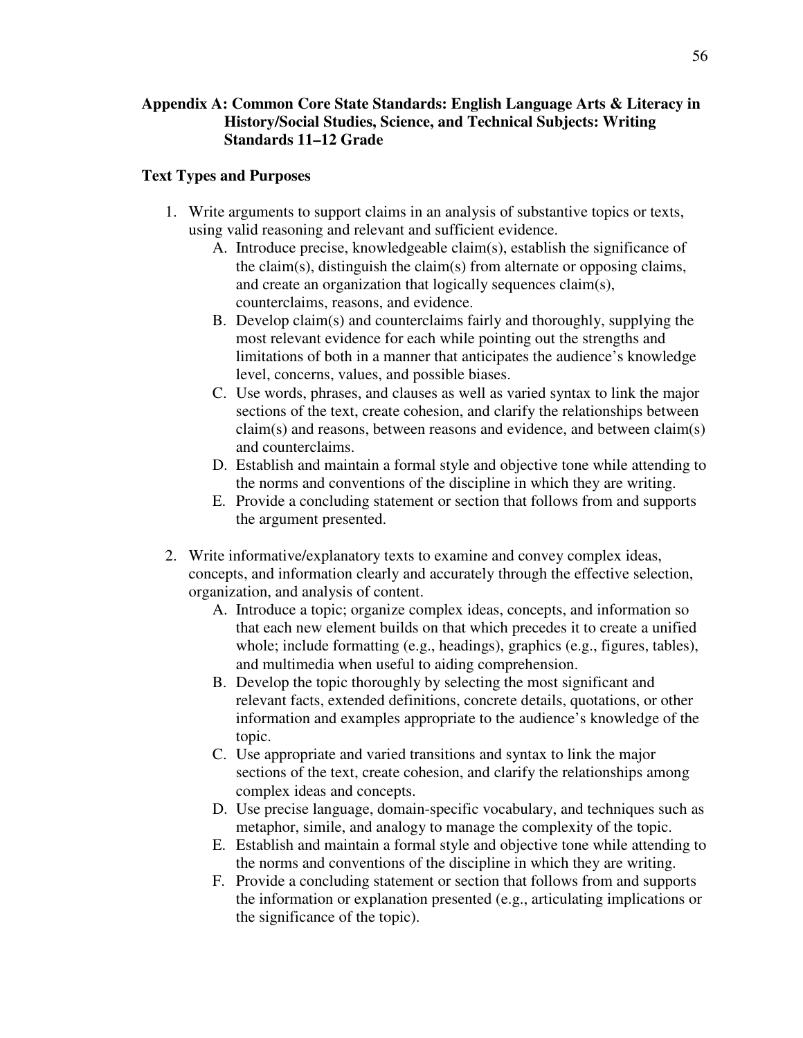### **Appendix A: Common Core State Standards: English Language Arts & Literacy in History/Social Studies, Science, and Technical Subjects: Writing Standards 11–12 Grade**

### **Text Types and Purposes**

- 1. Write arguments to support claims in an analysis of substantive topics or texts, using valid reasoning and relevant and sufficient evidence.
	- A. Introduce precise, knowledgeable claim(s), establish the significance of the claim(s), distinguish the claim(s) from alternate or opposing claims, and create an organization that logically sequences claim(s), counterclaims, reasons, and evidence.
	- B. Develop claim(s) and counterclaims fairly and thoroughly, supplying the most relevant evidence for each while pointing out the strengths and limitations of both in a manner that anticipates the audience's knowledge level, concerns, values, and possible biases.
	- C. Use words, phrases, and clauses as well as varied syntax to link the major sections of the text, create cohesion, and clarify the relationships between claim(s) and reasons, between reasons and evidence, and between claim(s) and counterclaims.
	- D. Establish and maintain a formal style and objective tone while attending to the norms and conventions of the discipline in which they are writing.
	- E. Provide a concluding statement or section that follows from and supports the argument presented.
- 2. Write informative/explanatory texts to examine and convey complex ideas, concepts, and information clearly and accurately through the effective selection, organization, and analysis of content.
	- A. Introduce a topic; organize complex ideas, concepts, and information so that each new element builds on that which precedes it to create a unified whole; include formatting (e.g., headings), graphics (e.g., figures, tables), and multimedia when useful to aiding comprehension.
	- B. Develop the topic thoroughly by selecting the most significant and relevant facts, extended definitions, concrete details, quotations, or other information and examples appropriate to the audience's knowledge of the topic.
	- C. Use appropriate and varied transitions and syntax to link the major sections of the text, create cohesion, and clarify the relationships among complex ideas and concepts.
	- D. Use precise language, domain-specific vocabulary, and techniques such as metaphor, simile, and analogy to manage the complexity of the topic.
	- E. Establish and maintain a formal style and objective tone while attending to the norms and conventions of the discipline in which they are writing.
	- F. Provide a concluding statement or section that follows from and supports the information or explanation presented (e.g., articulating implications or the significance of the topic).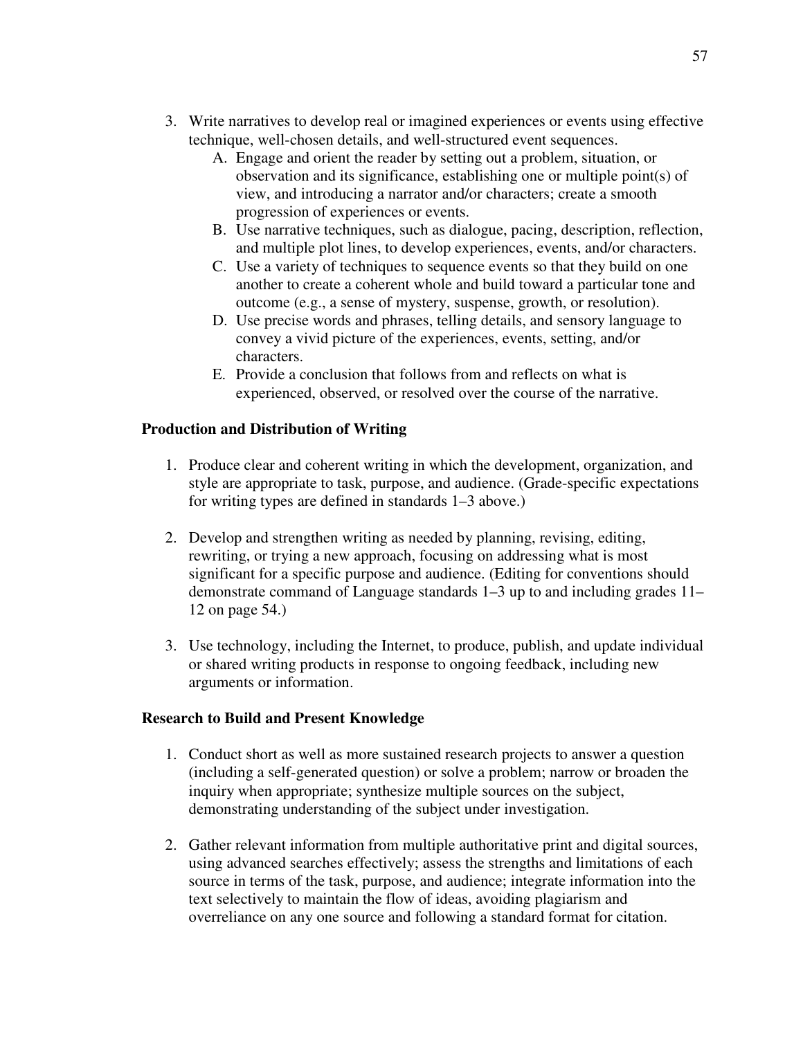- 3. Write narratives to develop real or imagined experiences or events using effective technique, well-chosen details, and well-structured event sequences.
	- A. Engage and orient the reader by setting out a problem, situation, or observation and its significance, establishing one or multiple point(s) of view, and introducing a narrator and/or characters; create a smooth progression of experiences or events.
	- B. Use narrative techniques, such as dialogue, pacing, description, reflection, and multiple plot lines, to develop experiences, events, and/or characters.
	- C. Use a variety of techniques to sequence events so that they build on one another to create a coherent whole and build toward a particular tone and outcome (e.g., a sense of mystery, suspense, growth, or resolution).
	- D. Use precise words and phrases, telling details, and sensory language to convey a vivid picture of the experiences, events, setting, and/or characters.
	- E. Provide a conclusion that follows from and reflects on what is experienced, observed, or resolved over the course of the narrative.

## **Production and Distribution of Writing**

- 1. Produce clear and coherent writing in which the development, organization, and style are appropriate to task, purpose, and audience. (Grade-specific expectations for writing types are defined in standards 1–3 above.)
- 2. Develop and strengthen writing as needed by planning, revising, editing, rewriting, or trying a new approach, focusing on addressing what is most significant for a specific purpose and audience. (Editing for conventions should demonstrate command of Language standards 1–3 up to and including grades 11– 12 on page 54.)
- 3. Use technology, including the Internet, to produce, publish, and update individual or shared writing products in response to ongoing feedback, including new arguments or information.

## **Research to Build and Present Knowledge**

- 1. Conduct short as well as more sustained research projects to answer a question (including a self-generated question) or solve a problem; narrow or broaden the inquiry when appropriate; synthesize multiple sources on the subject, demonstrating understanding of the subject under investigation.
- 2. Gather relevant information from multiple authoritative print and digital sources, using advanced searches effectively; assess the strengths and limitations of each source in terms of the task, purpose, and audience; integrate information into the text selectively to maintain the flow of ideas, avoiding plagiarism and overreliance on any one source and following a standard format for citation.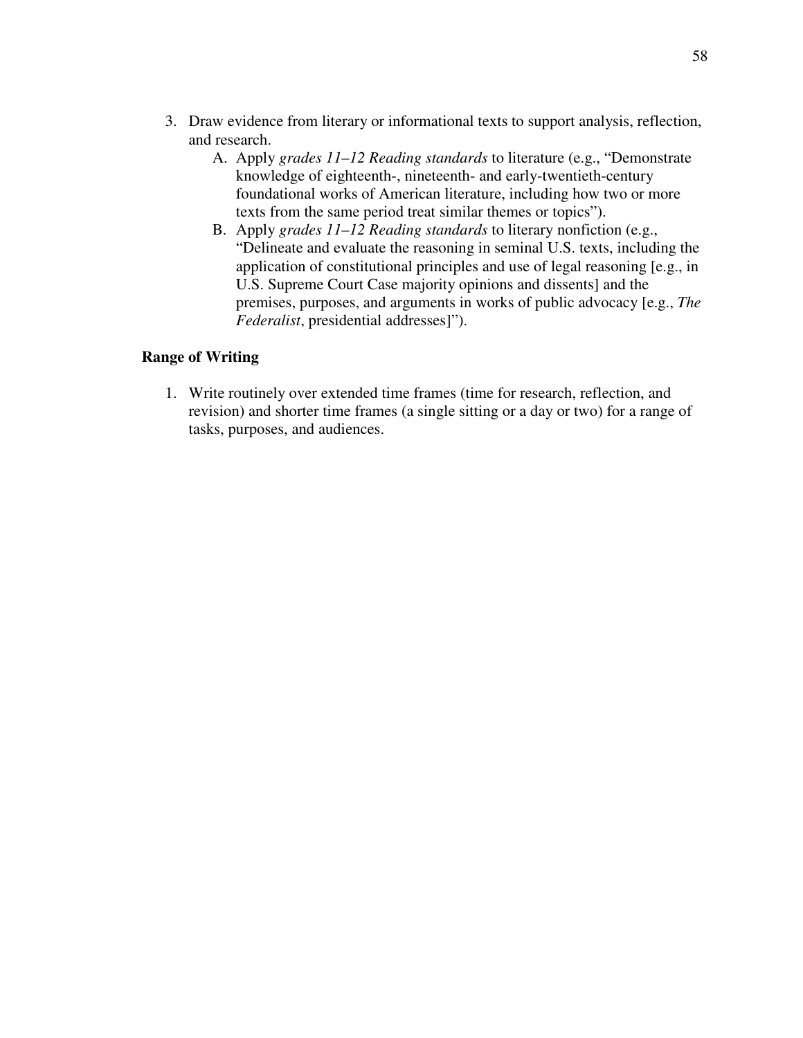- 3. Draw evidence from literary or informational texts to support analysis, reflection, and research.
	- A. Apply *grades 11–12 Reading standards* to literature (e.g., "Demonstrate knowledge of eighteenth-, nineteenth- and early-twentieth-century foundational works of American literature, including how two or more texts from the same period treat similar themes or topics").
	- B. Apply *grades 11–12 Reading standards* to literary nonfiction (e.g., "Delineate and evaluate the reasoning in seminal U.S. texts, including the application of constitutional principles and use of legal reasoning [e.g., in U.S. Supreme Court Case majority opinions and dissents] and the premises, purposes, and arguments in works of public advocacy [e.g., *The Federalist*, presidential addresses]").

### **Range of Writing**

1. Write routinely over extended time frames (time for research, reflection, and revision) and shorter time frames (a single sitting or a day or two) for a range of tasks, purposes, and audiences.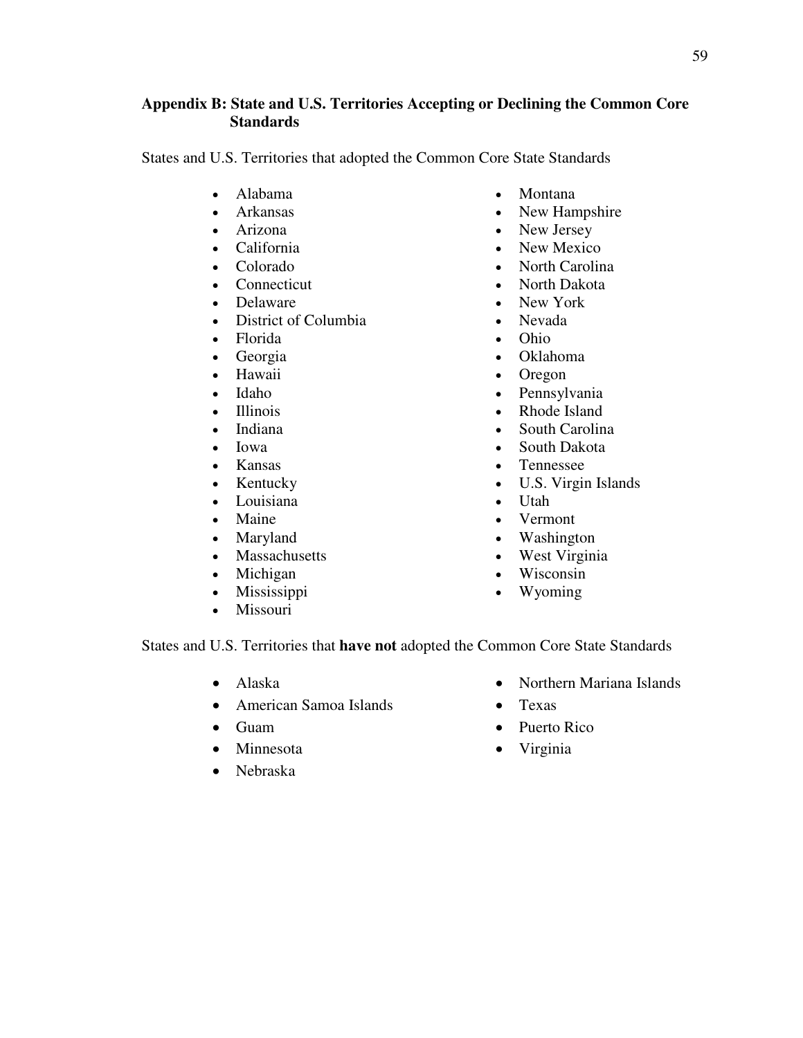# **Appendix B: State and U.S. Territories Accepting or Declining the Common Core Standards**

States and U.S. Territories that adopted the Common Core State Standards

- Alabama
- Arkansas
- Arizona
- California
- Colorado
- Connecticut
- Delaware
- District of Columbia
- Florida
- Georgia
- Hawaii
- Idaho
- Illinois
- Indiana
- Iowa
- Kansas
- **Kentucky**
- Louisiana
- Maine
- Maryland
- Massachusetts
- Michigan
- Mississippi
- Missouri
- Montana
- New Hampshire
- New Jersey
- New Mexico
- North Carolina
- North Dakota
- New York
- Nevada
- Ohio
- Oklahoma
- Oregon
- Pennsylvania
- Rhode Island
- South Carolina
- South Dakota
- Tennessee
- U.S. Virgin Islands
- Utah
- Vermont
- Washington
- West Virginia
- Wisconsin
- Wyoming

States and U.S. Territories that **have not** adopted the Common Core State Standards

- Alaska
- American Samoa Islands
- Guam
- Minnesota
- Nebraska
- Northern Mariana Islands
- Texas
- Puerto Rico
- Virginia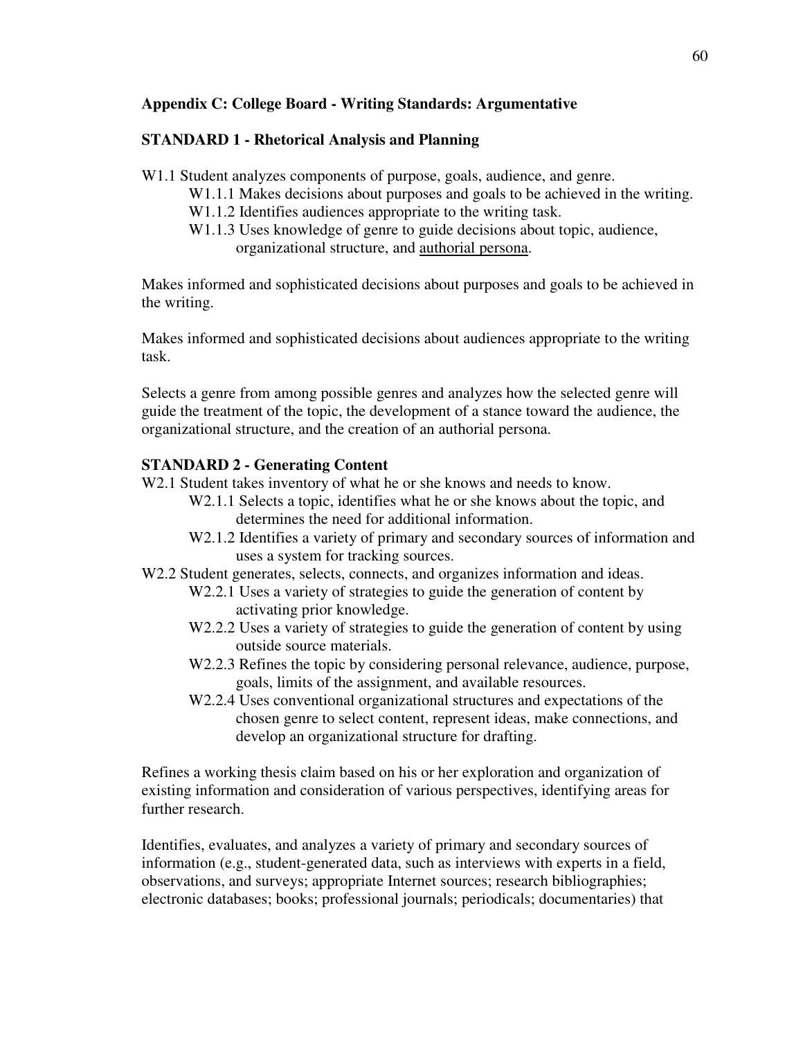## **Appendix C: College Board - Writing Standards: Argumentative**

### **STANDARD 1 - Rhetorical Analysis and Planning**

W1.1 Student analyzes components of purpose, goals, audience, and genre.

- W1.1.1 Makes decisions about purposes and goals to be achieved in the writing.
- W1.1.2 Identifies audiences appropriate to the writing task.
- W1.1.3 Uses knowledge of genre to guide decisions about topic, audience, organizational structure, and authorial persona.

Makes informed and sophisticated decisions about purposes and goals to be achieved in the writing.

Makes informed and sophisticated decisions about audiences appropriate to the writing task.

Selects a genre from among possible genres and analyzes how the selected genre will guide the treatment of the topic, the development of a stance toward the audience, the organizational structure, and the creation of an authorial persona.

## **STANDARD 2 - Generating Content**

- W2.1 Student takes inventory of what he or she knows and needs to know.
	- W<sub>2.1.1</sub> Selects a topic, identifies what he or she knows about the topic, and determines the need for additional information.
	- W2.1.2 Identifies a variety of primary and secondary sources of information and uses a system for tracking sources.
- W2.2 Student generates, selects, connects, and organizes information and ideas.
	- W<sub>2.2.1</sub> Uses a variety of strategies to guide the generation of content by activating prior knowledge.
	- W2.2.2 Uses a variety of strategies to guide the generation of content by using outside source materials.
	- W2.2.3 Refines the topic by considering personal relevance, audience, purpose, goals, limits of the assignment, and available resources.
	- W2.2.4 Uses conventional organizational structures and expectations of the chosen genre to select content, represent ideas, make connections, and develop an organizational structure for drafting.

Refines a working thesis claim based on his or her exploration and organization of existing information and consideration of various perspectives, identifying areas for further research.

Identifies, evaluates, and analyzes a variety of primary and secondary sources of information (e.g., student-generated data, such as interviews with experts in a field, observations, and surveys; appropriate Internet sources; research bibliographies; electronic databases; books; professional journals; periodicals; documentaries) that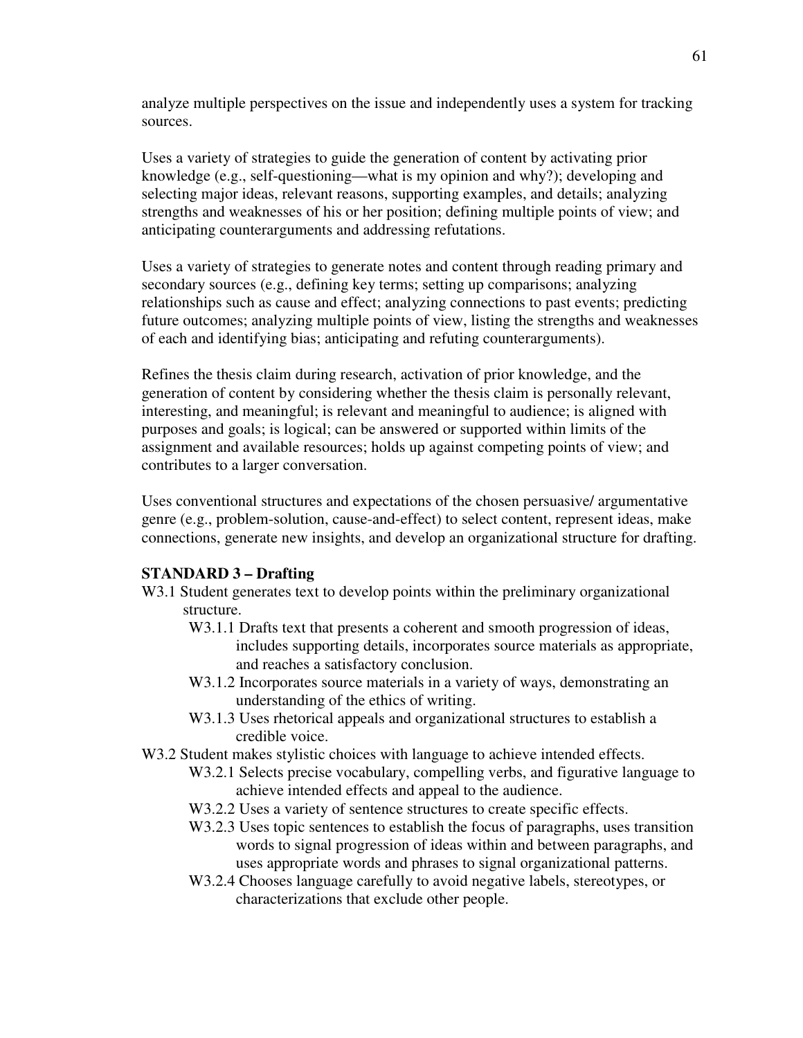analyze multiple perspectives on the issue and independently uses a system for tracking sources.

Uses a variety of strategies to guide the generation of content by activating prior knowledge (e.g., self-questioning—what is my opinion and why?); developing and selecting major ideas, relevant reasons, supporting examples, and details; analyzing strengths and weaknesses of his or her position; defining multiple points of view; and anticipating counterarguments and addressing refutations.

Uses a variety of strategies to generate notes and content through reading primary and secondary sources (e.g., defining key terms; setting up comparisons; analyzing relationships such as cause and effect; analyzing connections to past events; predicting future outcomes; analyzing multiple points of view, listing the strengths and weaknesses of each and identifying bias; anticipating and refuting counterarguments).

Refines the thesis claim during research, activation of prior knowledge, and the generation of content by considering whether the thesis claim is personally relevant, interesting, and meaningful; is relevant and meaningful to audience; is aligned with purposes and goals; is logical; can be answered or supported within limits of the assignment and available resources; holds up against competing points of view; and contributes to a larger conversation.

Uses conventional structures and expectations of the chosen persuasive/ argumentative genre (e.g., problem-solution, cause-and-effect) to select content, represent ideas, make connections, generate new insights, and develop an organizational structure for drafting.

### **STANDARD 3 – Drafting**

- W3.1 Student generates text to develop points within the preliminary organizational structure.
	- W3.1.1 Drafts text that presents a coherent and smooth progression of ideas, includes supporting details, incorporates source materials as appropriate, and reaches a satisfactory conclusion.
	- W3.1.2 Incorporates source materials in a variety of ways, demonstrating an understanding of the ethics of writing.
	- W3.1.3 Uses rhetorical appeals and organizational structures to establish a credible voice.
- W<sub>3.2</sub> Student makes stylistic choices with language to achieve intended effects.
	- W3.2.1 Selects precise vocabulary, compelling verbs, and figurative language to achieve intended effects and appeal to the audience.
	- W3.2.2 Uses a variety of sentence structures to create specific effects.
	- W3.2.3 Uses topic sentences to establish the focus of paragraphs, uses transition words to signal progression of ideas within and between paragraphs, and uses appropriate words and phrases to signal organizational patterns.
	- W3.2.4 Chooses language carefully to avoid negative labels, stereotypes, or characterizations that exclude other people.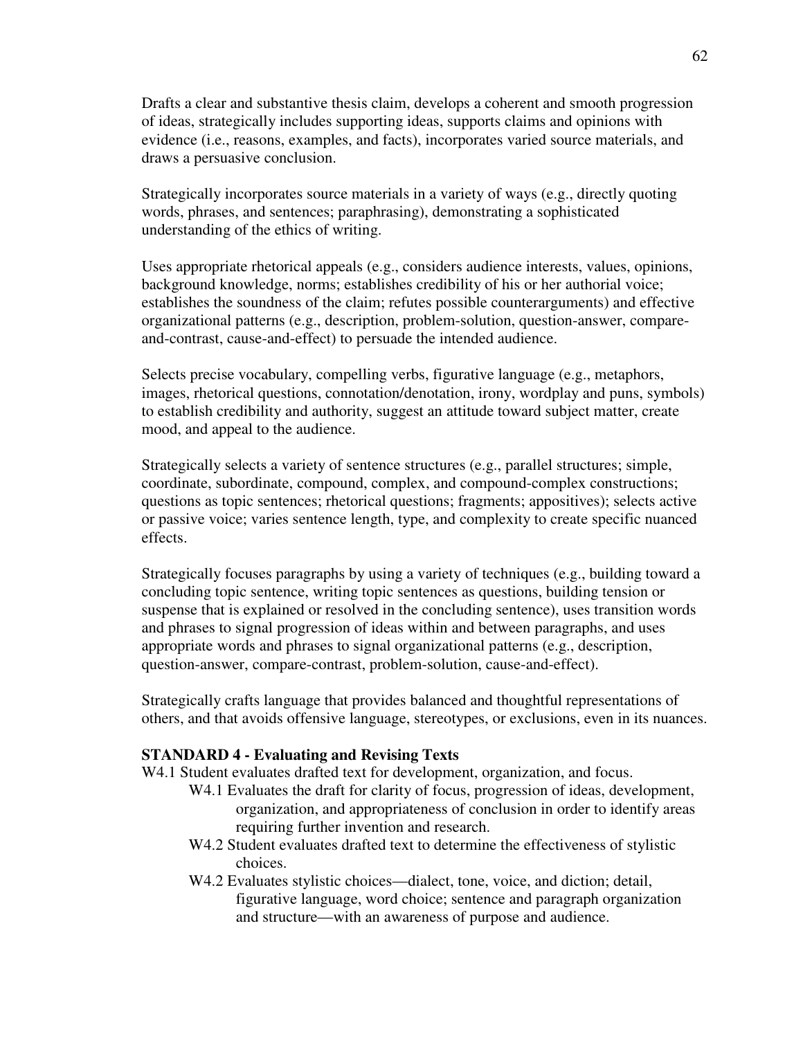Drafts a clear and substantive thesis claim, develops a coherent and smooth progression of ideas, strategically includes supporting ideas, supports claims and opinions with evidence (i.e., reasons, examples, and facts), incorporates varied source materials, and draws a persuasive conclusion.

Strategically incorporates source materials in a variety of ways (e.g., directly quoting words, phrases, and sentences; paraphrasing), demonstrating a sophisticated understanding of the ethics of writing.

Uses appropriate rhetorical appeals (e.g., considers audience interests, values, opinions, background knowledge, norms; establishes credibility of his or her authorial voice; establishes the soundness of the claim; refutes possible counterarguments) and effective organizational patterns (e.g., description, problem-solution, question-answer, compareand-contrast, cause-and-effect) to persuade the intended audience.

Selects precise vocabulary, compelling verbs, figurative language (e.g., metaphors, images, rhetorical questions, connotation/denotation, irony, wordplay and puns, symbols) to establish credibility and authority, suggest an attitude toward subject matter, create mood, and appeal to the audience.

Strategically selects a variety of sentence structures (e.g., parallel structures; simple, coordinate, subordinate, compound, complex, and compound-complex constructions; questions as topic sentences; rhetorical questions; fragments; appositives); selects active or passive voice; varies sentence length, type, and complexity to create specific nuanced effects.

Strategically focuses paragraphs by using a variety of techniques (e.g., building toward a concluding topic sentence, writing topic sentences as questions, building tension or suspense that is explained or resolved in the concluding sentence), uses transition words and phrases to signal progression of ideas within and between paragraphs, and uses appropriate words and phrases to signal organizational patterns (e.g., description, question-answer, compare-contrast, problem-solution, cause-and-effect).

Strategically crafts language that provides balanced and thoughtful representations of others, and that avoids offensive language, stereotypes, or exclusions, even in its nuances.

### **STANDARD 4 - Evaluating and Revising Texts**

W4.1 Student evaluates drafted text for development, organization, and focus.

- W4.1 Evaluates the draft for clarity of focus, progression of ideas, development, organization, and appropriateness of conclusion in order to identify areas requiring further invention and research.
- W4.2 Student evaluates drafted text to determine the effectiveness of stylistic choices.
- W4.2 Evaluates stylistic choices—dialect, tone, voice, and diction; detail, figurative language, word choice; sentence and paragraph organization and structure—with an awareness of purpose and audience.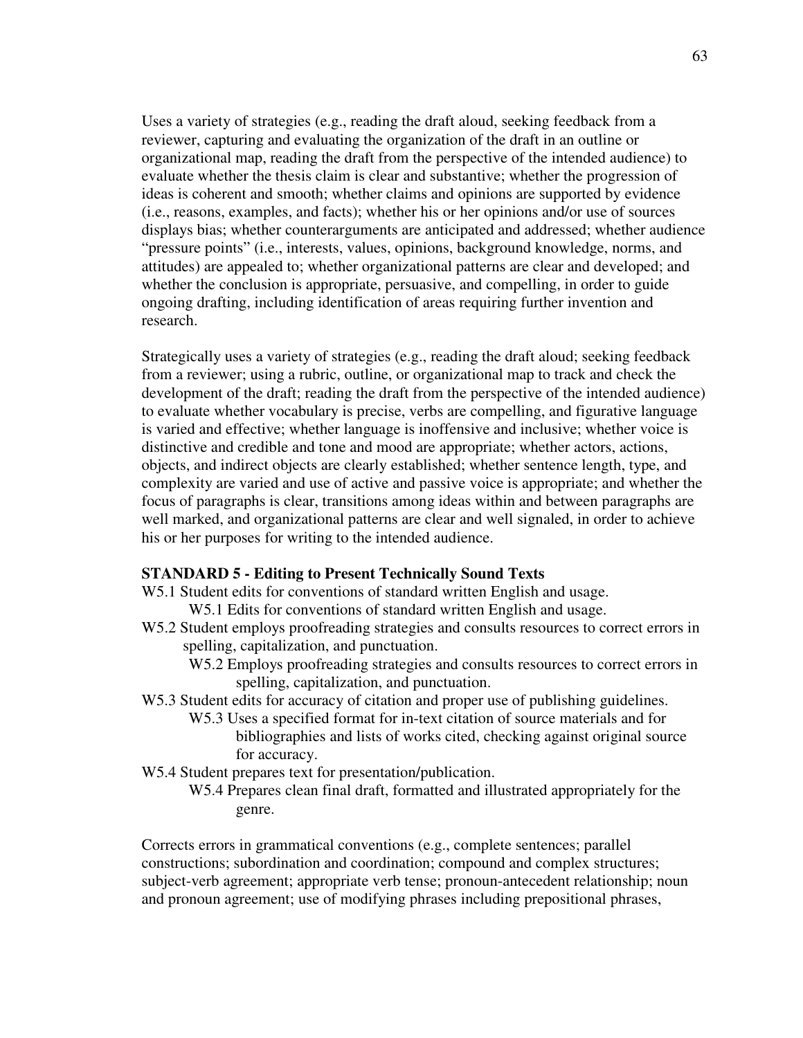Uses a variety of strategies (e.g., reading the draft aloud, seeking feedback from a reviewer, capturing and evaluating the organization of the draft in an outline or organizational map, reading the draft from the perspective of the intended audience) to evaluate whether the thesis claim is clear and substantive; whether the progression of ideas is coherent and smooth; whether claims and opinions are supported by evidence (i.e., reasons, examples, and facts); whether his or her opinions and/or use of sources displays bias; whether counterarguments are anticipated and addressed; whether audience "pressure points" (i.e., interests, values, opinions, background knowledge, norms, and attitudes) are appealed to; whether organizational patterns are clear and developed; and whether the conclusion is appropriate, persuasive, and compelling, in order to guide ongoing drafting, including identification of areas requiring further invention and research.

Strategically uses a variety of strategies (e.g., reading the draft aloud; seeking feedback from a reviewer; using a rubric, outline, or organizational map to track and check the development of the draft; reading the draft from the perspective of the intended audience) to evaluate whether vocabulary is precise, verbs are compelling, and figurative language is varied and effective; whether language is inoffensive and inclusive; whether voice is distinctive and credible and tone and mood are appropriate; whether actors, actions, objects, and indirect objects are clearly established; whether sentence length, type, and complexity are varied and use of active and passive voice is appropriate; and whether the focus of paragraphs is clear, transitions among ideas within and between paragraphs are well marked, and organizational patterns are clear and well signaled, in order to achieve his or her purposes for writing to the intended audience.

### **STANDARD 5 - Editing to Present Technically Sound Texts**

- W5.1 Student edits for conventions of standard written English and usage.
	- W5.1 Edits for conventions of standard written English and usage.
- W5.2 Student employs proofreading strategies and consults resources to correct errors in spelling, capitalization, and punctuation.
	- W5.2 Employs proofreading strategies and consults resources to correct errors in spelling, capitalization, and punctuation.
- W5.3 Student edits for accuracy of citation and proper use of publishing guidelines.
	- W5.3 Uses a specified format for in-text citation of source materials and for bibliographies and lists of works cited, checking against original source for accuracy.
- W5.4 Student prepares text for presentation/publication.
	- W5.4 Prepares clean final draft, formatted and illustrated appropriately for the genre.

Corrects errors in grammatical conventions (e.g., complete sentences; parallel constructions; subordination and coordination; compound and complex structures; subject-verb agreement; appropriate verb tense; pronoun-antecedent relationship; noun and pronoun agreement; use of modifying phrases including prepositional phrases,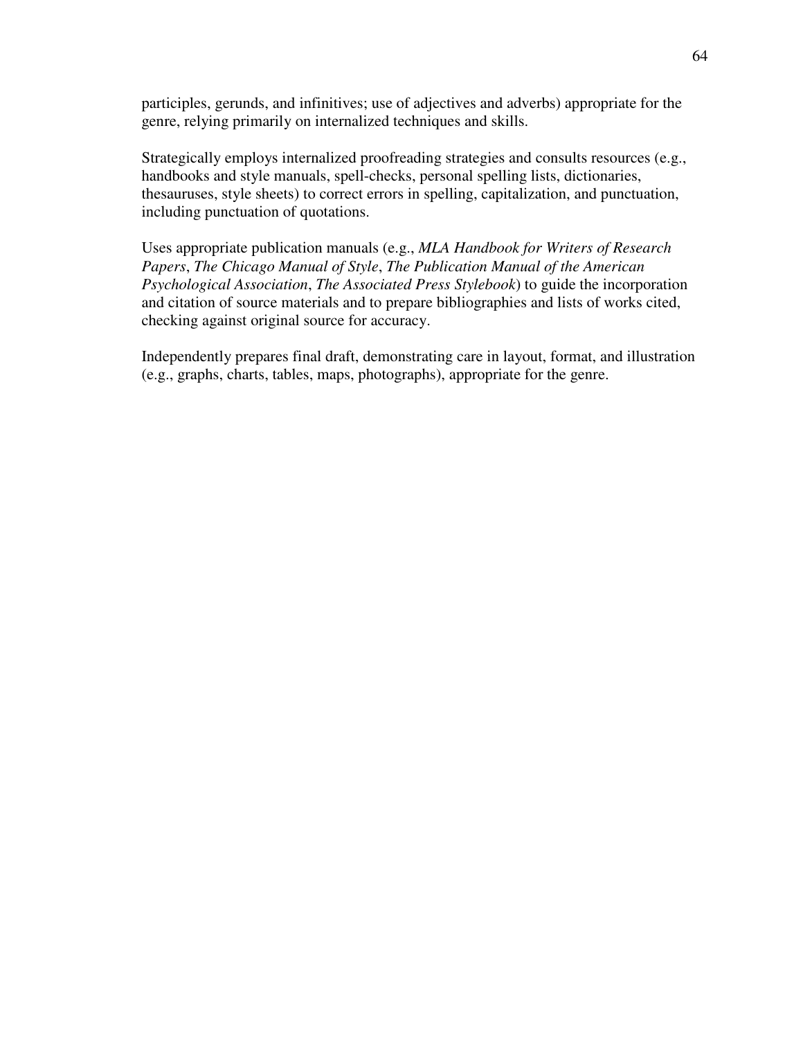participles, gerunds, and infinitives; use of adjectives and adverbs) appropriate for the genre, relying primarily on internalized techniques and skills.

Strategically employs internalized proofreading strategies and consults resources (e.g., handbooks and style manuals, spell-checks, personal spelling lists, dictionaries, thesauruses, style sheets) to correct errors in spelling, capitalization, and punctuation, including punctuation of quotations.

Uses appropriate publication manuals (e.g., *MLA Handbook for Writers of Research Papers*, *The Chicago Manual of Style*, *The Publication Manual of the American Psychological Association*, *The Associated Press Stylebook*) to guide the incorporation and citation of source materials and to prepare bibliographies and lists of works cited, checking against original source for accuracy.

Independently prepares final draft, demonstrating care in layout, format, and illustration (e.g., graphs, charts, tables, maps, photographs), appropriate for the genre.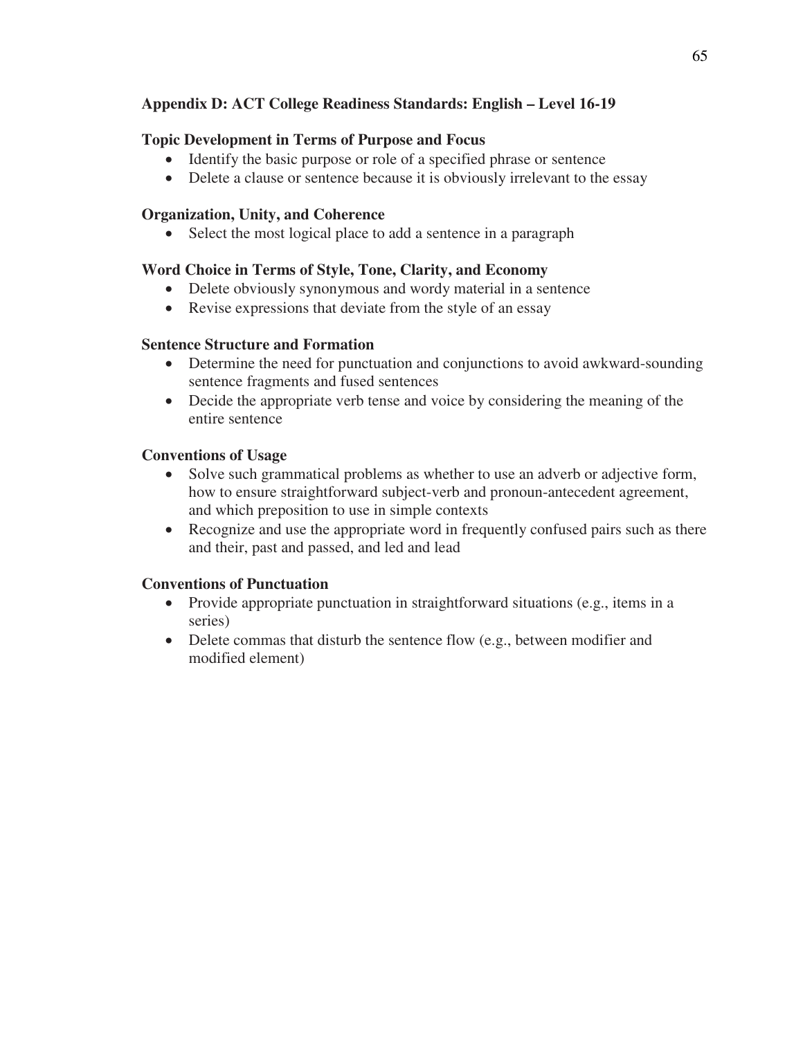# **Appendix D: ACT College Readiness Standards: English – Level 16-19**

## **Topic Development in Terms of Purpose and Focus**

- Identify the basic purpose or role of a specified phrase or sentence
- Delete a clause or sentence because it is obviously irrelevant to the essay

## **Organization, Unity, and Coherence**

• Select the most logical place to add a sentence in a paragraph

## **Word Choice in Terms of Style, Tone, Clarity, and Economy**

- Delete obviously synonymous and wordy material in a sentence
- Revise expressions that deviate from the style of an essay

### **Sentence Structure and Formation**

- Determine the need for punctuation and conjunctions to avoid awkward-sounding sentence fragments and fused sentences
- Decide the appropriate verb tense and voice by considering the meaning of the entire sentence

## **Conventions of Usage**

- Solve such grammatical problems as whether to use an adverb or adjective form, how to ensure straightforward subject-verb and pronoun-antecedent agreement, and which preposition to use in simple contexts
- Recognize and use the appropriate word in frequently confused pairs such as there and their, past and passed, and led and lead

## **Conventions of Punctuation**

- Provide appropriate punctuation in straightforward situations (e.g., items in a series)
- Delete commas that disturb the sentence flow (e.g., between modifier and modified element)